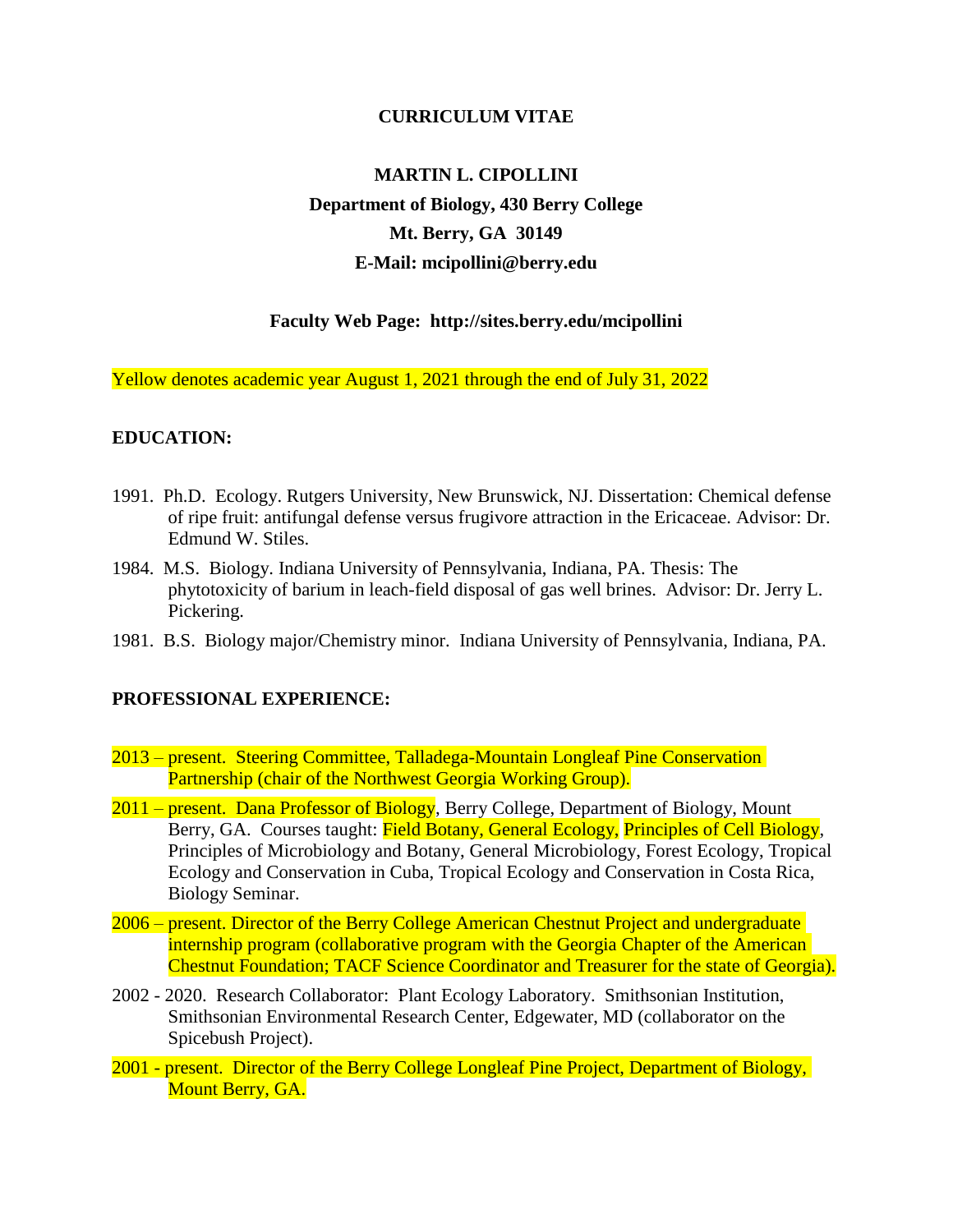## **CURRICULUM VITAE**

# **MARTIN L. CIPOLLINI Department of Biology, 430 Berry College Mt. Berry, GA 30149 E-Mail: [mcipollini@berry.edu](mailto:mcipollini@berry.edu)**

# **Faculty Web Page: <http://sites.berry.edu/mcipollini>**

Yellow denotes academic year August 1, 2021 through the end of July 31, 2022

## **EDUCATION:**

- 1991. Ph.D. Ecology. Rutgers University, New Brunswick, NJ. Dissertation: Chemical defense of ripe fruit: antifungal defense versus frugivore attraction in the Ericaceae. Advisor: Dr. Edmund W. Stiles.
- 1984. M.S. Biology. Indiana University of Pennsylvania, Indiana, PA. Thesis: The phytotoxicity of barium in leach-field disposal of gas well brines. Advisor: Dr. Jerry L. Pickering.
- 1981. B.S. Biology major/Chemistry minor. Indiana University of Pennsylvania, Indiana, PA.

## **PROFESSIONAL EXPERIENCE:**

- 2013 present. Steering Committee, Talladega-Mountain Longleaf Pine Conservation Partnership (chair of the Northwest Georgia Working Group).
- 2011 present. Dana Professor of Biology, Berry College, Department of Biology, Mount Berry, GA. Courses taught: Field Botany, General Ecology, Principles of Cell Biology, Principles of Microbiology and Botany, General Microbiology, Forest Ecology, Tropical Ecology and Conservation in Cuba, Tropical Ecology and Conservation in Costa Rica, Biology Seminar.
- 2006 present. Director of the Berry College American Chestnut Project and undergraduate internship program (collaborative program with the Georgia Chapter of the American Chestnut Foundation; TACF Science Coordinator and Treasurer for the state of Georgia).
- 2002 2020. Research Collaborator: Plant Ecology Laboratory. Smithsonian Institution, Smithsonian Environmental Research Center, Edgewater, MD (collaborator on the Spicebush Project).
- 2001 present. Director of the Berry College Longleaf Pine Project, Department of Biology, Mount Berry, GA.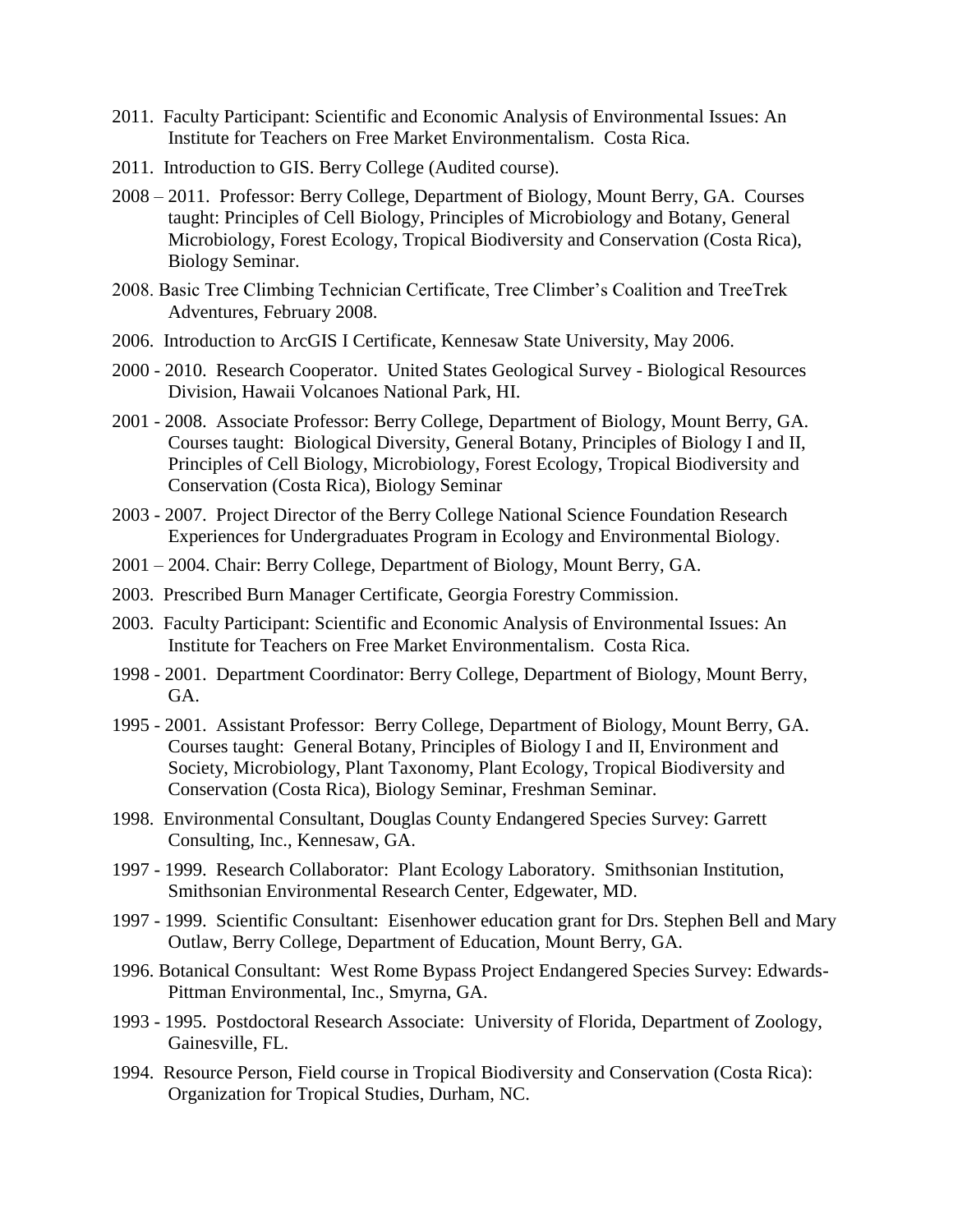- 2011. Faculty Participant: Scientific and Economic Analysis of Environmental Issues: An Institute for Teachers on Free Market Environmentalism. Costa Rica.
- 2011. Introduction to GIS. Berry College (Audited course).
- 2008 2011.Professor: Berry College, Department of Biology, Mount Berry, GA. Courses taught: Principles of Cell Biology, Principles of Microbiology and Botany, General Microbiology, Forest Ecology, Tropical Biodiversity and Conservation (Costa Rica), Biology Seminar.
- 2008. Basic Tree Climbing Technician Certificate, Tree Climber's Coalition and TreeTrek Adventures, February 2008.
- 2006. Introduction to ArcGIS I Certificate, Kennesaw State University, May 2006.
- 2000 2010. Research Cooperator. United States Geological Survey Biological Resources Division, Hawaii Volcanoes National Park, HI.
- 2001 2008. Associate Professor: Berry College, Department of Biology, Mount Berry, GA. Courses taught: Biological Diversity, General Botany, Principles of Biology I and II, Principles of Cell Biology, Microbiology, Forest Ecology, Tropical Biodiversity and Conservation (Costa Rica), Biology Seminar
- 2003 2007. Project Director of the Berry College National Science Foundation Research Experiences for Undergraduates Program in Ecology and Environmental Biology.
- 2001 2004. Chair: Berry College, Department of Biology, Mount Berry, GA.
- 2003. Prescribed Burn Manager Certificate, Georgia Forestry Commission.
- 2003. Faculty Participant: Scientific and Economic Analysis of Environmental Issues: An Institute for Teachers on Free Market Environmentalism. Costa Rica.
- 1998 2001. Department Coordinator: Berry College, Department of Biology, Mount Berry, GA.
- 1995 2001. Assistant Professor: Berry College, Department of Biology, Mount Berry, GA. Courses taught: General Botany, Principles of Biology I and II, Environment and Society, Microbiology, Plant Taxonomy, Plant Ecology, Tropical Biodiversity and Conservation (Costa Rica), Biology Seminar, Freshman Seminar.
- 1998. Environmental Consultant, Douglas County Endangered Species Survey: Garrett Consulting, Inc., Kennesaw, GA.
- 1997 1999. Research Collaborator: Plant Ecology Laboratory. Smithsonian Institution, Smithsonian Environmental Research Center, Edgewater, MD.
- 1997 1999. Scientific Consultant: Eisenhower education grant for Drs. Stephen Bell and Mary Outlaw, Berry College, Department of Education, Mount Berry, GA.
- 1996. Botanical Consultant: West Rome Bypass Project Endangered Species Survey: Edwards-Pittman Environmental, Inc., Smyrna, GA.
- 1993 1995. Postdoctoral Research Associate: University of Florida, Department of Zoology, Gainesville, FL.
- 1994. Resource Person, Field course in Tropical Biodiversity and Conservation (Costa Rica): Organization for Tropical Studies, Durham, NC.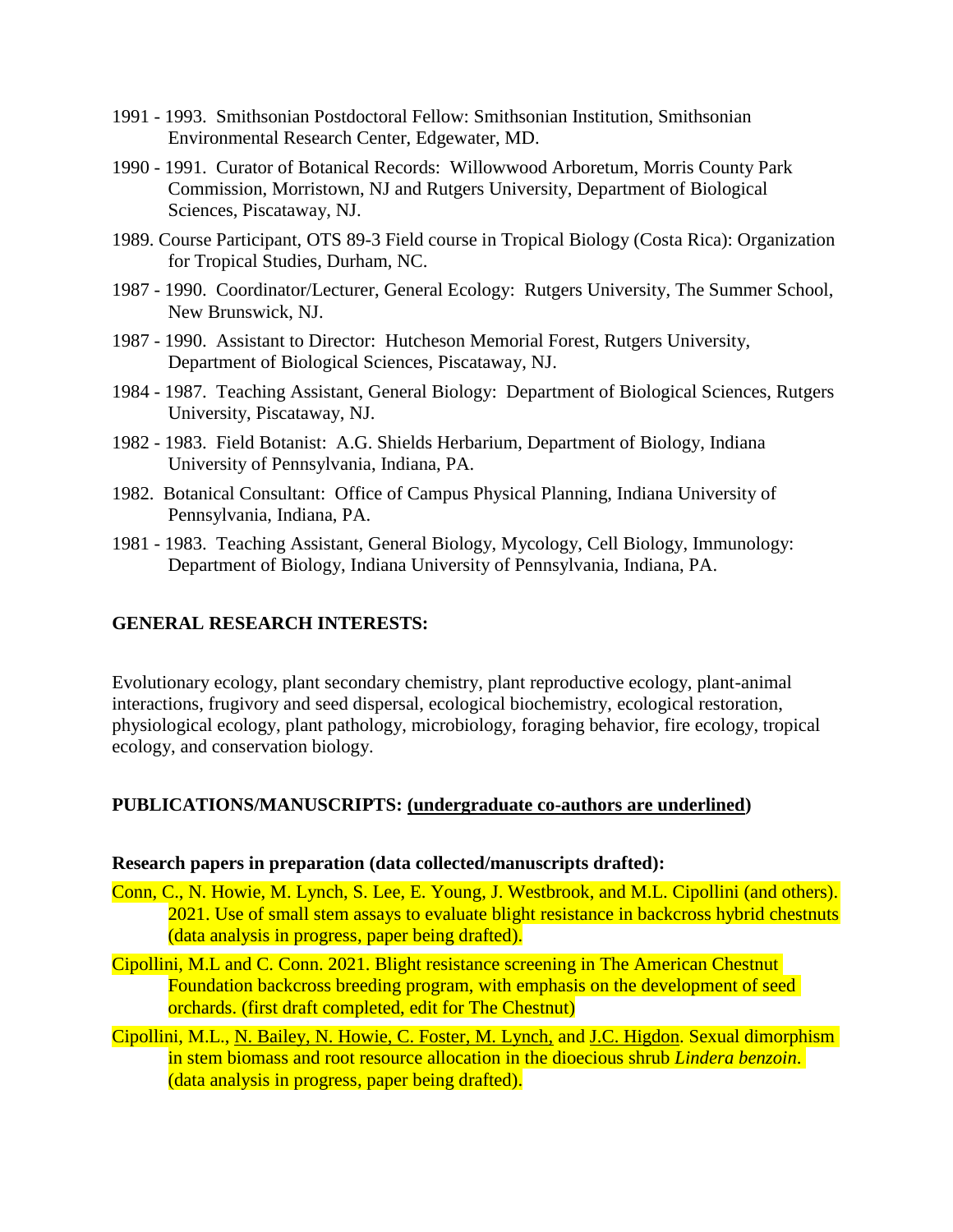- 1991 1993. Smithsonian Postdoctoral Fellow: Smithsonian Institution, Smithsonian Environmental Research Center, Edgewater, MD.
- 1990 1991. Curator of Botanical Records: Willowwood Arboretum, Morris County Park Commission, Morristown, NJ and Rutgers University, Department of Biological Sciences, Piscataway, NJ.
- 1989. Course Participant, OTS 89-3 Field course in Tropical Biology (Costa Rica): Organization for Tropical Studies, Durham, NC.
- 1987 1990. Coordinator/Lecturer, General Ecology: Rutgers University, The Summer School, New Brunswick, NJ.
- 1987 1990. Assistant to Director: Hutcheson Memorial Forest, Rutgers University, Department of Biological Sciences, Piscataway, NJ.
- 1984 1987. Teaching Assistant, General Biology: Department of Biological Sciences, Rutgers University, Piscataway, NJ.
- 1982 1983. Field Botanist: A.G. Shields Herbarium, Department of Biology, Indiana University of Pennsylvania, Indiana, PA.
- 1982. Botanical Consultant: Office of Campus Physical Planning, Indiana University of Pennsylvania, Indiana, PA.
- 1981 1983. Teaching Assistant, General Biology, Mycology, Cell Biology, Immunology: Department of Biology, Indiana University of Pennsylvania, Indiana, PA.

## **GENERAL RESEARCH INTERESTS:**

Evolutionary ecology, plant secondary chemistry, plant reproductive ecology, plant-animal interactions, frugivory and seed dispersal, ecological biochemistry, ecological restoration, physiological ecology, plant pathology, microbiology, foraging behavior, fire ecology, tropical ecology, and conservation biology.

# **PUBLICATIONS/MANUSCRIPTS: (undergraduate co-authors are underlined)**

#### **Research papers in preparation (data collected/manuscripts drafted):**

- Conn, C., N. Howie, M. Lynch, S. Lee, E. Young, J. Westbrook, and M.L. Cipollini (and others). 2021. Use of small stem assays to evaluate blight resistance in backcross hybrid chestnuts (data analysis in progress, paper being drafted).
- Cipollini, M.L and C. Conn. 2021. Blight resistance screening in The American Chestnut Foundation backcross breeding program, with emphasis on the development of seed orchards. (first draft completed, edit for The Chestnut)
- Cipollini, M.L., N. Bailey, N. Howie, C. Foster, M. Lynch, and J.C. Higdon. Sexual dimorphism in stem biomass and root resource allocation in the dioecious shrub *Lindera benzoin*. (data analysis in progress, paper being drafted).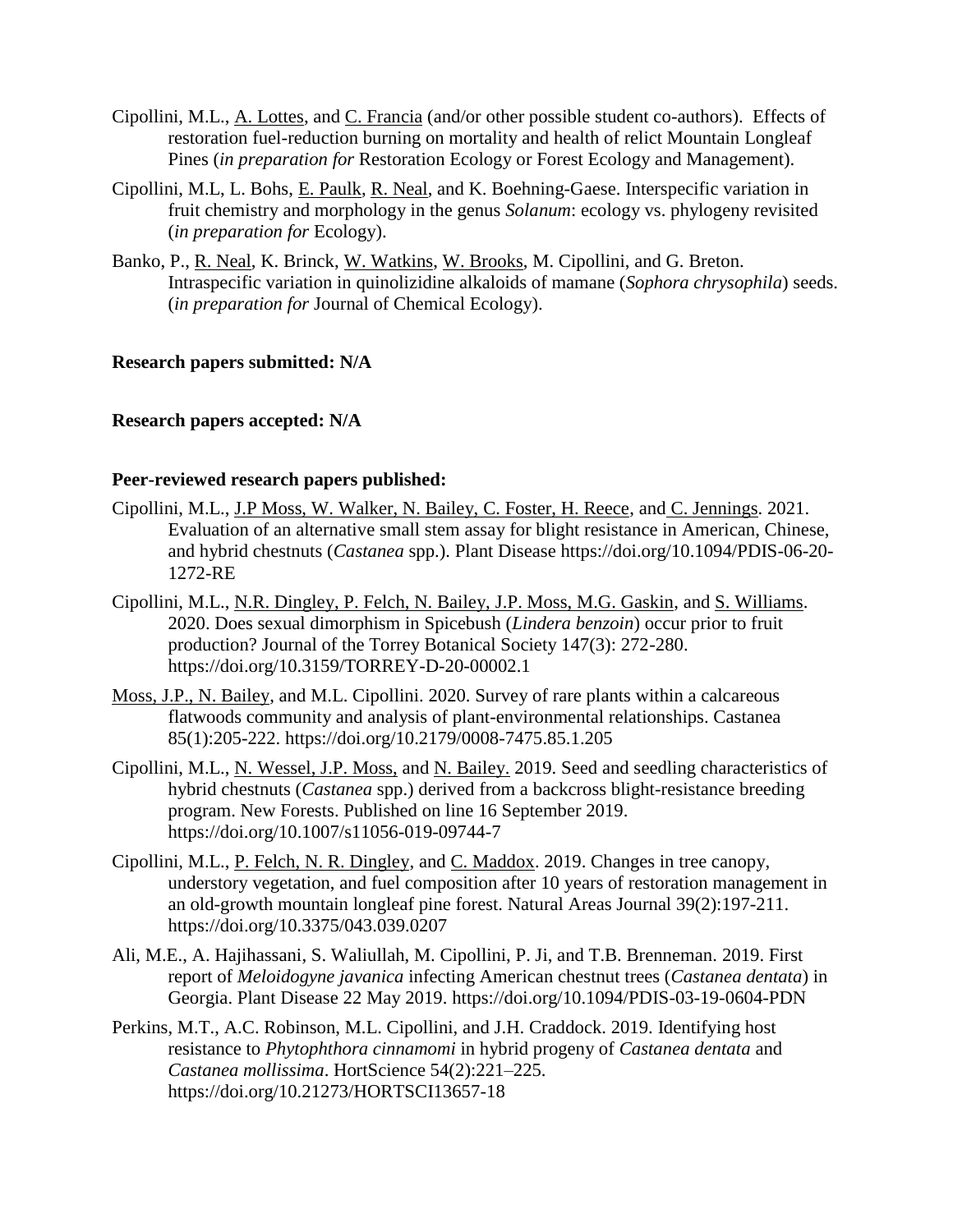- Cipollini, M.L., A. Lottes, and C. Francia (and/or other possible student co-authors). Effects of restoration fuel-reduction burning on mortality and health of relict Mountain Longleaf Pines (*in preparation for* Restoration Ecology or Forest Ecology and Management).
- Cipollini, M.L, L. Bohs, E. Paulk, R. Neal, and K. Boehning-Gaese. Interspecific variation in fruit chemistry and morphology in the genus *Solanum*: ecology vs. phylogeny revisited (*in preparation for* Ecology).
- Banko, P., R. Neal, K. Brinck, W. Watkins, W. Brooks, M. Cipollini, and G. Breton. Intraspecific variation in quinolizidine alkaloids of mamane (*Sophora chrysophila*) seeds. (*in preparation for* Journal of Chemical Ecology).

## **Research papers submitted: N/A**

# **Research papers accepted: N/A**

## **Peer-reviewed research papers published:**

- Cipollini, M.L., J.P Moss, W. Walker, N. Bailey, C. Foster, H. Reece, and C. Jennings. 2021. Evaluation of an alternative small stem assay for blight resistance in American, Chinese, and hybrid chestnuts (*Castanea* spp.). Plant Disease [https://doi.org/10.1094/PDIS-06-20-](https://doi.org/10.1094/PDIS-06-20-1272-RE) [1272-RE](https://doi.org/10.1094/PDIS-06-20-1272-RE)
- Cipollini, M.L., N.R. Dingley, P. Felch, N. Bailey, J.P. Moss, M.G. Gaskin, and S. Williams. 2020. Does sexual dimorphism in Spicebush (*Lindera benzoin*) occur prior to fruit production? Journal of the Torrey Botanical Society 147(3): 272-280. <https://doi.org/10.3159/TORREY-D-20-00002.1>
- Moss, J.P., N. Bailey, and M.L. Cipollini. 2020. Survey of rare plants within a calcareous flatwoods community and analysis of plant-environmental relationships. Castanea 85(1):205-222.<https://doi.org/10.2179/0008-7475.85.1.205>
- Cipollini, M.L., N. Wessel, J.P. Moss, and N. Bailey. 2019. Seed and seedling characteristics of hybrid chestnuts (*Castanea* spp.) derived from a backcross blight-resistance breeding program. New Forests. Published on line 16 September 2019. <https://doi.org/10.1007/s11056-019-09744-7>
- Cipollini, M.L., P. Felch, N. R. Dingley, and C. Maddox. 2019. Changes in tree canopy, understory vegetation, and fuel composition after 10 years of restoration management in an old-growth mountain longleaf pine forest. Natural Areas Journal 39(2):197-211. <https://doi.org/10.3375/043.039.0207>
- Ali, M.E., A. Hajihassani, S. Waliullah, M. Cipollini, P. Ji, and T.B. Brenneman. 2019. First report of *Meloidogyne javanica* infecting American chestnut trees (*Castanea dentata*) in Georgia. Plant Disease 22 May 2019. <https://doi.org/10.1094/PDIS-03-19-0604-PDN>
- Perkins, M.T., A.C. Robinson, M.L. Cipollini, and J.H. Craddock. 2019. Identifying host resistance to *Phytophthora cinnamomi* in hybrid progeny of *Castanea dentata* and *Castanea mollissima*. HortScience 54(2):221–225. <https://doi.org/10.21273/HORTSCI13657-18>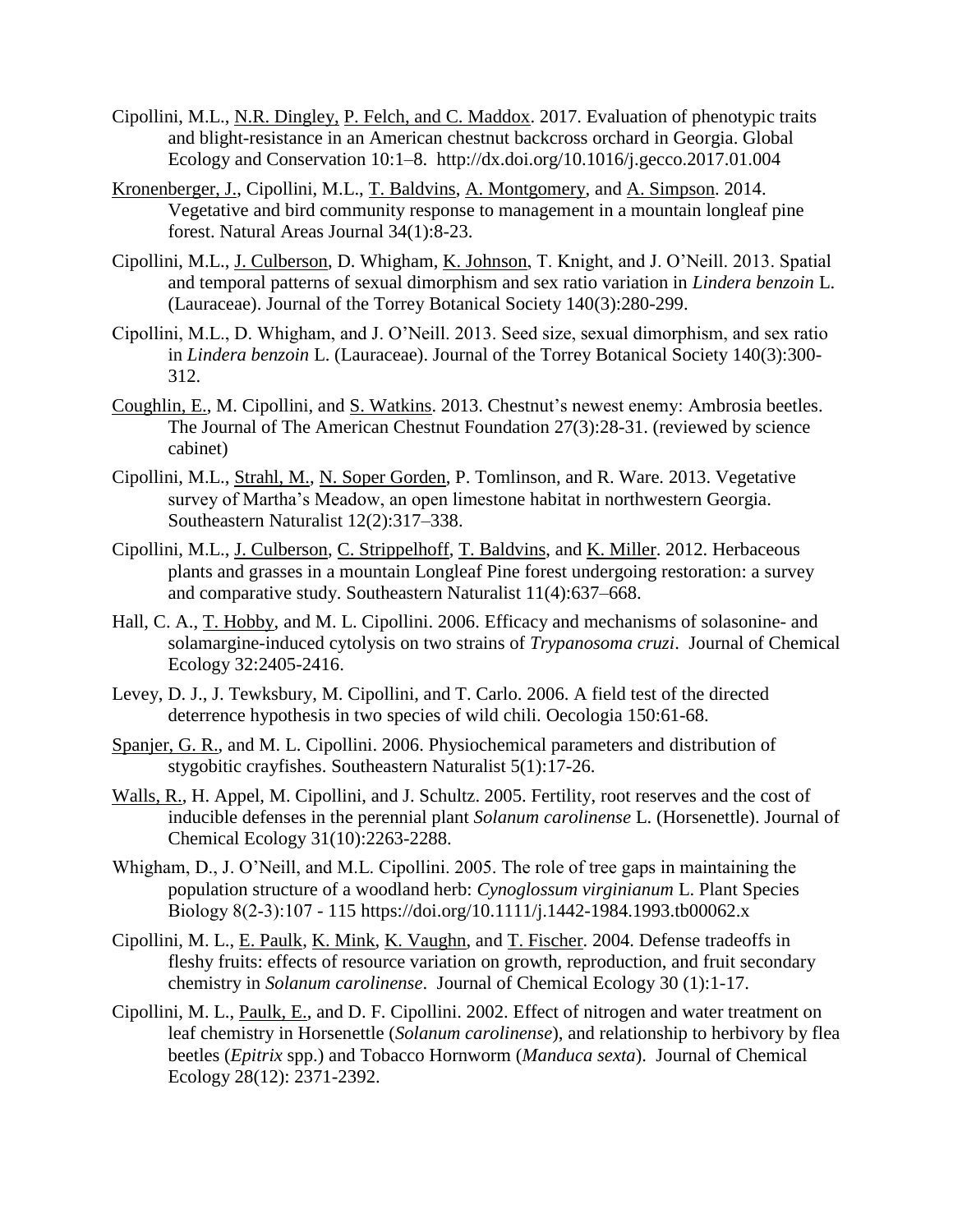- Cipollini, M.L., N.R. Dingley, P. Felch, and C. Maddox. 2017. Evaluation of phenotypic traits and blight-resistance in an American chestnut backcross orchard in Georgia. Global Ecology and Conservation 10:1–8. <http://dx.doi.org/10.1016/j.gecco.2017.01.004>
- Kronenberger, J., Cipollini, M.L., T. Baldvins, A. Montgomery, and A. Simpson. 2014. Vegetative and bird community response to management in a mountain longleaf pine forest. Natural Areas Journal 34(1):8-23.
- Cipollini, M.L., J. Culberson, D. Whigham, K. Johnson, T. Knight, and J. O'Neill. 2013. Spatial and temporal patterns of sexual dimorphism and sex ratio variation in *Lindera benzoin* L. (Lauraceae). Journal of the Torrey Botanical Society 140(3):280-299.
- Cipollini, M.L., D. Whigham, and J. O'Neill. 2013. Seed size, sexual dimorphism, and sex ratio in *Lindera benzoin* L. (Lauraceae). Journal of the Torrey Botanical Society 140(3):300- 312.
- Coughlin, E., M. Cipollini, and S. Watkins. 2013. Chestnut's newest enemy: Ambrosia beetles. The Journal of The American Chestnut Foundation 27(3):28-31. (reviewed by science cabinet)
- Cipollini, M.L., Strahl, M., N. Soper Gorden, P. Tomlinson, and R. Ware. 2013. Vegetative survey of Martha's Meadow, an open limestone habitat in northwestern Georgia. Southeastern Naturalist 12(2):317–338.
- Cipollini, M.L., J. Culberson, C. Strippelhoff, T. Baldvins, and K. Miller. 2012. Herbaceous plants and grasses in a mountain Longleaf Pine forest undergoing restoration: a survey and comparative study. Southeastern Naturalist 11(4):637–668.
- Hall, C. A., T. Hobby, and M. L. Cipollini. 2006. Efficacy and mechanisms of solasonine- and solamargine-induced cytolysis on two strains of *Trypanosoma cruzi*. Journal of Chemical Ecology 32:2405-2416.
- Levey, D. J., J. Tewksbury, M. Cipollini, and T. Carlo. 2006. A field test of the directed deterrence hypothesis in two species of wild chili. Oecologia 150:61-68.
- Spanjer, G. R., and M. L. Cipollini. 2006. Physiochemical parameters and distribution of stygobitic crayfishes. Southeastern Naturalist 5(1):17-26.
- Walls, R., H. Appel, M. Cipollini, and J. Schultz. 2005. Fertility, root reserves and the cost of inducible defenses in the perennial plant *Solanum carolinense* L. (Horsenettle). Journal of Chemical Ecology 31(10):2263-2288.
- Whigham, D., J. O'Neill, and M.L. Cipollini. 2005. The role of tree gaps in maintaining the population structure of a woodland herb: *Cynoglossum virginianum* L. Plant Species Biology 8(2‐3):107 - 115<https://doi.org/10.1111/j.1442-1984.1993.tb00062.x>
- Cipollini, M. L., E. Paulk, K. Mink, K. Vaughn, and T. Fischer. 2004. Defense tradeoffs in fleshy fruits: effects of resource variation on growth, reproduction, and fruit secondary chemistry in *Solanum carolinense*. Journal of Chemical Ecology 30 (1):1-17.
- Cipollini, M. L., Paulk, E., and D. F. Cipollini. 2002. Effect of nitrogen and water treatment on leaf chemistry in Horsenettle (*Solanum carolinense*), and relationship to herbivory by flea beetles (*Epitrix* spp.) and Tobacco Hornworm (*Manduca sexta*). Journal of Chemical Ecology 28(12): 2371-2392.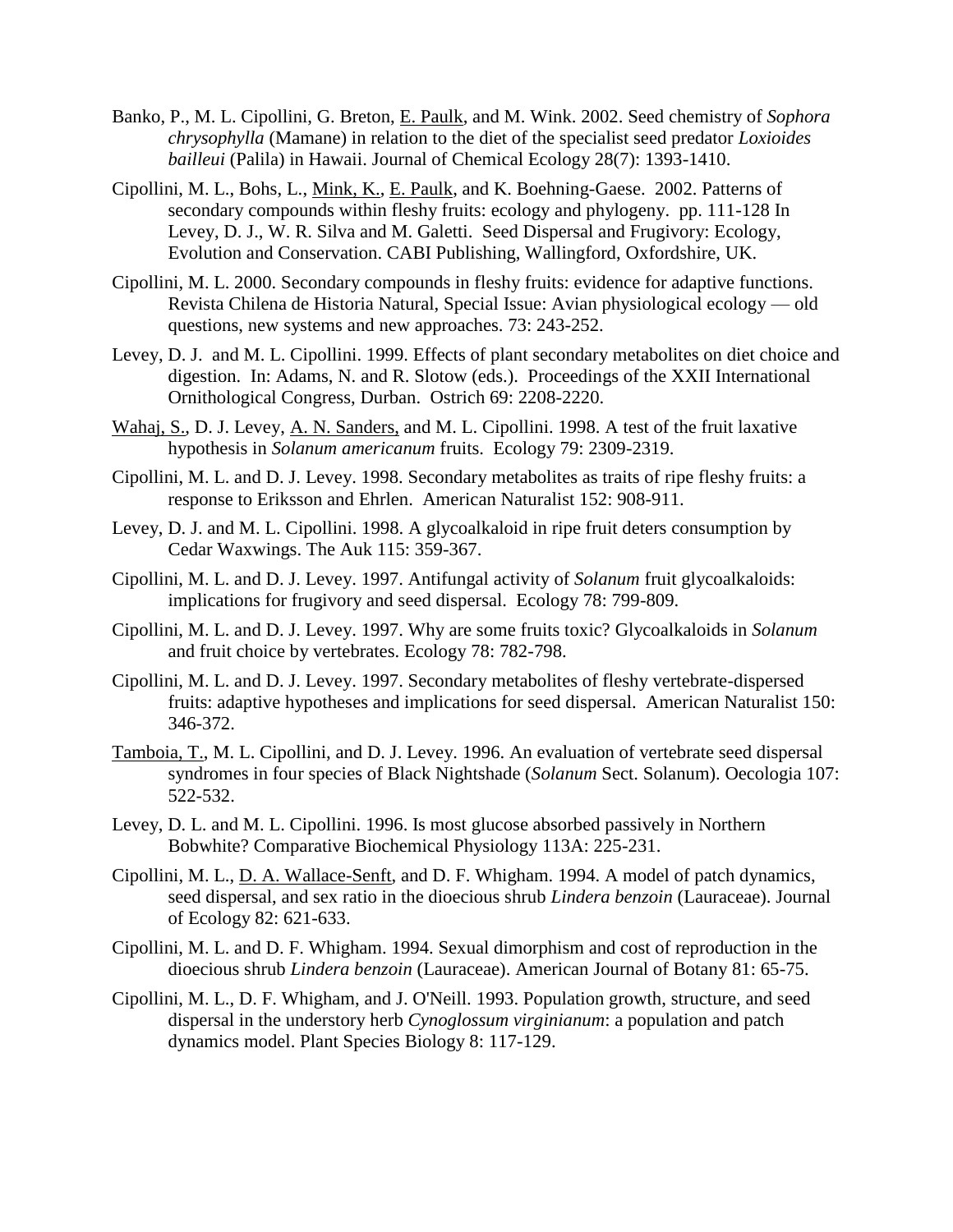- Banko, P., M. L. Cipollini, G. Breton, E. Paulk, and M. Wink. 2002. Seed chemistry of *Sophora chrysophylla* (Mamane) in relation to the diet of the specialist seed predator *Loxioides bailleui* (Palila) in Hawaii. Journal of Chemical Ecology 28(7): 1393-1410.
- Cipollini, M. L., Bohs, L., Mink, K., E. Paulk, and K. Boehning-Gaese. 2002. Patterns of secondary compounds within fleshy fruits: ecology and phylogeny. pp. 111-128 In Levey, D. J., W. R. Silva and M. Galetti. Seed Dispersal and Frugivory: Ecology, Evolution and Conservation. CABI Publishing, Wallingford, Oxfordshire, UK.
- Cipollini, M. L. 2000. Secondary compounds in fleshy fruits: evidence for adaptive functions. Revista Chilena de Historia Natural, Special Issue: Avian physiological ecology — old questions, new systems and new approaches. 73: 243-252.
- Levey, D. J. and M. L. Cipollini. 1999. Effects of plant secondary metabolites on diet choice and digestion. In: Adams, N. and R. Slotow (eds.). Proceedings of the XXII International Ornithological Congress, Durban. Ostrich 69: 2208-2220.
- Wahaj, S., D. J. Levey, A. N. Sanders, and M. L. Cipollini. 1998. A test of the fruit laxative hypothesis in *Solanum americanum* fruits. Ecology 79: 2309-2319.
- Cipollini, M. L. and D. J. Levey. 1998. Secondary metabolites as traits of ripe fleshy fruits: a response to Eriksson and Ehrlen. American Naturalist 152: 908-911.
- Levey, D. J. and M. L. Cipollini. 1998. A glycoalkaloid in ripe fruit deters consumption by Cedar Waxwings. The Auk 115: 359-367.
- Cipollini, M. L. and D. J. Levey. 1997. Antifungal activity of *Solanum* fruit glycoalkaloids: implications for frugivory and seed dispersal. Ecology 78: 799-809.
- Cipollini, M. L. and D. J. Levey. 1997. Why are some fruits toxic? Glycoalkaloids in *Solanum* and fruit choice by vertebrates. Ecology 78: 782-798.
- Cipollini, M. L. and D. J. Levey. 1997. Secondary metabolites of fleshy vertebrate-dispersed fruits: adaptive hypotheses and implications for seed dispersal. American Naturalist 150: 346-372.
- Tamboia, T., M. L. Cipollini, and D. J. Levey. 1996. An evaluation of vertebrate seed dispersal syndromes in four species of Black Nightshade (*Solanum* Sect. Solanum). Oecologia 107: 522-532.
- Levey, D. L. and M. L. Cipollini. 1996. Is most glucose absorbed passively in Northern Bobwhite? Comparative Biochemical Physiology 113A: 225-231.
- Cipollini, M. L., D. A. Wallace-Senft, and D. F. Whigham. 1994. A model of patch dynamics, seed dispersal, and sex ratio in the dioecious shrub *Lindera benzoin* (Lauraceae). Journal of Ecology 82: 621-633.
- Cipollini, M. L. and D. F. Whigham. 1994. Sexual dimorphism and cost of reproduction in the dioecious shrub *Lindera benzoin* (Lauraceae). American Journal of Botany 81: 65-75.
- Cipollini, M. L., D. F. Whigham, and J. O'Neill. 1993. Population growth, structure, and seed dispersal in the understory herb *Cynoglossum virginianum*: a population and patch dynamics model. Plant Species Biology 8: 117-129.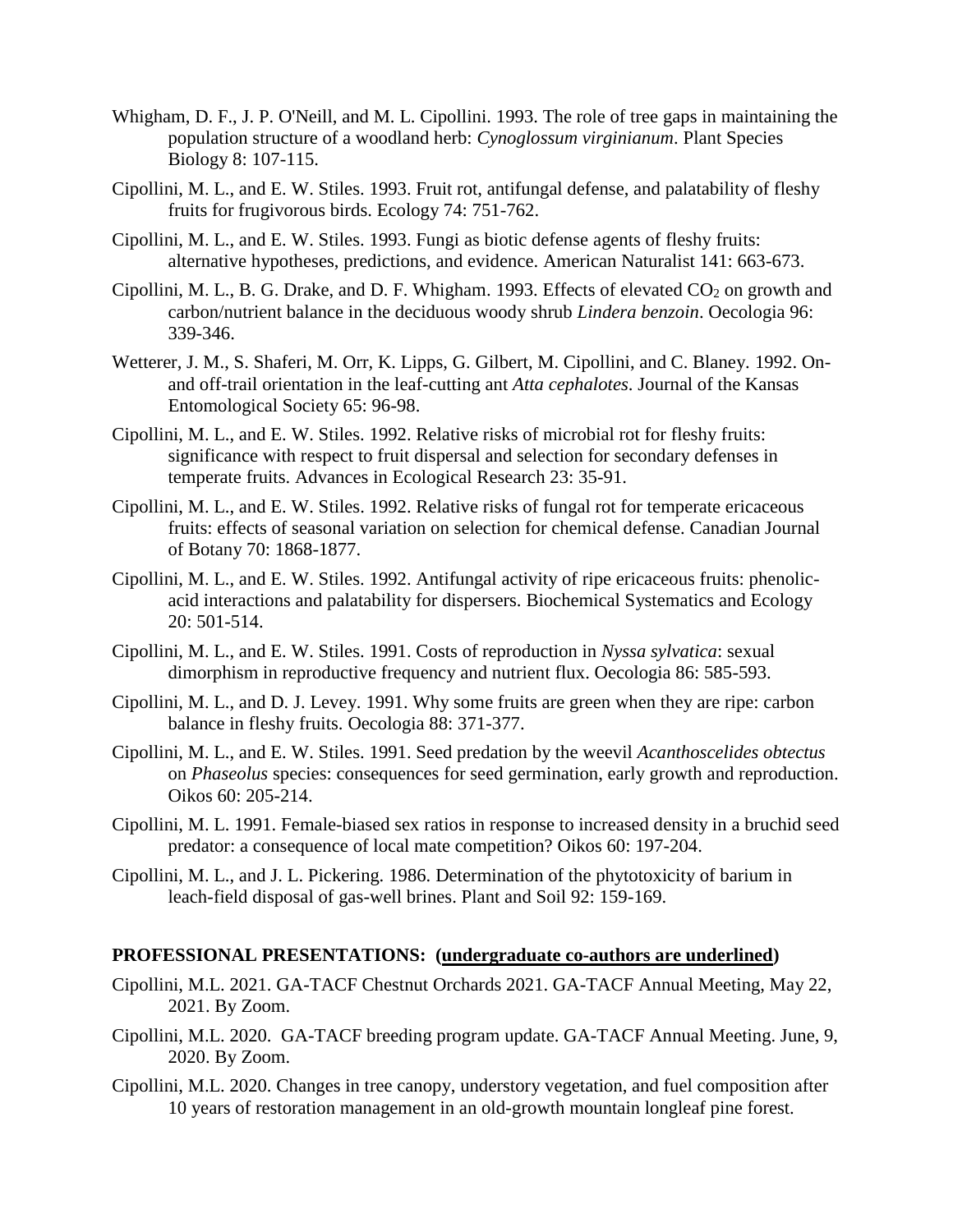- Whigham, D. F., J. P. O'Neill, and M. L. Cipollini. 1993. The role of tree gaps in maintaining the population structure of a woodland herb: *Cynoglossum virginianum*. Plant Species Biology 8: 107-115.
- Cipollini, M. L., and E. W. Stiles. 1993. Fruit rot, antifungal defense, and palatability of fleshy fruits for frugivorous birds. Ecology 74: 751-762.
- Cipollini, M. L., and E. W. Stiles. 1993. Fungi as biotic defense agents of fleshy fruits: alternative hypotheses, predictions, and evidence. American Naturalist 141: 663-673.
- Cipollini, M. L., B. G. Drake, and D. F. Whigham. 1993. Effects of elevated  $CO_2$  on growth and carbon/nutrient balance in the deciduous woody shrub *Lindera benzoin*. Oecologia 96: 339-346.
- Wetterer, J. M., S. Shaferi, M. Orr, K. Lipps, G. Gilbert, M. Cipollini, and C. Blaney. 1992. Onand off-trail orientation in the leaf-cutting ant *Atta cephalotes*. Journal of the Kansas Entomological Society 65: 96-98.
- Cipollini, M. L., and E. W. Stiles. 1992. Relative risks of microbial rot for fleshy fruits: significance with respect to fruit dispersal and selection for secondary defenses in temperate fruits. Advances in Ecological Research 23: 35-91.
- Cipollini, M. L., and E. W. Stiles. 1992. Relative risks of fungal rot for temperate ericaceous fruits: effects of seasonal variation on selection for chemical defense. Canadian Journal of Botany 70: 1868-1877.
- Cipollini, M. L., and E. W. Stiles. 1992. Antifungal activity of ripe ericaceous fruits: phenolicacid interactions and palatability for dispersers. Biochemical Systematics and Ecology 20: 501-514.
- Cipollini, M. L., and E. W. Stiles. 1991. Costs of reproduction in *Nyssa sylvatica*: sexual dimorphism in reproductive frequency and nutrient flux. Oecologia 86: 585-593.
- Cipollini, M. L., and D. J. Levey. 1991. Why some fruits are green when they are ripe: carbon balance in fleshy fruits. Oecologia 88: 371-377.
- Cipollini, M. L., and E. W. Stiles. 1991. Seed predation by the weevil *Acanthoscelides obtectus* on *Phaseolus* species: consequences for seed germination, early growth and reproduction. Oikos 60: 205-214.
- Cipollini, M. L. 1991. Female-biased sex ratios in response to increased density in a bruchid seed predator: a consequence of local mate competition? Oikos 60: 197-204.
- Cipollini, M. L., and J. L. Pickering. 1986. Determination of the phytotoxicity of barium in leach-field disposal of gas-well brines. Plant and Soil 92: 159-169.

#### **PROFESSIONAL PRESENTATIONS: (undergraduate co-authors are underlined)**

- Cipollini, M.L. 2021. GA-TACF Chestnut Orchards 2021. GA-TACF Annual Meeting, May 22, 2021. By Zoom.
- Cipollini, M.L. 2020. GA-TACF breeding program update. GA-TACF Annual Meeting. June, 9, 2020. By Zoom.
- Cipollini, M.L. 2020. Changes in tree canopy, understory vegetation, and fuel composition after 10 years of restoration management in an old-growth mountain longleaf pine forest.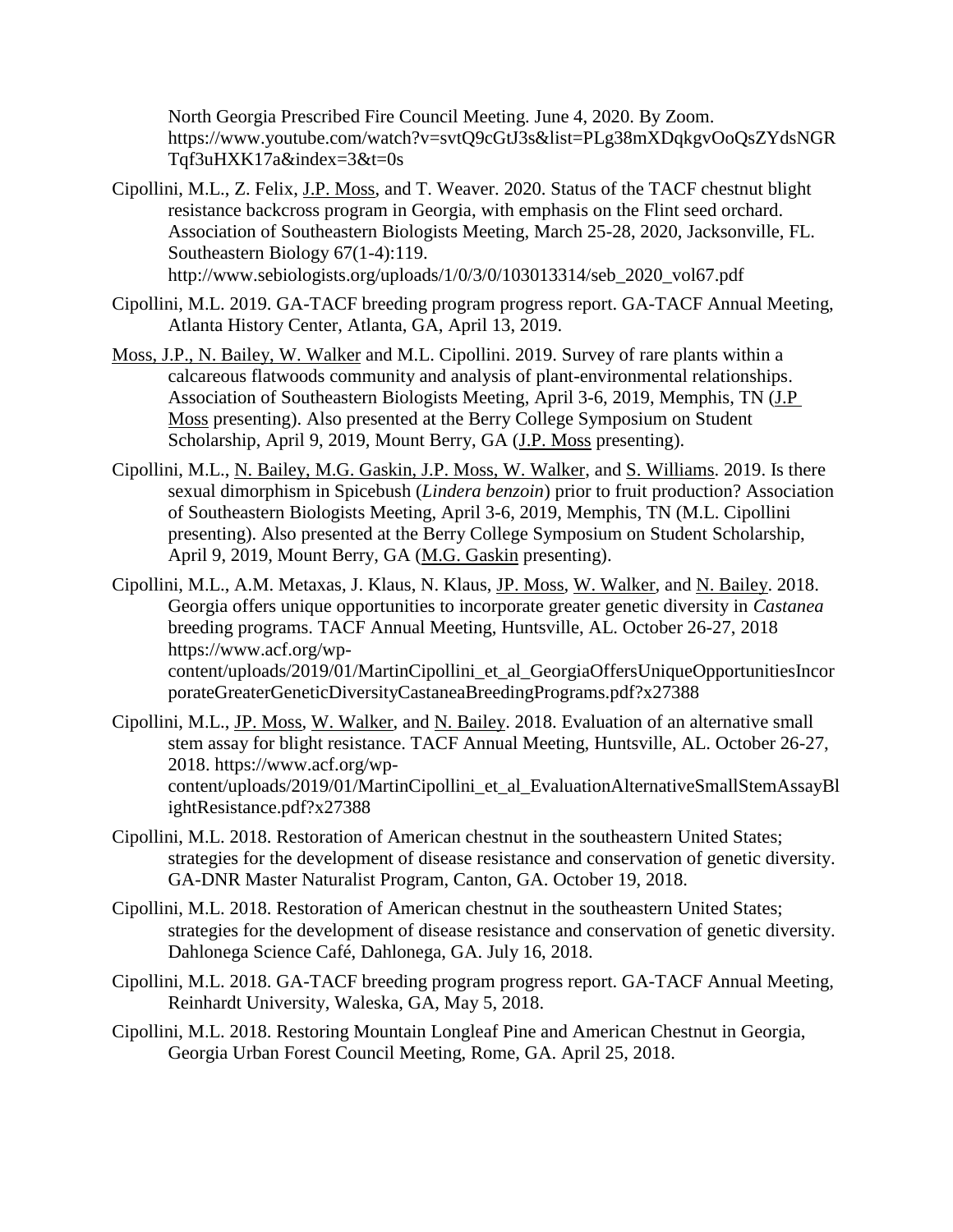North Georgia Prescribed Fire Council Meeting. June 4, 2020. By Zoom. [https://www.youtube.com/watch?v=svtQ9cGtJ3s&list=PLg38mXDqkgvOoQsZYdsNGR](https://www.youtube.com/watch?v=svtQ9cGtJ3s&list=PLg38mXDqkgvOoQsZYdsNGRTqf3uHXK17a&index=3&t=0s) [Tqf3uHXK17a&index=3&t=0s](https://www.youtube.com/watch?v=svtQ9cGtJ3s&list=PLg38mXDqkgvOoQsZYdsNGRTqf3uHXK17a&index=3&t=0s)

- Cipollini, M.L., Z. Felix, J.P. Moss, and T. Weaver. 2020. Status of the TACF chestnut blight resistance backcross program in Georgia, with emphasis on the Flint seed orchard. Association of Southeastern Biologists Meeting, March 25-28, 2020, Jacksonville, FL. Southeastern Biology 67(1-4):119. [http://www.sebiologists.org/uploads/1/0/3/0/103013314/seb\\_2020\\_vol67.pdf](http://www.sebiologists.org/uploads/1/0/3/0/103013314/seb_2020_vol67.pdf)
- Cipollini, M.L. 2019. GA-TACF breeding program progress report. GA-TACF Annual Meeting, Atlanta History Center, Atlanta, GA, April 13, 2019.
- Moss, J.P., N. Bailey, W. Walker and M.L. Cipollini. 2019. Survey of rare plants within a calcareous flatwoods community and analysis of plant-environmental relationships. Association of Southeastern Biologists Meeting, April 3-6, 2019, Memphis, TN (J.P Moss presenting). Also presented at the Berry College Symposium on Student Scholarship, April 9, 2019, Mount Berry, GA (*J.P. Moss presenting*).
- Cipollini, M.L., N. Bailey, M.G. Gaskin, J.P. Moss, W. Walker, and S. Williams. 2019. Is there sexual dimorphism in Spicebush (*Lindera benzoin*) prior to fruit production? Association of Southeastern Biologists Meeting, April 3-6, 2019, Memphis, TN (M.L. Cipollini presenting). Also presented at the Berry College Symposium on Student Scholarship, April 9, 2019, Mount Berry, GA (M.G. Gaskin presenting).
- Cipollini, M.L., A.M. Metaxas, J. Klaus, N. Klaus, JP. Moss, W. Walker, and N. Bailey. 2018. Georgia offers unique opportunities to incorporate greater genetic diversity in *Castanea* breeding programs. TACF Annual Meeting, Huntsville, AL. October 26-27, 2018 https://www.acf.org/wpcontent/uploads/2019/01/MartinCipollini\_et\_al\_GeorgiaOffersUniqueOpportunitiesIncor porateGreaterGeneticDiversityCastaneaBreedingPrograms.pdf?x27388
- Cipollini, M.L., JP. Moss, W. Walker, and N. Bailey. 2018. Evaluation of an alternative small stem assay for blight resistance. TACF Annual Meeting, Huntsville, AL. October 26-27, 2018. [https://www.acf.org/wp](https://www.acf.org/wp-content/uploads/2019/01/MartinCipollini_et_al_EvaluationAlternativeSmallStemAssayBlightResistance.pdf?x27388)[content/uploads/2019/01/MartinCipollini\\_et\\_al\\_EvaluationAlternativeSmallStemAssayBl](https://www.acf.org/wp-content/uploads/2019/01/MartinCipollini_et_al_EvaluationAlternativeSmallStemAssayBlightResistance.pdf?x27388) [ightResistance.pdf?x27388](https://www.acf.org/wp-content/uploads/2019/01/MartinCipollini_et_al_EvaluationAlternativeSmallStemAssayBlightResistance.pdf?x27388)
- Cipollini, M.L. 2018. Restoration of American chestnut in the southeastern United States; strategies for the development of disease resistance and conservation of genetic diversity. GA-DNR Master Naturalist Program, Canton, GA. October 19, 2018.
- Cipollini, M.L. 2018. Restoration of American chestnut in the southeastern United States; strategies for the development of disease resistance and conservation of genetic diversity. Dahlonega Science Café, Dahlonega, GA. July 16, 2018.
- Cipollini, M.L. 2018. GA-TACF breeding program progress report. GA-TACF Annual Meeting, Reinhardt University, Waleska, GA, May 5, 2018.
- Cipollini, M.L. 2018. Restoring Mountain Longleaf Pine and American Chestnut in Georgia, Georgia Urban Forest Council Meeting, Rome, GA. April 25, 2018.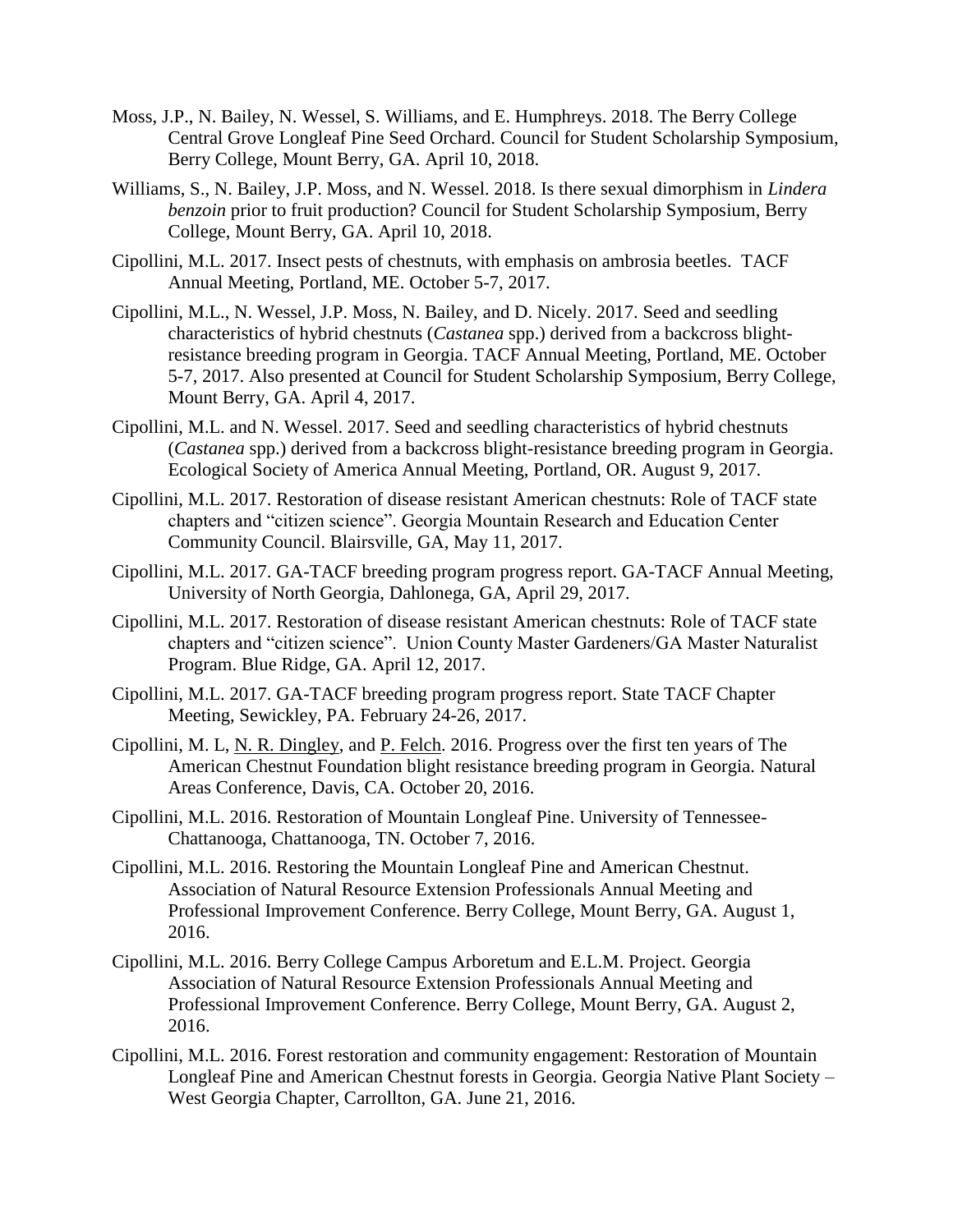- Moss, J.P., N. Bailey, N. Wessel, S. Williams, and E. Humphreys. 2018. The Berry College Central Grove Longleaf Pine Seed Orchard. Council for Student Scholarship Symposium, Berry College, Mount Berry, GA. April 10, 2018.
- Williams, S., N. Bailey, J.P. Moss, and N. Wessel. 2018. Is there sexual dimorphism in *Lindera benzoin* prior to fruit production? Council for Student Scholarship Symposium, Berry College, Mount Berry, GA. April 10, 2018.
- Cipollini, M.L. 2017. Insect pests of chestnuts, with emphasis on ambrosia beetles. TACF Annual Meeting, Portland, ME. October 5-7, 2017.
- Cipollini, M.L., N. Wessel, J.P. Moss, N. Bailey, and D. Nicely. 2017. Seed and seedling characteristics of hybrid chestnuts (*Castanea* spp.) derived from a backcross blightresistance breeding program in Georgia. TACF Annual Meeting, Portland, ME. October 5-7, 2017. Also presented at Council for Student Scholarship Symposium, Berry College, Mount Berry, GA. April 4, 2017.
- Cipollini, M.L. and N. Wessel. 2017. Seed and seedling characteristics of hybrid chestnuts (*Castanea* spp.) derived from a backcross blight-resistance breeding program in Georgia. Ecological Society of America Annual Meeting, Portland, OR. August 9, 2017.
- Cipollini, M.L. 2017. Restoration of disease resistant American chestnuts: Role of TACF state chapters and "citizen science". Georgia Mountain Research and Education Center Community Council. Blairsville, GA, May 11, 2017.
- Cipollini, M.L. 2017. GA-TACF breeding program progress report. GA-TACF Annual Meeting, University of North Georgia, Dahlonega, GA, April 29, 2017.
- Cipollini, M.L. 2017. Restoration of disease resistant American chestnuts: Role of TACF state chapters and "citizen science". Union County Master Gardeners/GA Master Naturalist Program. Blue Ridge, GA. April 12, 2017.
- Cipollini, M.L. 2017. GA-TACF breeding program progress report. State TACF Chapter Meeting, Sewickley, PA. February 24-26, 2017.
- Cipollini, M. L, N. R. Dingley, and P. Felch. 2016. Progress over the first ten years of The American Chestnut Foundation blight resistance breeding program in Georgia. Natural Areas Conference, Davis, CA. October 20, 2016.
- Cipollini, M.L. 2016. Restoration of Mountain Longleaf Pine. University of Tennessee-Chattanooga, Chattanooga, TN. October 7, 2016.
- Cipollini, M.L. 2016. Restoring the Mountain Longleaf Pine and American Chestnut. Association of Natural Resource Extension Professionals Annual Meeting and Professional Improvement Conference. Berry College, Mount Berry, GA. August 1, 2016.
- Cipollini, M.L. 2016. Berry College Campus Arboretum and E.L.M. Project. Georgia Association of Natural Resource Extension Professionals Annual Meeting and Professional Improvement Conference. Berry College, Mount Berry, GA. August 2, 2016.
- Cipollini, M.L. 2016. Forest restoration and community engagement: Restoration of Mountain Longleaf Pine and American Chestnut forests in Georgia. Georgia Native Plant Society – West Georgia Chapter, Carrollton, GA. June 21, 2016.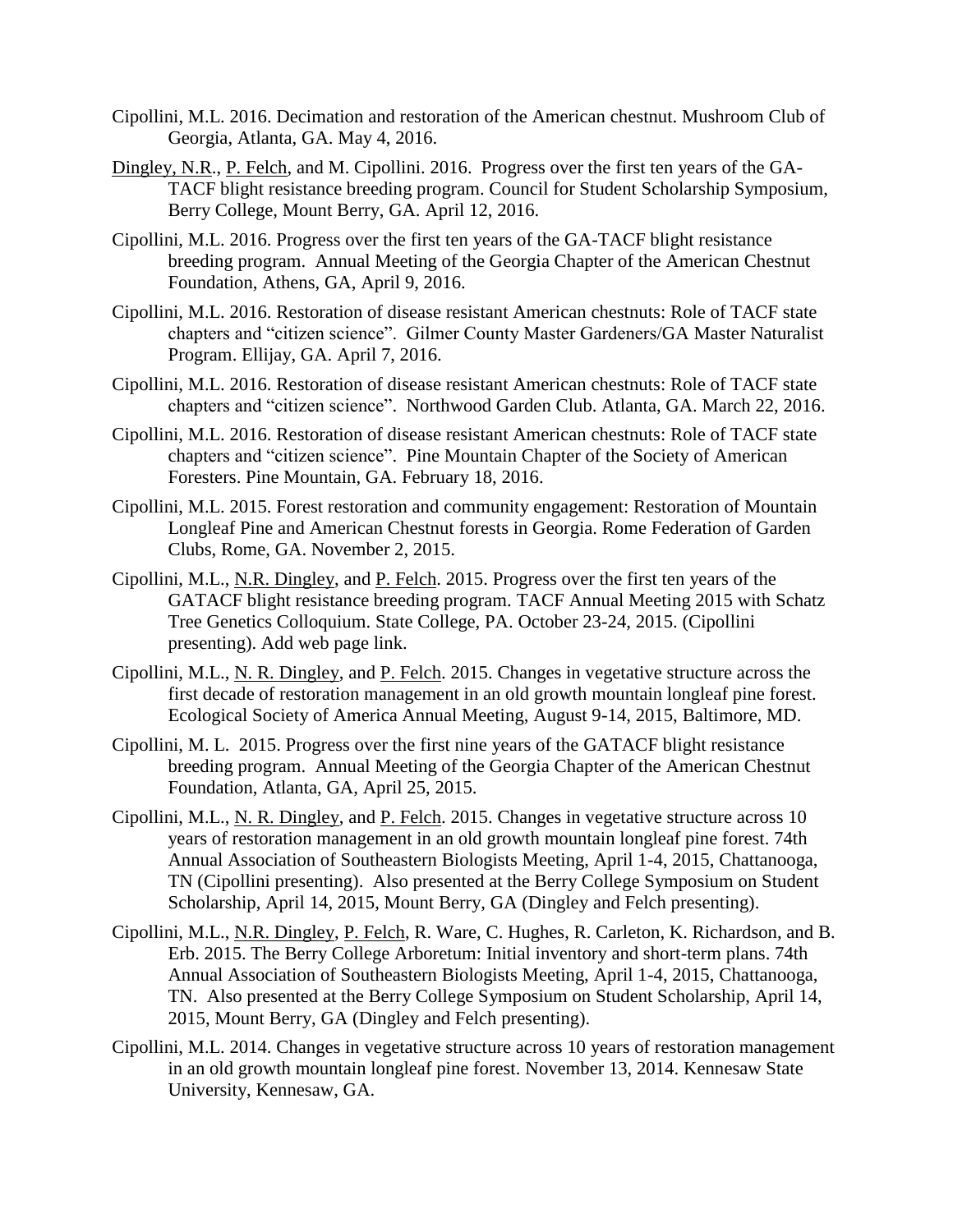- Cipollini, M.L. 2016. Decimation and restoration of the American chestnut. Mushroom Club of Georgia, Atlanta, GA. May 4, 2016.
- Dingley, N.R., P. Felch, and M. Cipollini. 2016. Progress over the first ten years of the GA-TACF blight resistance breeding program. Council for Student Scholarship Symposium, Berry College, Mount Berry, GA. April 12, 2016.
- Cipollini, M.L. 2016. Progress over the first ten years of the GA-TACF blight resistance breeding program. Annual Meeting of the Georgia Chapter of the American Chestnut Foundation, Athens, GA, April 9, 2016.
- Cipollini, M.L. 2016. Restoration of disease resistant American chestnuts: Role of TACF state chapters and "citizen science". Gilmer County Master Gardeners/GA Master Naturalist Program. Ellijay, GA. April 7, 2016.
- Cipollini, M.L. 2016. Restoration of disease resistant American chestnuts: Role of TACF state chapters and "citizen science". Northwood Garden Club. Atlanta, GA. March 22, 2016.
- Cipollini, M.L. 2016. Restoration of disease resistant American chestnuts: Role of TACF state chapters and "citizen science". Pine Mountain Chapter of the Society of American Foresters. Pine Mountain, GA. February 18, 2016.
- Cipollini, M.L. 2015. Forest restoration and community engagement: Restoration of Mountain Longleaf Pine and American Chestnut forests in Georgia. Rome Federation of Garden Clubs, Rome, GA. November 2, 2015.
- Cipollini, M.L., N.R. Dingley, and P. Felch. 2015. Progress over the first ten years of the GATACF blight resistance breeding program. TACF Annual Meeting 2015 with Schatz Tree Genetics Colloquium. State College, PA. October 23-24, 2015. (Cipollini presenting). Add web page link.
- Cipollini, M.L., N. R. Dingley, and P. Felch. 2015. Changes in vegetative structure across the first decade of restoration management in an old growth mountain longleaf pine forest. Ecological Society of America Annual Meeting, August 9-14, 2015, Baltimore, MD.
- Cipollini, M. L. 2015. Progress over the first nine years of the GATACF blight resistance breeding program. Annual Meeting of the Georgia Chapter of the American Chestnut Foundation, Atlanta, GA, April 25, 2015.
- Cipollini, M.L., N. R. Dingley, and P. Felch. 2015. Changes in vegetative structure across 10 years of restoration management in an old growth mountain longleaf pine forest. 74th Annual Association of Southeastern Biologists Meeting, April 1-4, 2015, Chattanooga, TN (Cipollini presenting). Also presented at the Berry College Symposium on Student Scholarship, April 14, 2015, Mount Berry, GA (Dingley and Felch presenting).
- Cipollini, M.L., N.R. Dingley, P. Felch, R. Ware, C. Hughes, R. Carleton, K. Richardson, and B. Erb. 2015. The Berry College Arboretum: Initial inventory and short-term plans. 74th Annual Association of Southeastern Biologists Meeting, April 1-4, 2015, Chattanooga, TN. Also presented at the Berry College Symposium on Student Scholarship, April 14, 2015, Mount Berry, GA (Dingley and Felch presenting).
- Cipollini, M.L. 2014. Changes in vegetative structure across 10 years of restoration management in an old growth mountain longleaf pine forest. November 13, 2014. Kennesaw State University, Kennesaw, GA.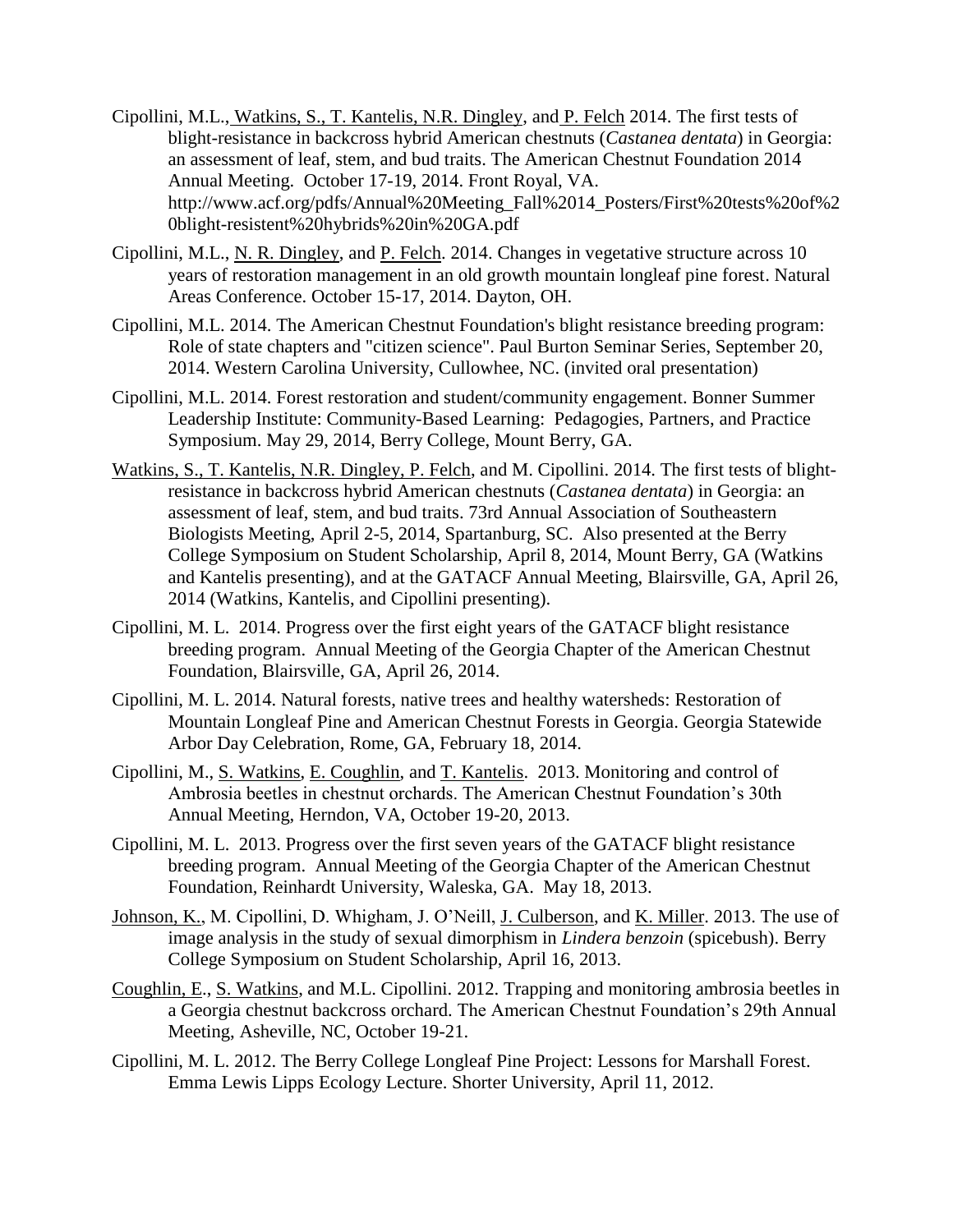- Cipollini, M.L., Watkins, S., T. Kantelis, N.R. Dingley, and P. Felch 2014. The first tests of blight-resistance in backcross hybrid American chestnuts (*Castanea dentata*) in Georgia: an assessment of leaf, stem, and bud traits. The American Chestnut Foundation 2014 Annual Meeting. October 17-19, 2014. Front Royal, VA. http://www.acf.org/pdfs/Annual%20Meeting\_Fall%2014\_Posters/First%20tests%20of%2 0blight-resistent%20hybrids%20in%20GA.pdf
- Cipollini, M.L., N. R. Dingley, and P. Felch. 2014. Changes in vegetative structure across 10 years of restoration management in an old growth mountain longleaf pine forest. Natural Areas Conference. October 15-17, 2014. Dayton, OH.
- Cipollini, M.L. 2014. The American Chestnut Foundation's blight resistance breeding program: Role of state chapters and "citizen science". Paul Burton Seminar Series, September 20, 2014. Western Carolina University, Cullowhee, NC. (invited oral presentation)
- Cipollini, M.L. 2014. Forest restoration and student/community engagement. Bonner Summer Leadership Institute: Community-Based Learning: Pedagogies, Partners, and Practice Symposium. May 29, 2014, Berry College, Mount Berry, GA.
- Watkins, S., T. Kantelis, N.R. Dingley, P. Felch, and M. Cipollini. 2014. The first tests of blightresistance in backcross hybrid American chestnuts (*Castanea dentata*) in Georgia: an assessment of leaf, stem, and bud traits. 73rd Annual Association of Southeastern Biologists Meeting, April 2-5, 2014, Spartanburg, SC. Also presented at the Berry College Symposium on Student Scholarship, April 8, 2014, Mount Berry, GA (Watkins and Kantelis presenting), and at the GATACF Annual Meeting, Blairsville, GA, April 26, 2014 (Watkins, Kantelis, and Cipollini presenting).
- Cipollini, M. L. 2014. Progress over the first eight years of the GATACF blight resistance breeding program. Annual Meeting of the Georgia Chapter of the American Chestnut Foundation, Blairsville, GA, April 26, 2014.
- Cipollini, M. L. 2014. Natural forests, native trees and healthy watersheds: Restoration of Mountain Longleaf Pine and American Chestnut Forests in Georgia. Georgia Statewide Arbor Day Celebration, Rome, GA, February 18, 2014.
- Cipollini, M., S. Watkins, E. Coughlin, and T. Kantelis. 2013. Monitoring and control of Ambrosia beetles in chestnut orchards. The American Chestnut Foundation's 30th Annual Meeting, Herndon, VA, October 19-20, 2013.
- Cipollini, M. L. 2013. Progress over the first seven years of the GATACF blight resistance breeding program. Annual Meeting of the Georgia Chapter of the American Chestnut Foundation, Reinhardt University, Waleska, GA. May 18, 2013.
- Johnson, K., M. Cipollini, D. Whigham, J. O'Neill, J. Culberson, and K. Miller. 2013. The use of image analysis in the study of sexual dimorphism in *Lindera benzoin* (spicebush). Berry College Symposium on Student Scholarship, April 16, 2013.
- Coughlin, E., S. Watkins, and M.L. Cipollini. 2012. Trapping and monitoring ambrosia beetles in a Georgia chestnut backcross orchard. The American Chestnut Foundation's 29th Annual Meeting, Asheville, NC, October 19-21.
- Cipollini, M. L. 2012. The Berry College Longleaf Pine Project: Lessons for Marshall Forest. Emma Lewis Lipps Ecology Lecture. Shorter University, April 11, 2012.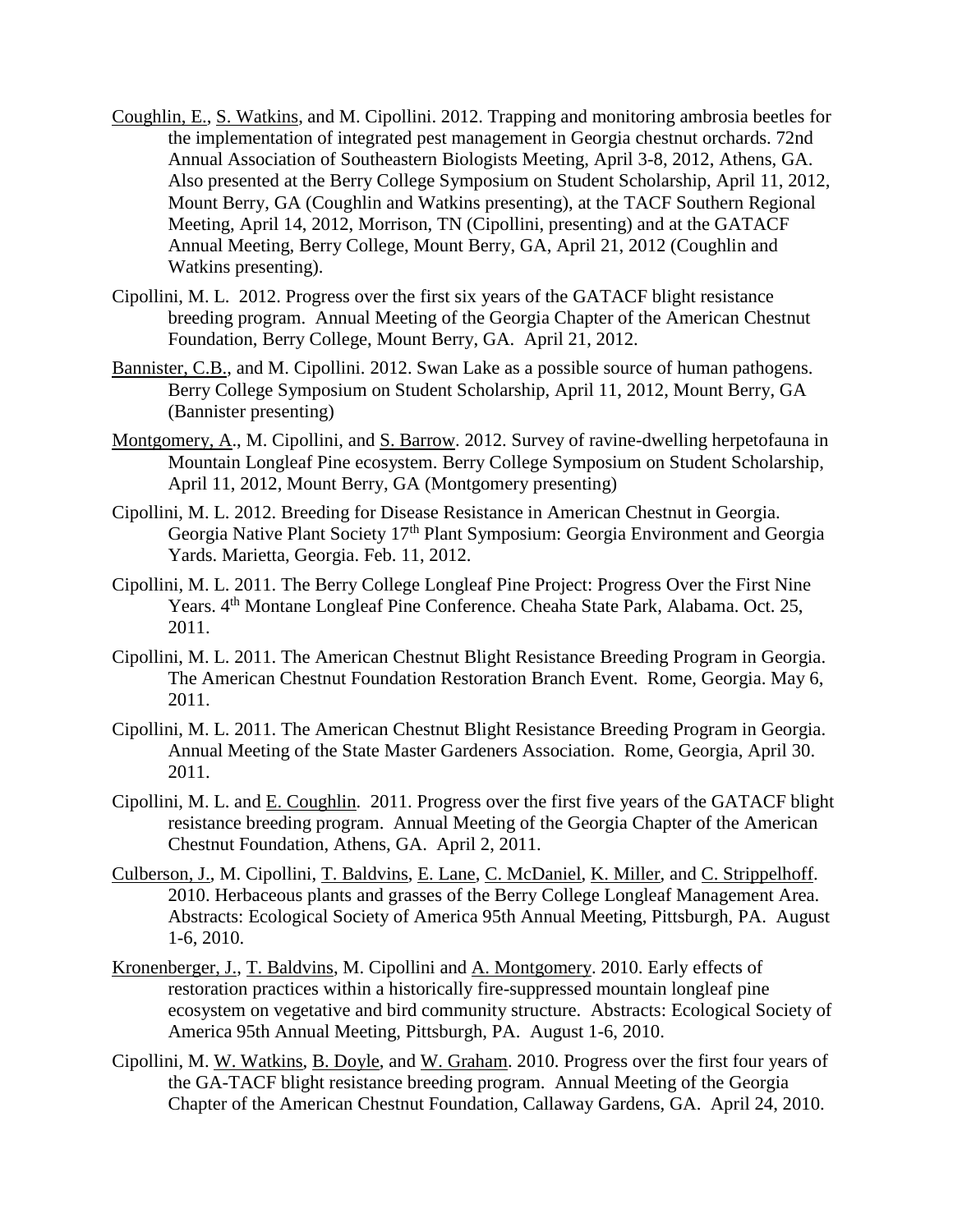- Coughlin, E., S. Watkins, and M. Cipollini. 2012. Trapping and monitoring ambrosia beetles for the implementation of integrated pest management in Georgia chestnut orchards. 72nd Annual Association of Southeastern Biologists Meeting, April 3-8, 2012, Athens, GA. Also presented at the Berry College Symposium on Student Scholarship, April 11, 2012, Mount Berry, GA (Coughlin and Watkins presenting), at the TACF Southern Regional Meeting, April 14, 2012, Morrison, TN (Cipollini, presenting) and at the GATACF Annual Meeting, Berry College, Mount Berry, GA, April 21, 2012 (Coughlin and Watkins presenting).
- Cipollini, M. L. 2012. Progress over the first six years of the GATACF blight resistance breeding program. Annual Meeting of the Georgia Chapter of the American Chestnut Foundation, Berry College, Mount Berry, GA. April 21, 2012.
- Bannister, C.B., and M. Cipollini. 2012. Swan Lake as a possible source of human pathogens. Berry College Symposium on Student Scholarship, April 11, 2012, Mount Berry, GA (Bannister presenting)
- Montgomery, A., M. Cipollini, and S. Barrow. 2012. Survey of ravine-dwelling herpetofauna in Mountain Longleaf Pine ecosystem. Berry College Symposium on Student Scholarship, April 11, 2012, Mount Berry, GA (Montgomery presenting)
- Cipollini, M. L. 2012. Breeding for Disease Resistance in American Chestnut in Georgia. Georgia Native Plant Society 17th Plant Symposium: Georgia Environment and Georgia Yards. Marietta, Georgia. Feb. 11, 2012.
- Cipollini, M. L. 2011. The Berry College Longleaf Pine Project: Progress Over the First Nine Years. 4th Montane Longleaf Pine Conference. Cheaha State Park, Alabama. Oct. 25, 2011.
- Cipollini, M. L. 2011. The American Chestnut Blight Resistance Breeding Program in Georgia. The American Chestnut Foundation Restoration Branch Event. Rome, Georgia. May 6, 2011.
- Cipollini, M. L. 2011. The American Chestnut Blight Resistance Breeding Program in Georgia. Annual Meeting of the State Master Gardeners Association. Rome, Georgia, April 30. 2011.
- Cipollini, M. L. and E. Coughlin. 2011. Progress over the first five years of the GATACF blight resistance breeding program. Annual Meeting of the Georgia Chapter of the American Chestnut Foundation, Athens, GA. April 2, 2011.
- Culberson, J., M. Cipollini, T. Baldvins, E. Lane, C. McDaniel, K. Miller, and C. Strippelhoff. 2010. Herbaceous plants and grasses of the Berry College Longleaf Management Area. Abstracts: Ecological Society of America 95th Annual Meeting, Pittsburgh, PA. August 1-6, 2010.
- Kronenberger, J., T. Baldvins, M. Cipollini and A. Montgomery. 2010. Early effects of restoration practices within a historically fire-suppressed mountain longleaf pine ecosystem on vegetative and bird community structure. Abstracts: Ecological Society of America 95th Annual Meeting, Pittsburgh, PA. August 1-6, 2010.
- Cipollini, M. W. Watkins, B. Doyle, and W. Graham. 2010. Progress over the first four years of the GA-TACF blight resistance breeding program. Annual Meeting of the Georgia Chapter of the American Chestnut Foundation, Callaway Gardens, GA. April 24, 2010.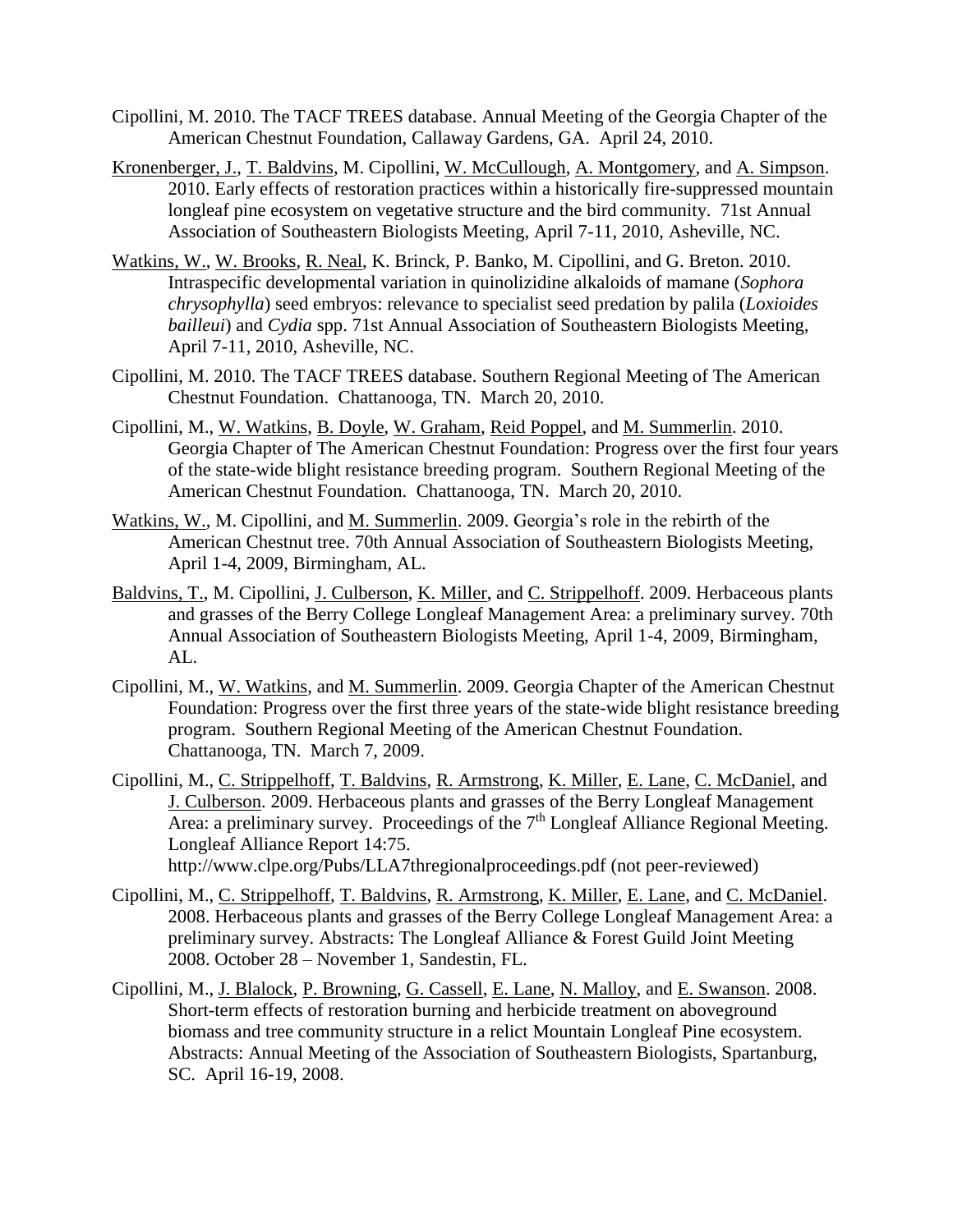- Cipollini, M. 2010. The TACF TREES database. Annual Meeting of the Georgia Chapter of the American Chestnut Foundation, Callaway Gardens, GA. April 24, 2010.
- Kronenberger, J., T. Baldvins, M. Cipollini, W. McCullough, A. Montgomery, and A. Simpson. 2010. Early effects of restoration practices within a historically fire-suppressed mountain longleaf pine ecosystem on vegetative structure and the bird community. 71st Annual Association of Southeastern Biologists Meeting, April 7-11, 2010, Asheville, NC.
- Watkins, W., W. Brooks, R. Neal, K. Brinck, P. Banko, M. Cipollini, and G. Breton. 2010. Intraspecific developmental variation in quinolizidine alkaloids of mamane (*Sophora chrysophylla*) seed embryos: relevance to specialist seed predation by palila (*Loxioides bailleui*) and *Cydia* spp. 71st Annual Association of Southeastern Biologists Meeting, April 7-11, 2010, Asheville, NC.
- Cipollini, M. 2010. The TACF TREES database. Southern Regional Meeting of The American Chestnut Foundation. Chattanooga, TN. March 20, 2010.
- Cipollini, M., W. Watkins, B. Doyle, W. Graham, Reid Poppel, and M. Summerlin. 2010. Georgia Chapter of The American Chestnut Foundation: Progress over the first four years of the state-wide blight resistance breeding program. Southern Regional Meeting of the American Chestnut Foundation. Chattanooga, TN. March 20, 2010.
- Watkins, W., M. Cipollini, and M. Summerlin. 2009. Georgia's role in the rebirth of the American Chestnut tree. 70th Annual Association of Southeastern Biologists Meeting, April 1-4, 2009, Birmingham, AL.
- Baldvins, T., M. Cipollini, J. Culberson, K. Miller, and C. Strippelhoff. 2009. Herbaceous plants and grasses of the Berry College Longleaf Management Area: a preliminary survey. 70th Annual Association of Southeastern Biologists Meeting, April 1-4, 2009, Birmingham, AL.
- Cipollini, M., W. Watkins, and M. Summerlin. 2009. Georgia Chapter of the American Chestnut Foundation: Progress over the first three years of the state-wide blight resistance breeding program. Southern Regional Meeting of the American Chestnut Foundation. Chattanooga, TN. March 7, 2009.
- Cipollini, M., C. Strippelhoff, T. Baldvins, R. Armstrong, K. Miller, E. Lane, C. McDaniel, and J. Culberson. 2009. Herbaceous plants and grasses of the Berry Longleaf Management Area: a preliminary survey. Proceedings of the 7<sup>th</sup> Longleaf Alliance Regional Meeting. Longleaf Alliance Report 14:75. <http://www.clpe.org/Pubs/LLA7thregionalproceedings.pdf> (not peer-reviewed)
- Cipollini, M., C. Strippelhoff, T. Baldvins, R. Armstrong, K. Miller, E. Lane, and C. McDaniel. 2008. Herbaceous plants and grasses of the Berry College Longleaf Management Area: a preliminary survey. Abstracts: The Longleaf Alliance & Forest Guild Joint Meeting 2008. October 28 – November 1, Sandestin, FL.
- Cipollini, M., J. Blalock, P. Browning, G. Cassell, E. Lane, N. Malloy, and E. Swanson. 2008. Short-term effects of restoration burning and herbicide treatment on aboveground biomass and tree community structure in a relict Mountain Longleaf Pine ecosystem. Abstracts: Annual Meeting of the Association of Southeastern Biologists, Spartanburg, SC. April 16-19, 2008.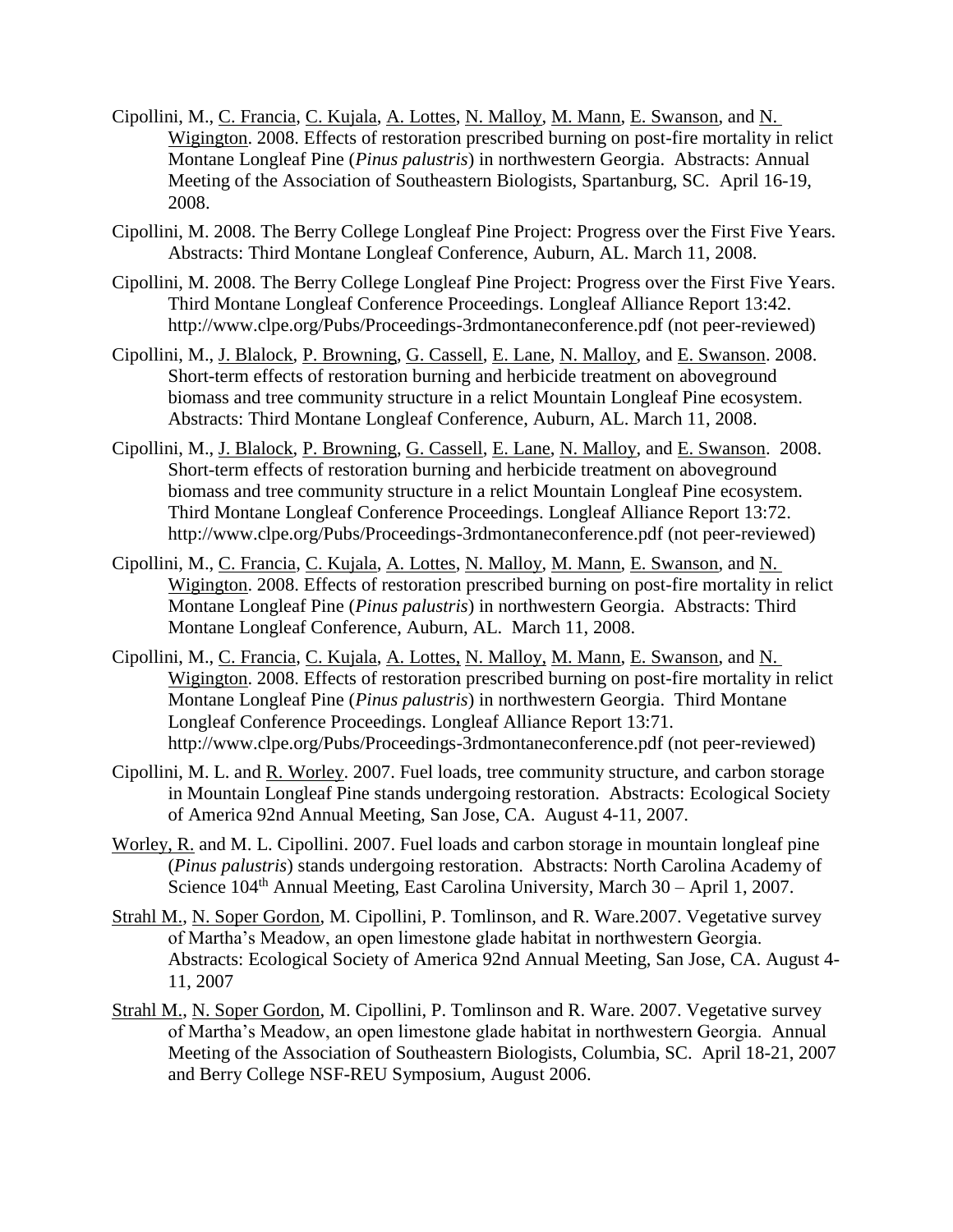- Cipollini, M., C. Francia, C. Kujala, A. Lottes, N. Malloy, M. Mann, E. Swanson, and N. Wigington. 2008. Effects of restoration prescribed burning on post-fire mortality in relict Montane Longleaf Pine (*Pinus palustris*) in northwestern Georgia. Abstracts: Annual Meeting of the Association of Southeastern Biologists, Spartanburg, SC. April 16-19, 2008.
- Cipollini, M. 2008. The Berry College Longleaf Pine Project: Progress over the First Five Years. Abstracts: Third Montane Longleaf Conference, Auburn, AL. March 11, 2008.
- Cipollini, M. 2008. The Berry College Longleaf Pine Project: Progress over the First Five Years. Third Montane Longleaf Conference Proceedings. Longleaf Alliance Report 13:42. <http://www.clpe.org/Pubs/Proceedings-3rdmontaneconference.pdf> (not peer-reviewed)
- Cipollini, M., J. Blalock, P. Browning, G. Cassell, E. Lane, N. Malloy, and E. Swanson. 2008. Short-term effects of restoration burning and herbicide treatment on aboveground biomass and tree community structure in a relict Mountain Longleaf Pine ecosystem. Abstracts: Third Montane Longleaf Conference, Auburn, AL. March 11, 2008.
- Cipollini, M., J. Blalock, P. Browning, G. Cassell, E. Lane, N. Malloy, and E. Swanson. 2008. Short-term effects of restoration burning and herbicide treatment on aboveground biomass and tree community structure in a relict Mountain Longleaf Pine ecosystem. Third Montane Longleaf Conference Proceedings. Longleaf Alliance Report 13:72. <http://www.clpe.org/Pubs/Proceedings-3rdmontaneconference.pdf> (not peer-reviewed)
- Cipollini, M., C. Francia, C. Kujala, A. Lottes, N. Malloy, M. Mann, E. Swanson, and N. Wigington. 2008. Effects of restoration prescribed burning on post-fire mortality in relict Montane Longleaf Pine (*Pinus palustris*) in northwestern Georgia. Abstracts: Third Montane Longleaf Conference, Auburn, AL. March 11, 2008.
- Cipollini, M., C. Francia, C. Kujala, A. Lottes, N. Malloy, M. Mann, E. Swanson, and N. Wigington. 2008. Effects of restoration prescribed burning on post-fire mortality in relict Montane Longleaf Pine (*Pinus palustris*) in northwestern Georgia. Third Montane Longleaf Conference Proceedings. Longleaf Alliance Report 13:71. <http://www.clpe.org/Pubs/Proceedings-3rdmontaneconference.pdf> (not peer-reviewed)
- Cipollini, M. L. and R. Worley. 2007. Fuel loads, tree community structure, and carbon storage in Mountain Longleaf Pine stands undergoing restoration. Abstracts: Ecological Society of America 92nd Annual Meeting, San Jose, CA. August 4-11, 2007.
- Worley, R. and M. L. Cipollini. 2007. Fuel loads and carbon storage in mountain longleaf pine (*Pinus palustris*) stands undergoing restoration. Abstracts: North Carolina Academy of Science  $104<sup>th</sup>$  Annual Meeting, East Carolina University, March  $30$  – April 1, 2007.
- Strahl M., N. Soper Gordon, M. Cipollini, P. Tomlinson, and R. Ware.2007. Vegetative survey of Martha's Meadow, an open limestone glade habitat in northwestern Georgia. Abstracts: Ecological Society of America 92nd Annual Meeting, San Jose, CA. August 4- 11, 2007
- Strahl M., N. Soper Gordon, M. Cipollini, P. Tomlinson and R. Ware. 2007. Vegetative survey of Martha's Meadow, an open limestone glade habitat in northwestern Georgia. Annual Meeting of the Association of Southeastern Biologists, Columbia, SC. April 18-21, 2007 and Berry College NSF-REU Symposium, August 2006.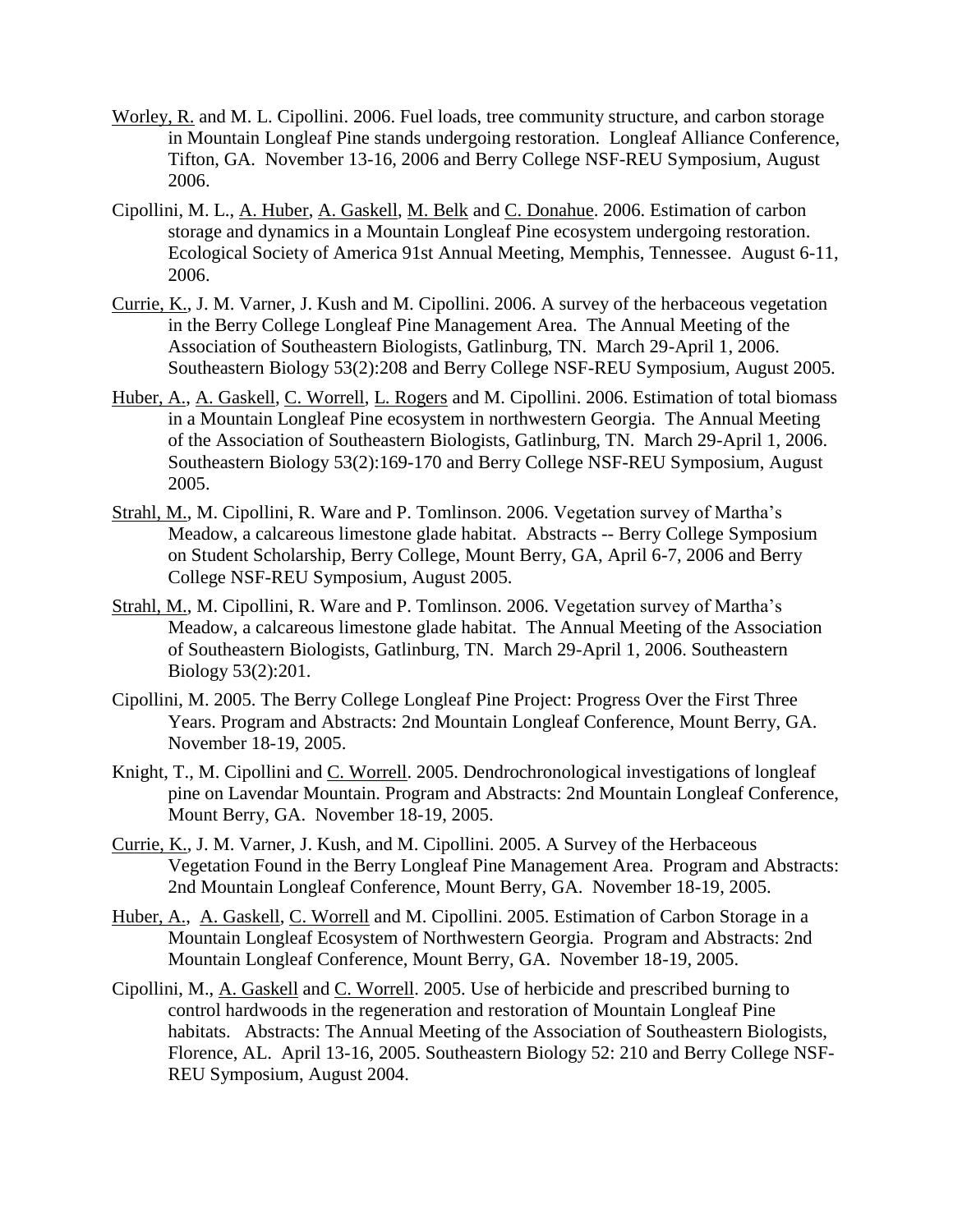- Worley, R. and M. L. Cipollini. 2006. Fuel loads, tree community structure, and carbon storage in Mountain Longleaf Pine stands undergoing restoration. Longleaf Alliance Conference, Tifton, GA. November 13-16, 2006 and Berry College NSF-REU Symposium, August 2006.
- Cipollini, M. L., A. Huber, A. Gaskell, M. Belk and C. Donahue. 2006. Estimation of carbon storage and dynamics in a Mountain Longleaf Pine ecosystem undergoing restoration. Ecological Society of America 91st Annual Meeting, Memphis, Tennessee. August 6-11, 2006.
- Currie, K., J. M. Varner, J. Kush and M. Cipollini. 2006. A survey of the herbaceous vegetation in the Berry College Longleaf Pine Management Area. The Annual Meeting of the Association of Southeastern Biologists, Gatlinburg, TN. March 29-April 1, 2006. Southeastern Biology 53(2):208 and Berry College NSF-REU Symposium, August 2005.
- Huber, A., A. Gaskell, C. Worrell, L. Rogers and M. Cipollini. 2006. Estimation of total biomass in a Mountain Longleaf Pine ecosystem in northwestern Georgia. The Annual Meeting of the Association of Southeastern Biologists, Gatlinburg, TN. March 29-April 1, 2006. Southeastern Biology 53(2):169-170 and Berry College NSF-REU Symposium, August 2005.
- Strahl, M., M. Cipollini, R. Ware and P. Tomlinson. 2006. Vegetation survey of Martha's Meadow, a calcareous limestone glade habitat. Abstracts -- Berry College Symposium on Student Scholarship, Berry College, Mount Berry, GA, April 6-7, 2006 and Berry College NSF-REU Symposium, August 2005.
- Strahl, M., M. Cipollini, R. Ware and P. Tomlinson. 2006. Vegetation survey of Martha's Meadow, a calcareous limestone glade habitat. The Annual Meeting of the Association of Southeastern Biologists, Gatlinburg, TN. March 29-April 1, 2006. Southeastern Biology 53(2):201.
- Cipollini, M. 2005. The Berry College Longleaf Pine Project: Progress Over the First Three Years. Program and Abstracts: 2nd Mountain Longleaf Conference, Mount Berry, GA. November 18-19, 2005.
- Knight, T., M. Cipollini and C. Worrell. 2005. Dendrochronological investigations of longleaf pine on Lavendar Mountain. Program and Abstracts: 2nd Mountain Longleaf Conference, Mount Berry, GA. November 18-19, 2005.
- Currie, K., J. M. Varner, J. Kush, and M. Cipollini. 2005. A Survey of the Herbaceous Vegetation Found in the Berry Longleaf Pine Management Area. Program and Abstracts: 2nd Mountain Longleaf Conference, Mount Berry, GA. November 18-19, 2005.
- Huber, A., A. Gaskell, C. Worrell and M. Cipollini. 2005. Estimation of Carbon Storage in a Mountain Longleaf Ecosystem of Northwestern Georgia. Program and Abstracts: 2nd Mountain Longleaf Conference, Mount Berry, GA. November 18-19, 2005.
- Cipollini, M., A. Gaskell and C. Worrell. 2005. Use of herbicide and prescribed burning to control hardwoods in the regeneration and restoration of Mountain Longleaf Pine habitats. Abstracts: The Annual Meeting of the Association of Southeastern Biologists, Florence, AL. April 13-16, 2005. Southeastern Biology 52: 210 and Berry College NSF-REU Symposium, August 2004.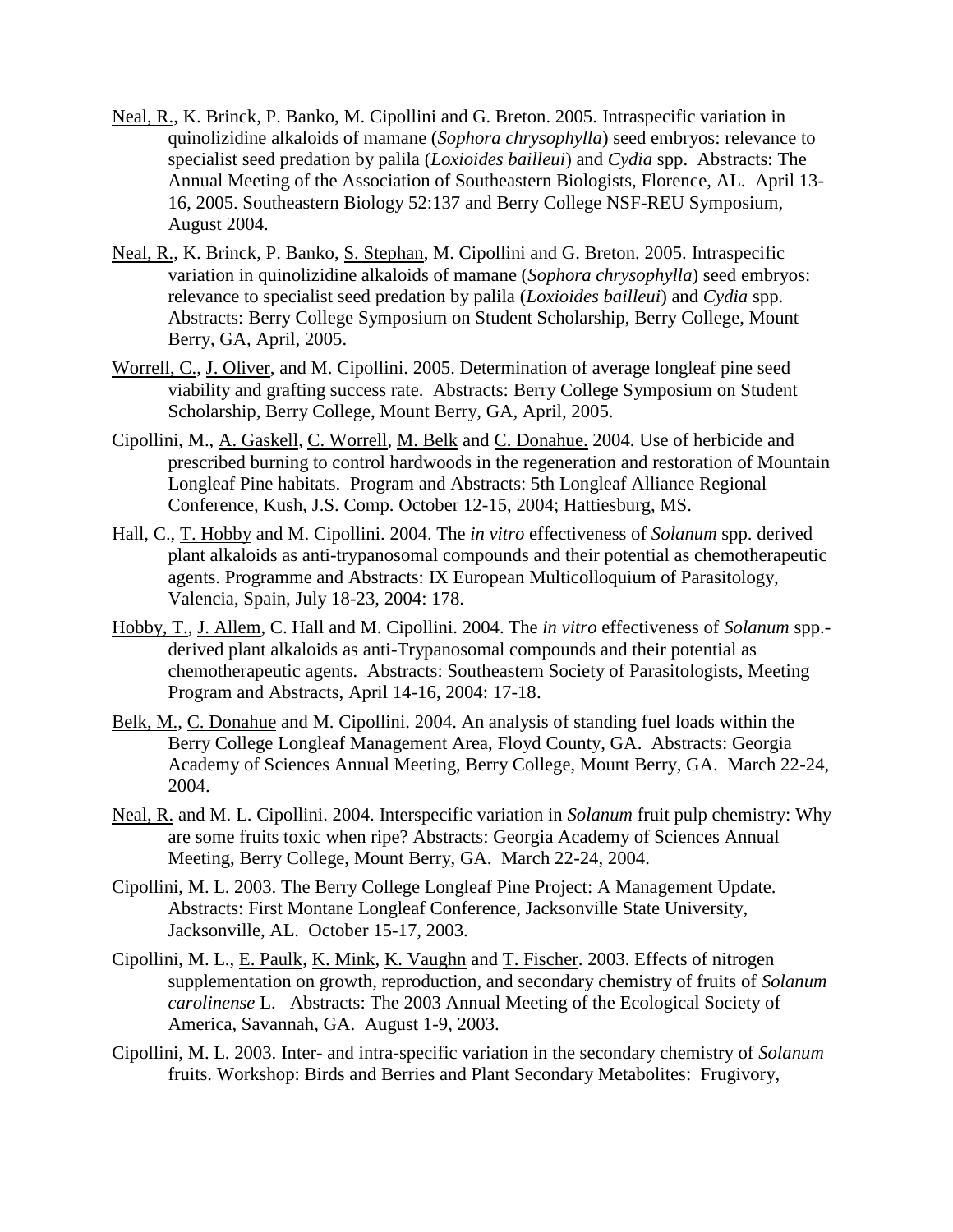- Neal, R., K. Brinck, P. Banko, M. Cipollini and G. Breton. 2005. Intraspecific variation in quinolizidine alkaloids of mamane (*Sophora chrysophylla*) seed embryos: relevance to specialist seed predation by palila (*Loxioides bailleui*) and *Cydia* spp. Abstracts: The Annual Meeting of the Association of Southeastern Biologists, Florence, AL. April 13- 16, 2005. Southeastern Biology 52:137 and Berry College NSF-REU Symposium, August 2004.
- Neal, R., K. Brinck, P. Banko, S. Stephan, M. Cipollini and G. Breton. 2005. Intraspecific variation in quinolizidine alkaloids of mamane (*Sophora chrysophylla*) seed embryos: relevance to specialist seed predation by palila (*Loxioides bailleui*) and *Cydia* spp. Abstracts: Berry College Symposium on Student Scholarship, Berry College, Mount Berry, GA, April, 2005.
- Worrell, C., J. Oliver, and M. Cipollini. 2005. Determination of average longleaf pine seed viability and grafting success rate. Abstracts: Berry College Symposium on Student Scholarship, Berry College, Mount Berry, GA, April, 2005.
- Cipollini, M., A. Gaskell, C. Worrell, M. Belk and C. Donahue. 2004. Use of herbicide and prescribed burning to control hardwoods in the regeneration and restoration of Mountain Longleaf Pine habitats. Program and Abstracts: 5th Longleaf Alliance Regional Conference, Kush, J.S. Comp. October 12-15, 2004; Hattiesburg, MS.
- Hall, C., T. Hobby and M. Cipollini. 2004. The *in vitro* effectiveness of *Solanum* spp. derived plant alkaloids as anti-trypanosomal compounds and their potential as chemotherapeutic agents. Programme and Abstracts: IX European Multicolloquium of Parasitology, Valencia, Spain, July 18-23, 2004: 178.
- Hobby, T., J. Allem, C. Hall and M. Cipollini. 2004. The *in vitro* effectiveness of *Solanum* spp. derived plant alkaloids as anti-Trypanosomal compounds and their potential as chemotherapeutic agents. Abstracts: Southeastern Society of Parasitologists, Meeting Program and Abstracts, April 14-16, 2004: 17-18.
- Belk, M., C. Donahue and M. Cipollini. 2004. An analysis of standing fuel loads within the Berry College Longleaf Management Area, Floyd County, GA. Abstracts: Georgia Academy of Sciences Annual Meeting, Berry College, Mount Berry, GA. March 22-24, 2004.
- Neal, R. and M. L. Cipollini. 2004. Interspecific variation in *Solanum* fruit pulp chemistry: Why are some fruits toxic when ripe? Abstracts: Georgia Academy of Sciences Annual Meeting, Berry College, Mount Berry, GA. March 22-24, 2004.
- Cipollini, M. L. 2003. The Berry College Longleaf Pine Project: A Management Update. Abstracts: First Montane Longleaf Conference, Jacksonville State University, Jacksonville, AL. October 15-17, 2003.
- Cipollini, M. L., E. Paulk, K. Mink, K. Vaughn and T. Fischer. 2003. Effects of nitrogen supplementation on growth, reproduction, and secondary chemistry of fruits of *Solanum carolinense* L. Abstracts: The 2003 Annual Meeting of the Ecological Society of America, Savannah, GA. August 1-9, 2003.
- Cipollini, M. L. 2003. Inter- and intra-specific variation in the secondary chemistry of *Solanum* fruits. Workshop: Birds and Berries and Plant Secondary Metabolites: Frugivory,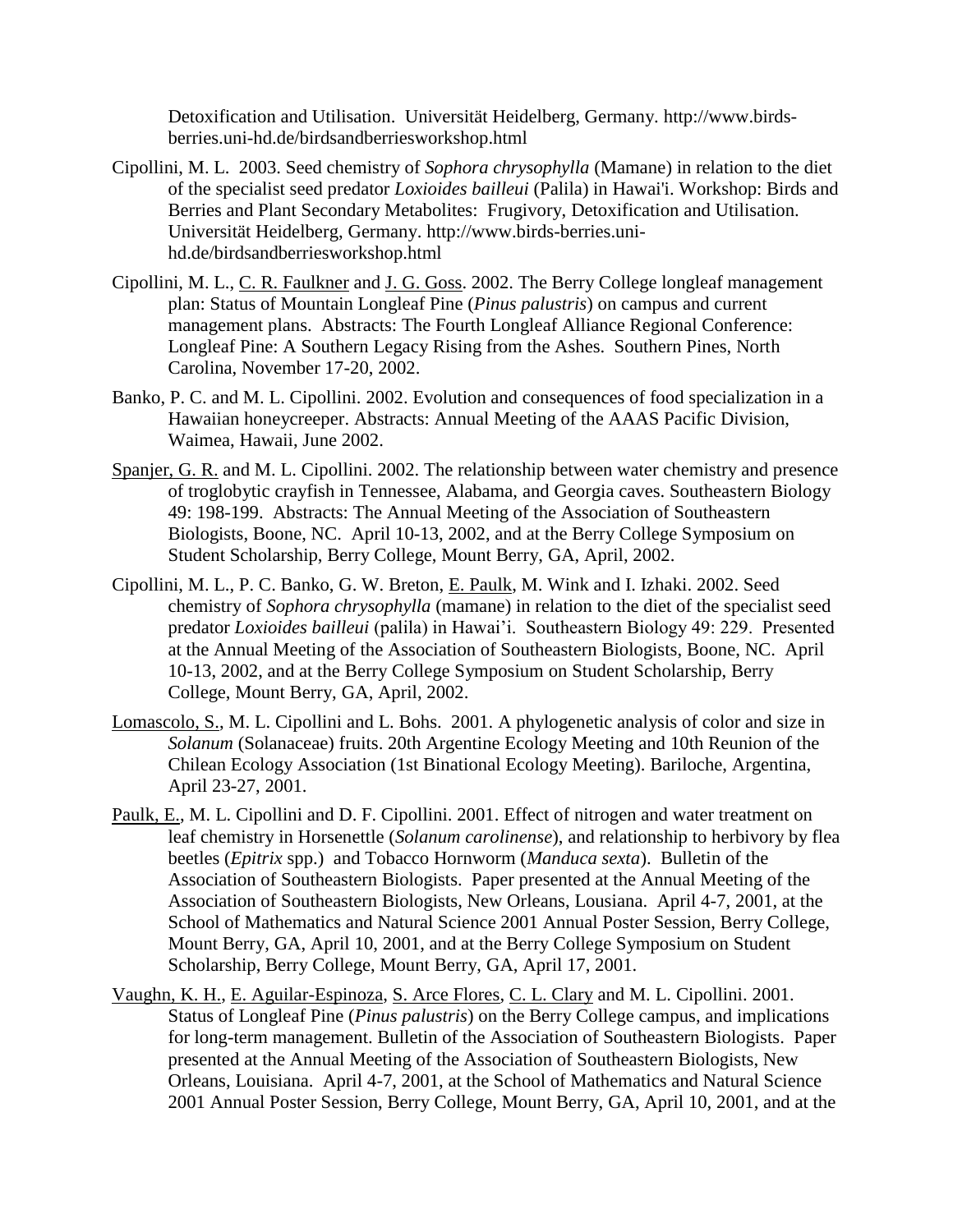Detoxification and Utilisation. Universität Heidelberg, Germany. [http://www.birds](http://www.birds-berries.uni-hd.de/birdsandberriesworkshop.html)[berries.uni-hd.de/birdsandberriesworkshop.html](http://www.birds-berries.uni-hd.de/birdsandberriesworkshop.html)

- Cipollini, M. L. 2003. Seed chemistry of *Sophora chrysophylla* (Mamane) in relation to the diet of the specialist seed predator *Loxioides bailleui* (Palila) in Hawai'i. Workshop: Birds and Berries and Plant Secondary Metabolites: Frugivory, Detoxification and Utilisation. Universität Heidelberg, Germany. [http://www.birds-berries.uni](http://www.birds-berries.uni-hd.de/birdsandberriesworkshop.html)[hd.de/birdsandberriesworkshop.html](http://www.birds-berries.uni-hd.de/birdsandberriesworkshop.html)
- Cipollini, M. L., C. R. Faulkner and J. G. Goss. 2002. The Berry College longleaf management plan: Status of Mountain Longleaf Pine (*Pinus palustris*) on campus and current management plans. Abstracts: The Fourth Longleaf Alliance Regional Conference: Longleaf Pine: A Southern Legacy Rising from the Ashes. Southern Pines, North Carolina, November 17-20, 2002.
- Banko, P. C. and M. L. Cipollini. 2002. Evolution and consequences of food specialization in a Hawaiian honeycreeper. Abstracts: Annual Meeting of the AAAS Pacific Division, Waimea, Hawaii, June 2002.
- Spanjer, G. R. and M. L. Cipollini. 2002. The relationship between water chemistry and presence of troglobytic crayfish in Tennessee, Alabama, and Georgia caves. Southeastern Biology 49: 198-199. Abstracts: The Annual Meeting of the Association of Southeastern Biologists, Boone, NC. April 10-13, 2002, and at the Berry College Symposium on Student Scholarship, Berry College, Mount Berry, GA, April, 2002.
- Cipollini, M. L., P. C. Banko, G. W. Breton, E. Paulk, M. Wink and I. Izhaki. 2002. Seed chemistry of *Sophora chrysophylla* (mamane) in relation to the diet of the specialist seed predator *Loxioides bailleui* (palila) in Hawai'i. Southeastern Biology 49: 229. Presented at the Annual Meeting of the Association of Southeastern Biologists, Boone, NC. April 10-13, 2002, and at the Berry College Symposium on Student Scholarship, Berry College, Mount Berry, GA, April, 2002.
- Lomascolo, S., M. L. Cipollini and L. Bohs. 2001. A phylogenetic analysis of color and size in *Solanum* (Solanaceae) fruits. 20th Argentine Ecology Meeting and 10th Reunion of the Chilean Ecology Association (1st Binational Ecology Meeting). Bariloche, Argentina, April 23-27, 2001.
- Paulk, E., M. L. Cipollini and D. F. Cipollini. 2001. Effect of nitrogen and water treatment on leaf chemistry in Horsenettle (*Solanum carolinense*), and relationship to herbivory by flea beetles (*Epitrix* spp.) and Tobacco Hornworm (*Manduca sexta*). Bulletin of the Association of Southeastern Biologists. Paper presented at the Annual Meeting of the Association of Southeastern Biologists, New Orleans, Lousiana. April 4-7, 2001, at the School of Mathematics and Natural Science 2001 Annual Poster Session, Berry College, Mount Berry, GA, April 10, 2001, and at the Berry College Symposium on Student Scholarship, Berry College, Mount Berry, GA, April 17, 2001.
- Vaughn, K. H., E. Aguilar-Espinoza, S. Arce Flores, C. L. Clary and M. L. Cipollini. 2001. Status of Longleaf Pine (*Pinus palustris*) on the Berry College campus, and implications for long-term management. Bulletin of the Association of Southeastern Biologists. Paper presented at the Annual Meeting of the Association of Southeastern Biologists, New Orleans, Louisiana. April 4-7, 2001, at the School of Mathematics and Natural Science 2001 Annual Poster Session, Berry College, Mount Berry, GA, April 10, 2001, and at the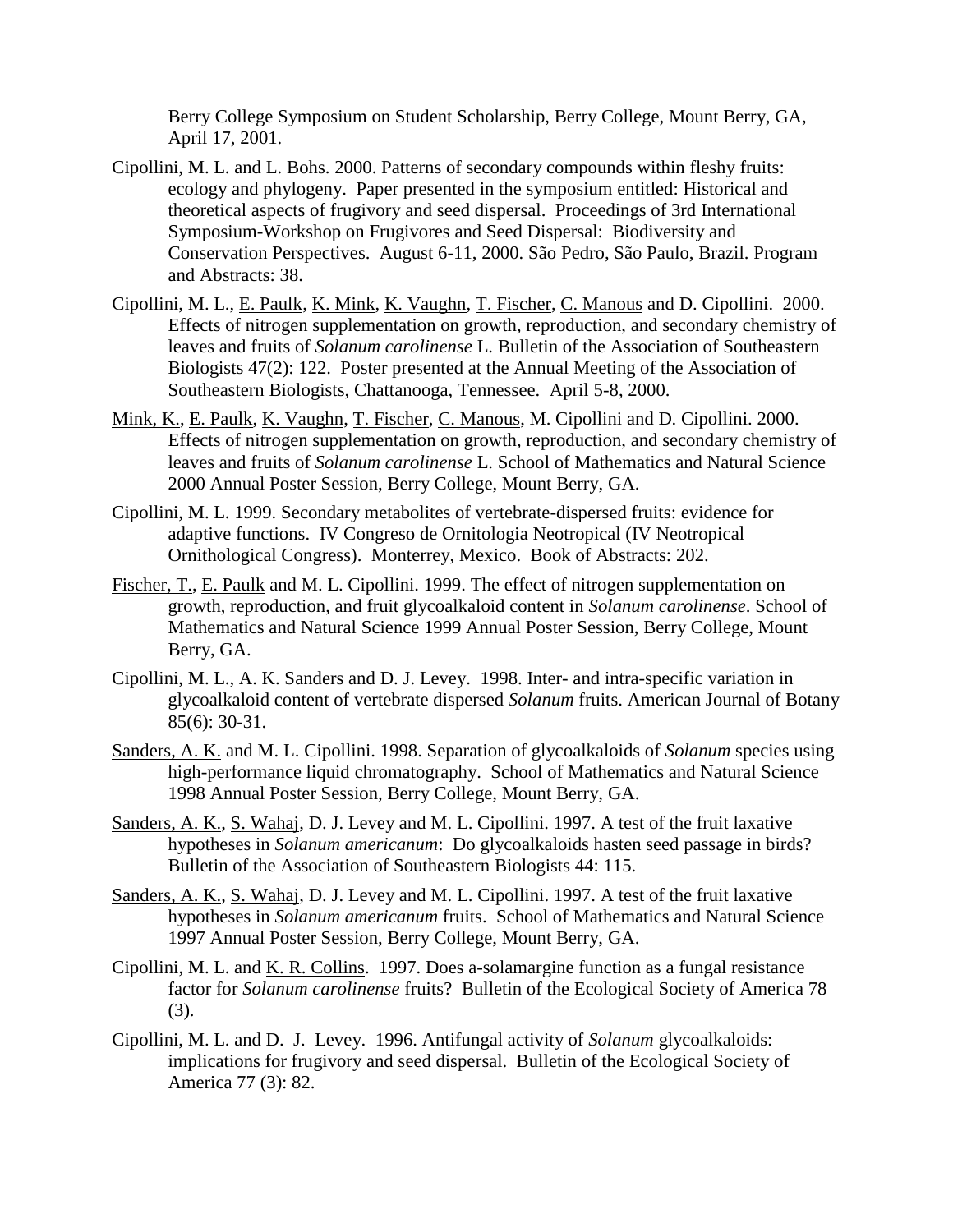Berry College Symposium on Student Scholarship, Berry College, Mount Berry, GA, April 17, 2001.

- Cipollini, M. L. and L. Bohs. 2000. Patterns of secondary compounds within fleshy fruits: ecology and phylogeny. Paper presented in the symposium entitled: Historical and theoretical aspects of frugivory and seed dispersal. Proceedings of 3rd International Symposium-Workshop on Frugivores and Seed Dispersal: Biodiversity and Conservation Perspectives. August 6-11, 2000. São Pedro, São Paulo, Brazil. Program and Abstracts: 38.
- Cipollini, M. L., E. Paulk, K. Mink, K. Vaughn, T. Fischer, C. Manous and D. Cipollini. 2000. Effects of nitrogen supplementation on growth, reproduction, and secondary chemistry of leaves and fruits of *Solanum carolinense* L. Bulletin of the Association of Southeastern Biologists 47(2): 122. Poster presented at the Annual Meeting of the Association of Southeastern Biologists, Chattanooga, Tennessee. April 5-8, 2000.
- Mink, K., E. Paulk, K. Vaughn, T. Fischer, C. Manous, M. Cipollini and D. Cipollini. 2000. Effects of nitrogen supplementation on growth, reproduction, and secondary chemistry of leaves and fruits of *Solanum carolinense* L. School of Mathematics and Natural Science 2000 Annual Poster Session, Berry College, Mount Berry, GA.
- Cipollini, M. L. 1999. Secondary metabolites of vertebrate-dispersed fruits: evidence for adaptive functions. IV Congreso de Ornitologia Neotropical (IV Neotropical Ornithological Congress). Monterrey, Mexico. Book of Abstracts: 202.
- Fischer, T., E. Paulk and M. L. Cipollini. 1999. The effect of nitrogen supplementation on growth, reproduction, and fruit glycoalkaloid content in *Solanum carolinense*. School of Mathematics and Natural Science 1999 Annual Poster Session, Berry College, Mount Berry, GA.
- Cipollini, M. L., A. K. Sanders and D. J. Levey. 1998. Inter- and intra-specific variation in glycoalkaloid content of vertebrate dispersed *Solanum* fruits. American Journal of Botany 85(6): 30-31.
- Sanders, A. K. and M. L. Cipollini. 1998. Separation of glycoalkaloids of *Solanum* species using high-performance liquid chromatography. School of Mathematics and Natural Science 1998 Annual Poster Session, Berry College, Mount Berry, GA.
- Sanders, A. K., S. Wahaj, D. J. Levey and M. L. Cipollini. 1997. A test of the fruit laxative hypotheses in *Solanum americanum*: Do glycoalkaloids hasten seed passage in birds? Bulletin of the Association of Southeastern Biologists 44: 115.
- Sanders, A. K., S. Wahaj, D. J. Levey and M. L. Cipollini. 1997. A test of the fruit laxative hypotheses in *Solanum americanum* fruits. School of Mathematics and Natural Science 1997 Annual Poster Session, Berry College, Mount Berry, GA.
- Cipollini, M. L. and K. R. Collins. 1997. Does a-solamargine function as a fungal resistance factor for *Solanum carolinense* fruits? Bulletin of the Ecological Society of America 78 (3).
- Cipollini, M. L. and D. J. Levey. 1996. Antifungal activity of *Solanum* glycoalkaloids: implications for frugivory and seed dispersal. Bulletin of the Ecological Society of America 77 (3): 82.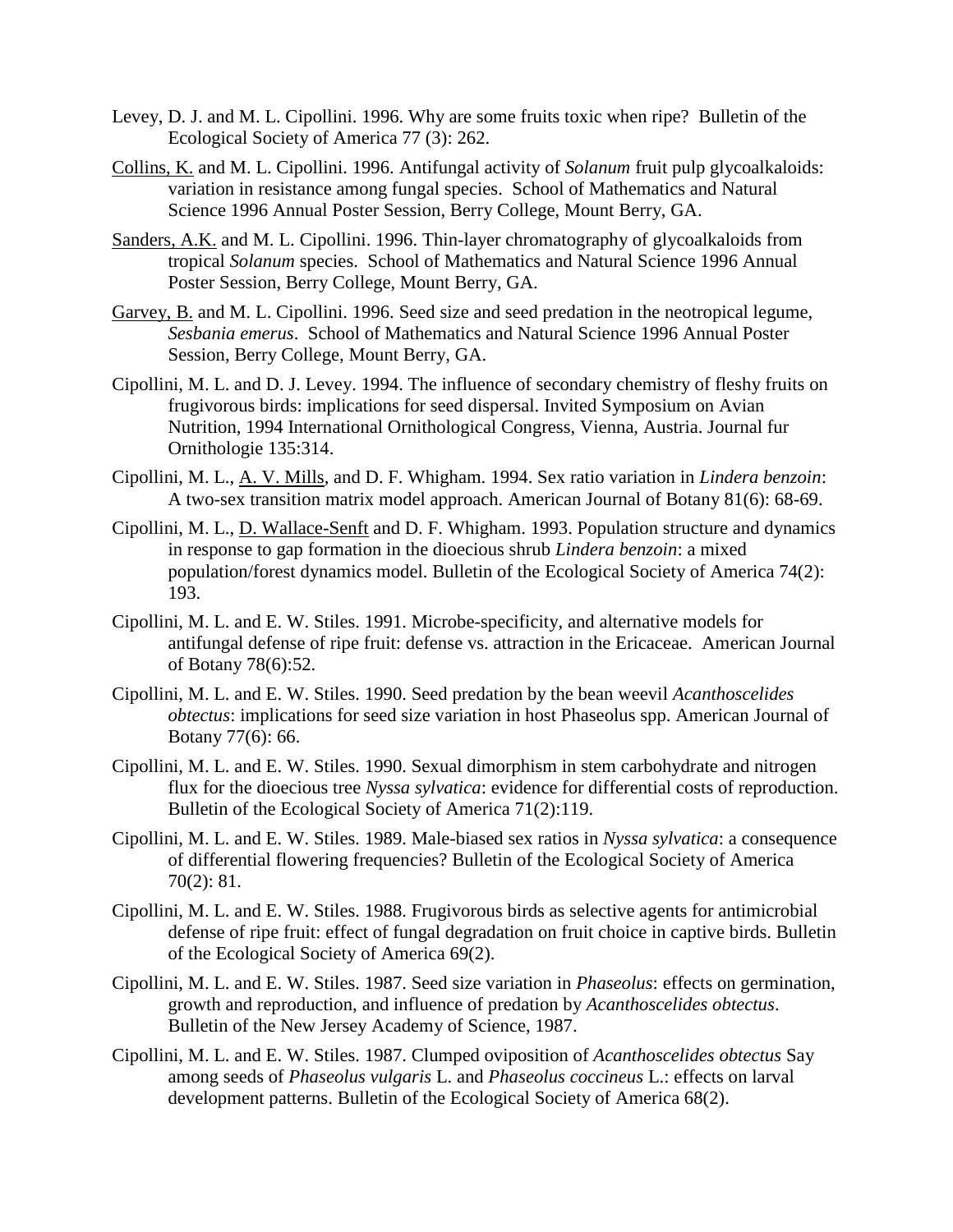- Levey, D. J. and M. L. Cipollini. 1996. Why are some fruits toxic when ripe? Bulletin of the Ecological Society of America 77 (3): 262.
- Collins, K. and M. L. Cipollini. 1996. Antifungal activity of *Solanum* fruit pulp glycoalkaloids: variation in resistance among fungal species. School of Mathematics and Natural Science 1996 Annual Poster Session, Berry College, Mount Berry, GA.
- Sanders, A.K. and M. L. Cipollini. 1996. Thin-layer chromatography of glycoalkaloids from tropical *Solanum* species. School of Mathematics and Natural Science 1996 Annual Poster Session, Berry College, Mount Berry, GA.
- Garvey, B. and M. L. Cipollini. 1996. Seed size and seed predation in the neotropical legume, *Sesbania emerus*. School of Mathematics and Natural Science 1996 Annual Poster Session, Berry College, Mount Berry, GA.
- Cipollini, M. L. and D. J. Levey. 1994. The influence of secondary chemistry of fleshy fruits on frugivorous birds: implications for seed dispersal. Invited Symposium on Avian Nutrition, 1994 International Ornithological Congress, Vienna, Austria. Journal fur Ornithologie 135:314.
- Cipollini, M. L., A. V. Mills, and D. F. Whigham. 1994. Sex ratio variation in *Lindera benzoin*: A two-sex transition matrix model approach. American Journal of Botany 81(6): 68-69.
- Cipollini, M. L., D. Wallace-Senft and D. F. Whigham. 1993. Population structure and dynamics in response to gap formation in the dioecious shrub *Lindera benzoin*: a mixed population/forest dynamics model. Bulletin of the Ecological Society of America 74(2): 193.
- Cipollini, M. L. and E. W. Stiles. 1991. Microbe-specificity, and alternative models for antifungal defense of ripe fruit: defense vs. attraction in the Ericaceae. American Journal of Botany 78(6):52.
- Cipollini, M. L. and E. W. Stiles. 1990. Seed predation by the bean weevil *Acanthoscelides obtectus*: implications for seed size variation in host Phaseolus spp. American Journal of Botany 77(6): 66.
- Cipollini, M. L. and E. W. Stiles. 1990. Sexual dimorphism in stem carbohydrate and nitrogen flux for the dioecious tree *Nyssa sylvatica*: evidence for differential costs of reproduction. Bulletin of the Ecological Society of America 71(2):119.
- Cipollini, M. L. and E. W. Stiles. 1989. Male-biased sex ratios in *Nyssa sylvatica*: a consequence of differential flowering frequencies? Bulletin of the Ecological Society of America 70(2): 81.
- Cipollini, M. L. and E. W. Stiles. 1988. Frugivorous birds as selective agents for antimicrobial defense of ripe fruit: effect of fungal degradation on fruit choice in captive birds. Bulletin of the Ecological Society of America 69(2).
- Cipollini, M. L. and E. W. Stiles. 1987. Seed size variation in *Phaseolus*: effects on germination, growth and reproduction, and influence of predation by *Acanthoscelides obtectus*. Bulletin of the New Jersey Academy of Science, 1987.
- Cipollini, M. L. and E. W. Stiles. 1987. Clumped oviposition of *Acanthoscelides obtectus* Say among seeds of *Phaseolus vulgaris* L. and *Phaseolus coccineus* L.: effects on larval development patterns. Bulletin of the Ecological Society of America 68(2).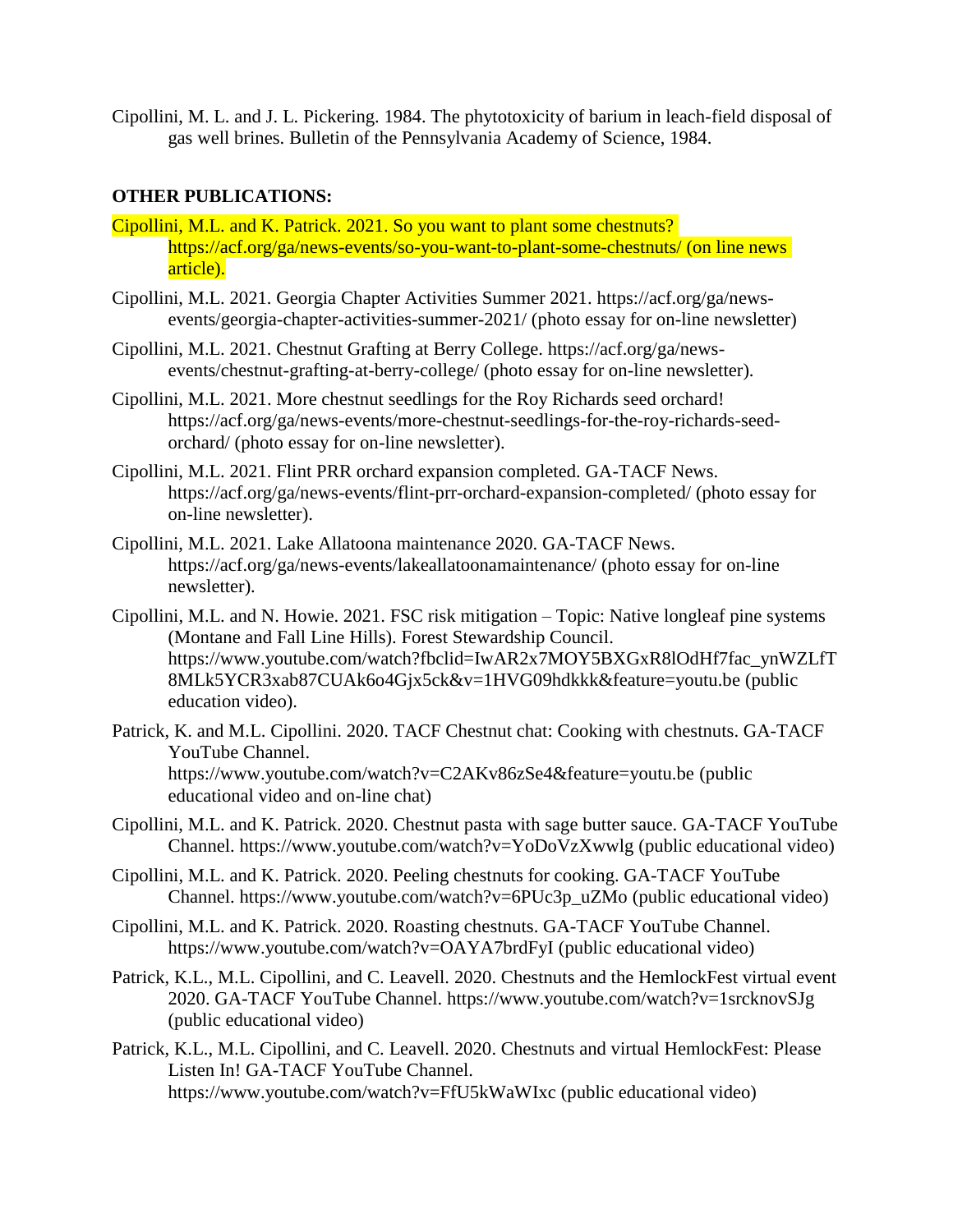Cipollini, M. L. and J. L. Pickering. 1984. The phytotoxicity of barium in leach-field disposal of gas well brines. Bulletin of the Pennsylvania Academy of Science, 1984.

## **OTHER PUBLICATIONS:**

- Cipollini, M.L. and K. Patrick. 2021. So you want to plant some chestnuts? <https://acf.org/ga/news-events/so-you-want-to-plant-some-chestnuts/> (on line news article).
- Cipollini, M.L. 2021. Georgia Chapter Activities Summer 2021. [https://acf.org/ga/news](https://acf.org/ga/news-events/georgia-chapter-activities-summer-2021/)[events/georgia-chapter-activities-summer-2021/](https://acf.org/ga/news-events/georgia-chapter-activities-summer-2021/) (photo essay for on-line newsletter)
- Cipollini, M.L. 2021. Chestnut Grafting at Berry College. https://acf.org/ga/newsevents/chestnut-grafting-at-berry-college/ (photo essay for on-line newsletter).
- Cipollini, M.L. 2021. More chestnut seedlings for the Roy Richards seed orchard! [https://acf.org/ga/news-events/more-chestnut-seedlings-for-the-roy-richards-seed](https://acf.org/ga/news-events/more-chestnut-seedlings-for-the-roy-richards-seed-orchard/)[orchard/](https://acf.org/ga/news-events/more-chestnut-seedlings-for-the-roy-richards-seed-orchard/) (photo essay for on-line newsletter).
- Cipollini, M.L. 2021. Flint PRR orchard expansion completed. GA-TACF News. <https://acf.org/ga/news-events/flint-prr-orchard-expansion-completed/> (photo essay for on-line newsletter).
- Cipollini, M.L. 2021. Lake Allatoona maintenance 2020. GA-TACF News. <https://acf.org/ga/news-events/lakeallatoonamaintenance/> (photo essay for on-line newsletter).
- Cipollini, M.L. and N. Howie. 2021. FSC risk mitigation Topic: Native longleaf pine systems (Montane and Fall Line Hills). Forest Stewardship Council. [https://www.youtube.com/watch?fbclid=IwAR2x7MOY5BXGxR8lOdHf7fac\\_ynWZLfT](https://www.youtube.com/watch?fbclid=IwAR2x7MOY5BXGxR8lOdHf7fac_ynWZLfT8MLk5YCR3xab87CUAk6o4Gjx5ck&v=1HVG09hdkkk&feature=youtu.be) [8MLk5YCR3xab87CUAk6o4Gjx5ck&v=1HVG09hdkkk&feature=youtu.be](https://www.youtube.com/watch?fbclid=IwAR2x7MOY5BXGxR8lOdHf7fac_ynWZLfT8MLk5YCR3xab87CUAk6o4Gjx5ck&v=1HVG09hdkkk&feature=youtu.be) (public education video).
- Patrick, K. and M.L. Cipollini. 2020. TACF Chestnut chat: Cooking with chestnuts. GA-TACF YouTube Channel. https://www.youtube.com/watch?v=C2AKv86zSe4&feature=youtu.be (public educational video and on-line chat)
- Cipollini, M.L. and K. Patrick. 2020. Chestnut pasta with sage butter sauce. GA-TACF YouTube Channel.<https://www.youtube.com/watch?v=YoDoVzXwwlg> (public educational video)
- Cipollini, M.L. and K. Patrick. 2020. Peeling chestnuts for cooking. GA-TACF YouTube Channel. [https://www.youtube.com/watch?v=6PUc3p\\_uZMo](https://www.youtube.com/watch?v=6PUc3p_uZMo) (public educational video)
- Cipollini, M.L. and K. Patrick. 2020. Roasting chestnuts. GA-TACF YouTube Channel. https://www.youtube.com/watch?v=OAYA7brdFyI (public educational video)
- Patrick, K.L., M.L. Cipollini, and C. Leavell. 2020. Chestnuts and the HemlockFest virtual event 2020. GA-TACF YouTube Channel.<https://www.youtube.com/watch?v=1srcknovSJg> (public educational video)
- Patrick, K.L., M.L. Cipollini, and C. Leavell. 2020. Chestnuts and virtual HemlockFest: Please Listen In! GA-TACF YouTube Channel. <https://www.youtube.com/watch?v=FfU5kWaWIxc> (public educational video)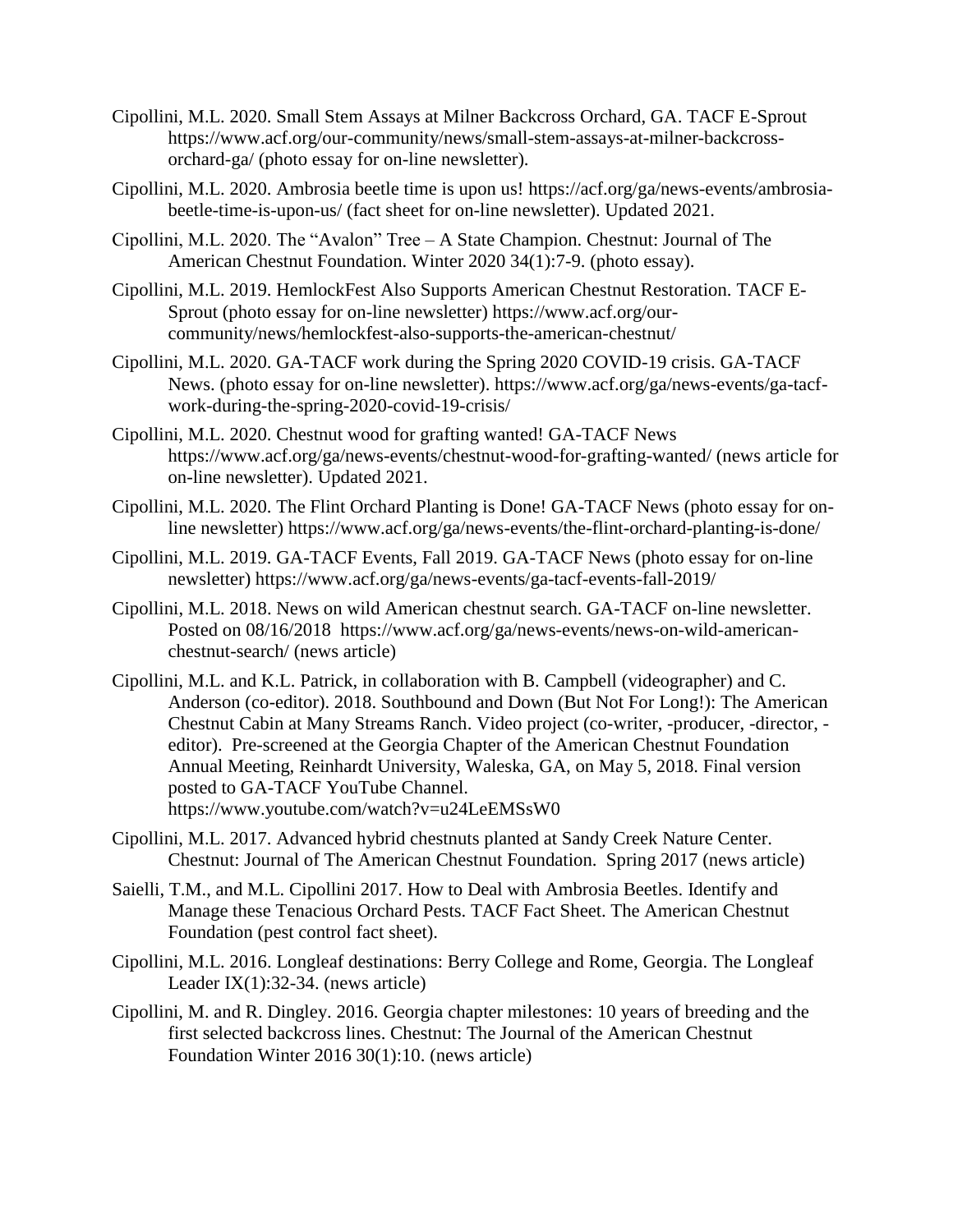- Cipollini, M.L. 2020. Small Stem Assays at Milner Backcross Orchard, GA. TACF E-Sprout [https://www.acf.org/our-community/news/small-stem-assays-at-milner-backcross](https://www.acf.org/our-community/news/small-stem-assays-at-milner-backcross-orchard-ga/)[orchard-ga/](https://www.acf.org/our-community/news/small-stem-assays-at-milner-backcross-orchard-ga/) (photo essay for on-line newsletter).
- Cipollini, M.L. 2020. Ambrosia beetle time is upon us! [https://acf.org/ga/news-events/ambrosia](https://acf.org/ga/news-events/ambrosia-beetle-time-is-upon-us/)[beetle-time-is-upon-us/](https://acf.org/ga/news-events/ambrosia-beetle-time-is-upon-us/) (fact sheet for on-line newsletter). Updated 2021.
- Cipollini, M.L. 2020. The "Avalon" Tree A State Champion. Chestnut: Journal of The American Chestnut Foundation. Winter 2020 34(1):7-9. (photo essay).
- Cipollini, M.L. 2019. HemlockFest Also Supports American Chestnut Restoration. TACF E-Sprout (photo essay for on-line newsletter) [https://www.acf.org/our](https://www.acf.org/our-community/news/hemlockfest-also-supports-the-american-chestnut/)[community/news/hemlockfest-also-supports-the-american-chestnut/](https://www.acf.org/our-community/news/hemlockfest-also-supports-the-american-chestnut/)
- Cipollini, M.L. 2020. GA-TACF work during the Spring 2020 COVID-19 crisis. GA-TACF News. (photo essay for on-line newsletter). [https://www.acf.org/ga/news-events/ga-tacf](https://www.acf.org/ga/news-events/ga-tacf-work-during-the-spring-2020-covid-19-crisis/)[work-during-the-spring-2020-covid-19-crisis/](https://www.acf.org/ga/news-events/ga-tacf-work-during-the-spring-2020-covid-19-crisis/)
- Cipollini, M.L. 2020. Chestnut wood for grafting wanted! GA-TACF News <https://www.acf.org/ga/news-events/chestnut-wood-for-grafting-wanted/> (news article for on-line newsletter). Updated 2021.
- Cipollini, M.L. 2020. The Flint Orchard Planting is Done! GA-TACF News (photo essay for online newsletter)<https://www.acf.org/ga/news-events/the-flint-orchard-planting-is-done/>
- Cipollini, M.L. 2019. GA-TACF Events, Fall 2019. GA-TACF News (photo essay for on-line newsletter)<https://www.acf.org/ga/news-events/ga-tacf-events-fall-2019/>
- Cipollini, M.L. 2018. News on wild American chestnut search. GA-TACF on-line newsletter. Posted on 08/16/2018 [https://www.acf.org/ga/news-events/news-on-wild-american](https://www.acf.org/ga/news-events/news-on-wild-american-chestnut-search/)[chestnut-search/](https://www.acf.org/ga/news-events/news-on-wild-american-chestnut-search/) (news article)
- Cipollini, M.L. and K.L. Patrick, in collaboration with B. Campbell (videographer) and C. Anderson (co-editor). 2018. Southbound and Down (But Not For Long!): The American Chestnut Cabin at Many Streams Ranch. Video project (co-writer, -producer, -director, editor). Pre-screened at the Georgia Chapter of the American Chestnut Foundation Annual Meeting, Reinhardt University, Waleska, GA, on May 5, 2018. Final version posted to GA-TACF YouTube Channel. <https://www.youtube.com/watch?v=u24LeEMSsW0>
- Cipollini, M.L. 2017. Advanced hybrid chestnuts planted at Sandy Creek Nature Center. Chestnut: Journal of The American Chestnut Foundation. Spring 2017 (news article)
- Saielli, T.M., and M.L. Cipollini 2017. How to Deal with Ambrosia Beetles. Identify and Manage these Tenacious Orchard Pests. TACF Fact Sheet. The American Chestnut Foundation (pest control fact sheet).
- Cipollini, M.L. 2016. Longleaf destinations: Berry College and Rome, Georgia. The Longleaf Leader IX(1):32-34. (news article)
- Cipollini, M. and R. Dingley. 2016. Georgia chapter milestones: 10 years of breeding and the first selected backcross lines. Chestnut: The Journal of the American Chestnut Foundation Winter 2016 30(1):10. (news article)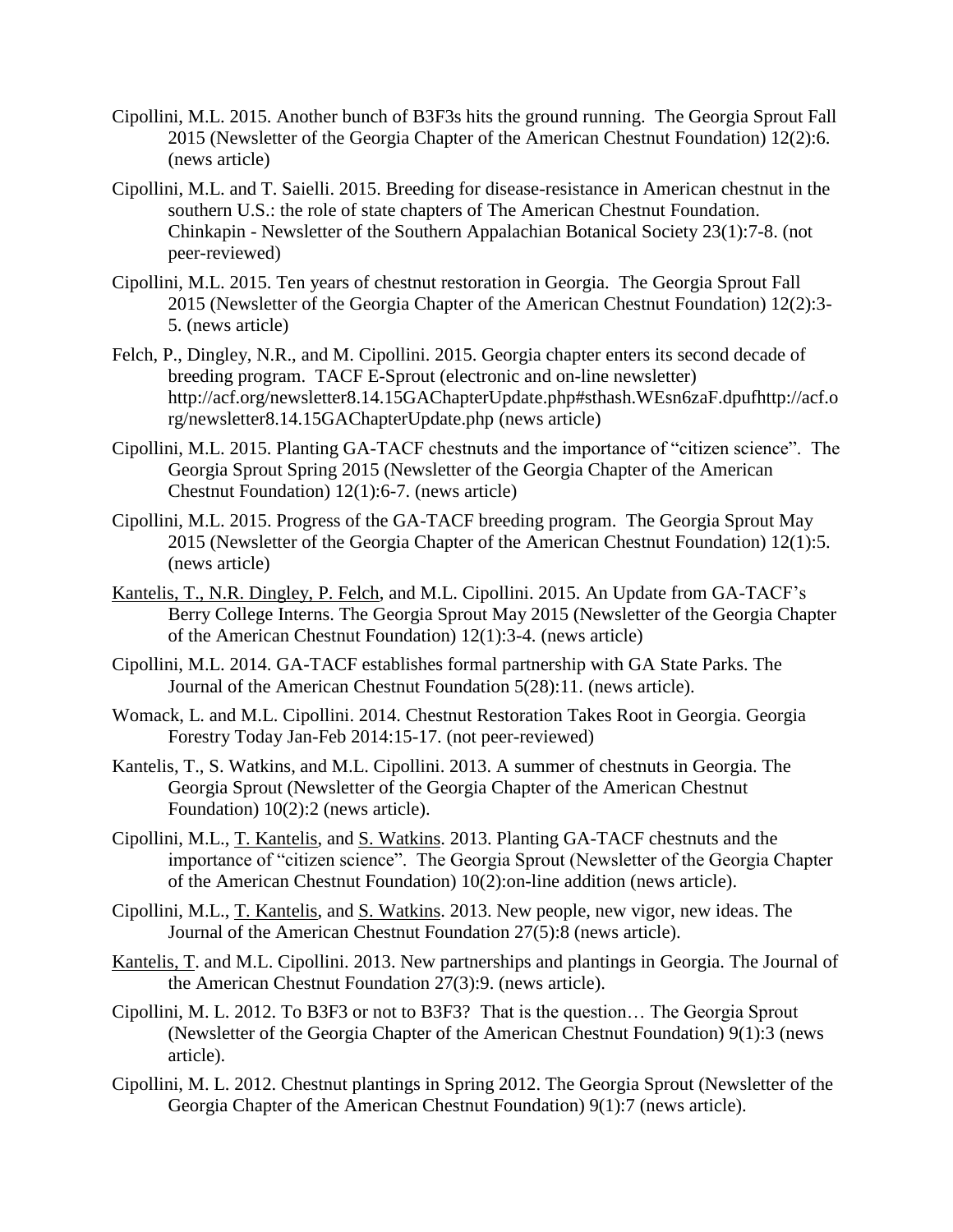- Cipollini, M.L. 2015. Another bunch of B3F3s hits the ground running. The Georgia Sprout Fall 2015 (Newsletter of the Georgia Chapter of the American Chestnut Foundation) 12(2):6. (news article)
- Cipollini, M.L. and T. Saielli. 2015. Breeding for disease-resistance in American chestnut in the southern U.S.: the role of state chapters of The American Chestnut Foundation. Chinkapin - Newsletter of the Southern Appalachian Botanical Society 23(1):7-8. (not peer-reviewed)
- Cipollini, M.L. 2015. Ten years of chestnut restoration in Georgia. The Georgia Sprout Fall 2015 (Newsletter of the Georgia Chapter of the American Chestnut Foundation) 12(2):3- 5. (news article)
- Felch, P., Dingley, N.R., and M. Cipollini. 2015. Georgia chapter enters its second decade of breeding program. TACF E-Sprout (electronic and on-line newsletter) [http://acf.org/newsletter8.14.15GAChapterUpdate.php#sthash.WEsn6zaF.dpufhttp://acf.o](http://acf.org/newsletter8.14.15GAChapterUpdate.php#sthash.WEsn6zaF.dpufhttp://acf.org/newsletter8.14.15GAChapterUpdate.php) [rg/newsletter8.14.15GAChapterUpdate.php](http://acf.org/newsletter8.14.15GAChapterUpdate.php#sthash.WEsn6zaF.dpufhttp://acf.org/newsletter8.14.15GAChapterUpdate.php) (news article)
- Cipollini, M.L. 2015. Planting GA-TACF chestnuts and the importance of "citizen science". The Georgia Sprout Spring 2015 (Newsletter of the Georgia Chapter of the American Chestnut Foundation) 12(1):6-7. (news article)
- Cipollini, M.L. 2015. Progress of the GA-TACF breeding program. The Georgia Sprout May 2015 (Newsletter of the Georgia Chapter of the American Chestnut Foundation) 12(1):5. (news article)
- Kantelis, T., N.R. Dingley, P. Felch, and M.L. Cipollini. 2015. An Update from GA-TACF's Berry College Interns. The Georgia Sprout May 2015 (Newsletter of the Georgia Chapter of the American Chestnut Foundation) 12(1):3-4. (news article)
- Cipollini, M.L. 2014. GA-TACF establishes formal partnership with GA State Parks. The Journal of the American Chestnut Foundation 5(28):11. (news article).
- Womack, L. and M.L. Cipollini. 2014. Chestnut Restoration Takes Root in Georgia. Georgia Forestry Today Jan-Feb 2014:15-17. (not peer-reviewed)
- Kantelis, T., S. Watkins, and M.L. Cipollini. 2013. A summer of chestnuts in Georgia. The Georgia Sprout (Newsletter of the Georgia Chapter of the American Chestnut Foundation) 10(2):2 (news article).
- Cipollini, M.L., T. Kantelis, and S. Watkins. 2013. Planting GA-TACF chestnuts and the importance of "citizen science". The Georgia Sprout (Newsletter of the Georgia Chapter of the American Chestnut Foundation) 10(2):on-line addition (news article).
- Cipollini, M.L., T. Kantelis, and S. Watkins. 2013. New people, new vigor, new ideas. The Journal of the American Chestnut Foundation 27(5):8 (news article).
- Kantelis, T. and M.L. Cipollini. 2013. New partnerships and plantings in Georgia. The Journal of the American Chestnut Foundation 27(3):9. (news article).
- Cipollini, M. L. 2012. To B3F3 or not to B3F3? That is the question… The Georgia Sprout (Newsletter of the Georgia Chapter of the American Chestnut Foundation) 9(1):3 (news article).
- Cipollini, M. L. 2012. Chestnut plantings in Spring 2012. The Georgia Sprout (Newsletter of the Georgia Chapter of the American Chestnut Foundation) 9(1):7 (news article).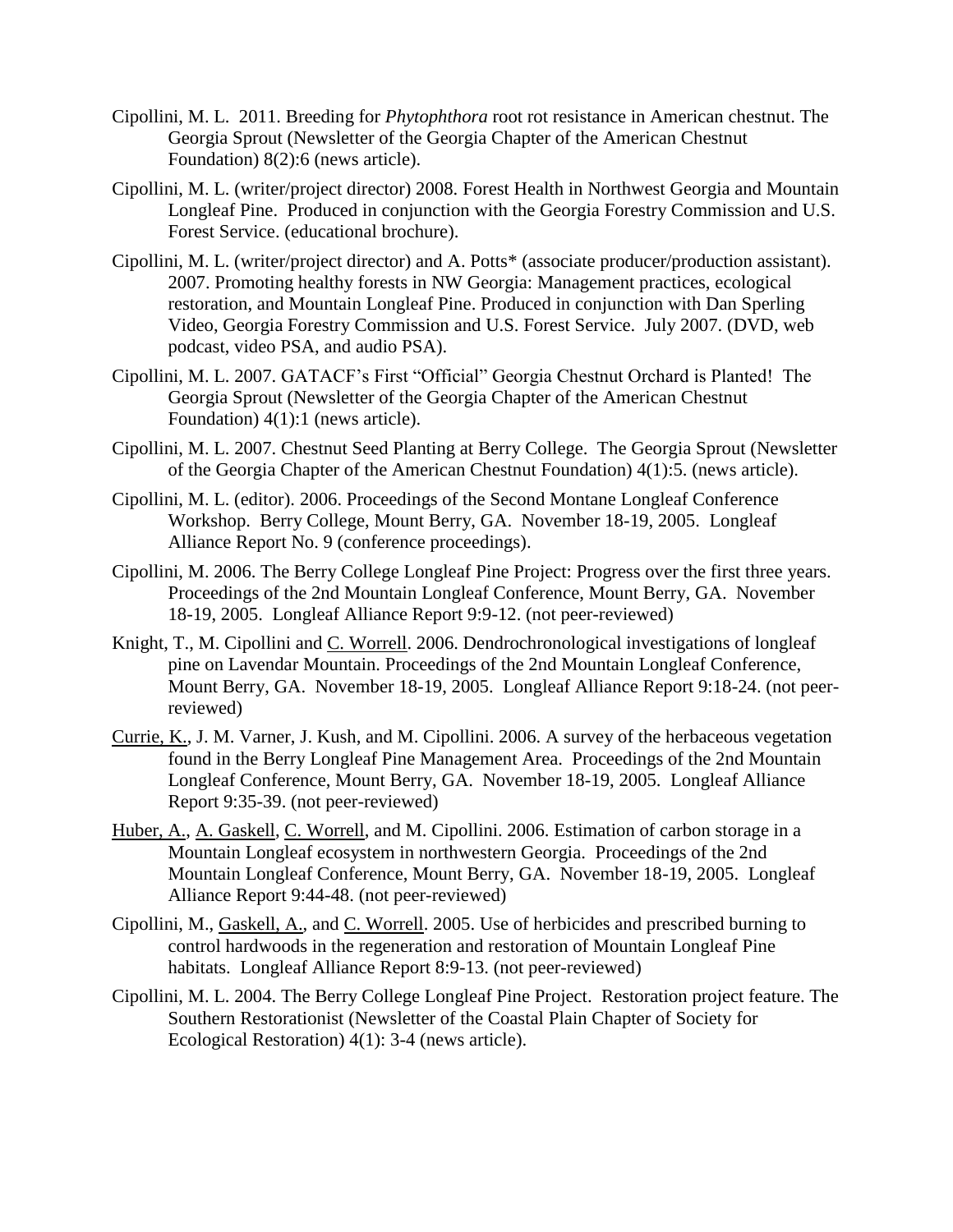- Cipollini, M. L. 2011. Breeding for *Phytophthora* root rot resistance in American chestnut. The Georgia Sprout (Newsletter of the Georgia Chapter of the American Chestnut Foundation) 8(2):6 (news article).
- Cipollini, M. L. (writer/project director) 2008. Forest Health in Northwest Georgia and Mountain Longleaf Pine. Produced in conjunction with the Georgia Forestry Commission and U.S. Forest Service. (educational brochure).
- Cipollini, M. L. (writer/project director) and A. Potts\* (associate producer/production assistant). 2007. Promoting healthy forests in NW Georgia: Management practices, ecological restoration, and Mountain Longleaf Pine. Produced in conjunction with Dan Sperling Video, Georgia Forestry Commission and U.S. Forest Service. July 2007. (DVD, web podcast, video PSA, and audio PSA).
- Cipollini, M. L. 2007. GATACF's First "Official" Georgia Chestnut Orchard is Planted! The Georgia Sprout (Newsletter of the Georgia Chapter of the American Chestnut Foundation) 4(1):1 (news article).
- Cipollini, M. L. 2007. Chestnut Seed Planting at Berry College. The Georgia Sprout (Newsletter of the Georgia Chapter of the American Chestnut Foundation) 4(1):5. (news article).
- Cipollini, M. L. (editor). 2006. Proceedings of the Second Montane Longleaf Conference Workshop. Berry College, Mount Berry, GA. November 18-19, 2005. Longleaf Alliance Report No. 9 (conference proceedings).
- Cipollini, M. 2006. The Berry College Longleaf Pine Project: Progress over the first three years. Proceedings of the 2nd Mountain Longleaf Conference, Mount Berry, GA. November 18-19, 2005. Longleaf Alliance Report 9:9-12. (not peer-reviewed)
- Knight, T., M. Cipollini and C. Worrell. 2006. Dendrochronological investigations of longleaf pine on Lavendar Mountain. Proceedings of the 2nd Mountain Longleaf Conference, Mount Berry, GA. November 18-19, 2005. Longleaf Alliance Report 9:18-24. (not peerreviewed)
- Currie, K., J. M. Varner, J. Kush, and M. Cipollini. 2006. A survey of the herbaceous vegetation found in the Berry Longleaf Pine Management Area. Proceedings of the 2nd Mountain Longleaf Conference, Mount Berry, GA. November 18-19, 2005. Longleaf Alliance Report 9:35-39. (not peer-reviewed)
- Huber, A., A. Gaskell, C. Worrell, and M. Cipollini. 2006. Estimation of carbon storage in a Mountain Longleaf ecosystem in northwestern Georgia. Proceedings of the 2nd Mountain Longleaf Conference, Mount Berry, GA. November 18-19, 2005. Longleaf Alliance Report 9:44-48. (not peer-reviewed)
- Cipollini, M., Gaskell, A., and C. Worrell. 2005. Use of herbicides and prescribed burning to control hardwoods in the regeneration and restoration of Mountain Longleaf Pine habitats. Longleaf Alliance Report 8:9-13. (not peer-reviewed)
- Cipollini, M. L. 2004. The Berry College Longleaf Pine Project. Restoration project feature. The Southern Restorationist (Newsletter of the Coastal Plain Chapter of Society for Ecological Restoration) 4(1): 3-4 (news article).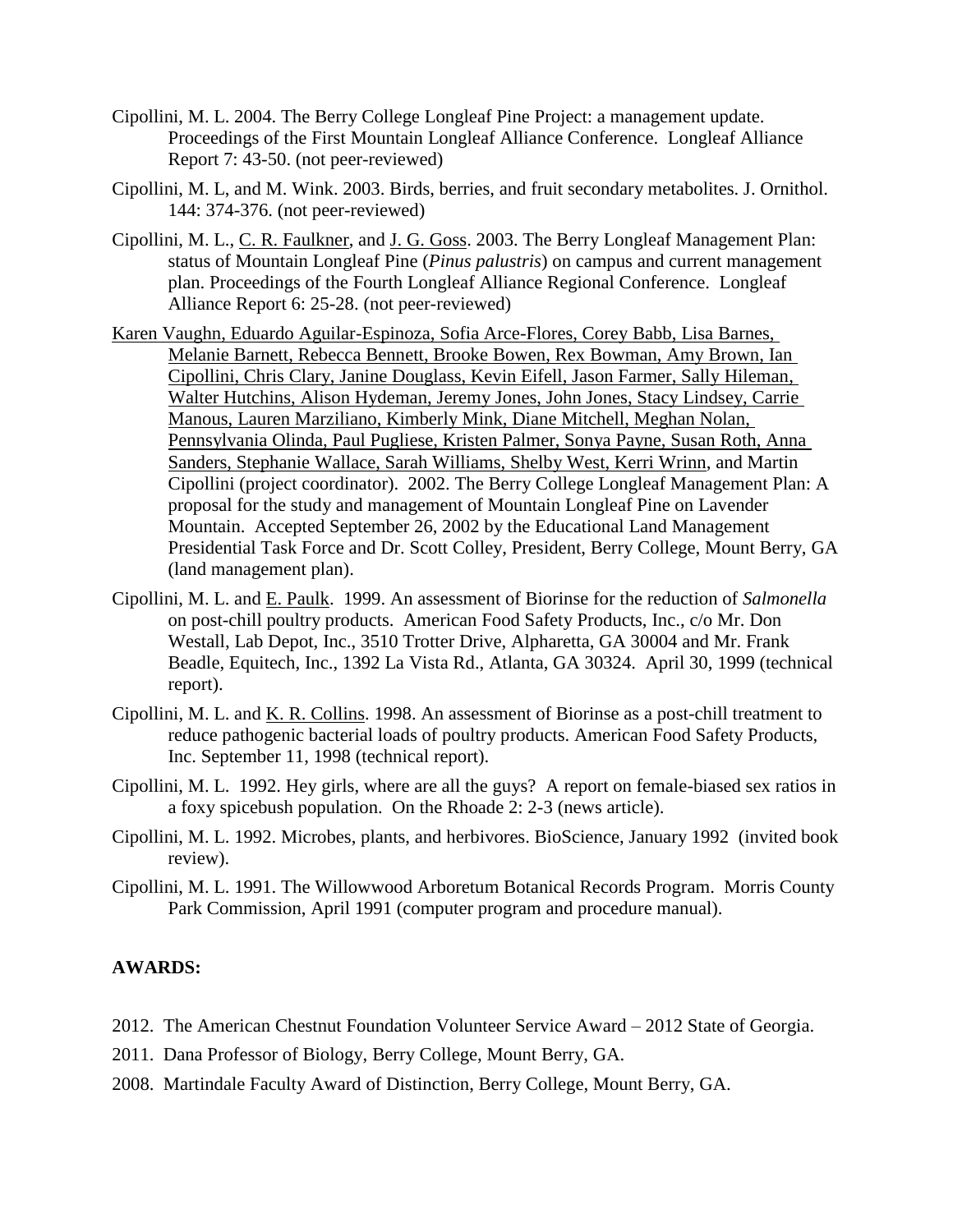- Cipollini, M. L. 2004. The Berry College Longleaf Pine Project: a management update. Proceedings of the First Mountain Longleaf Alliance Conference. Longleaf Alliance Report 7: 43-50. (not peer-reviewed)
- Cipollini, M. L, and M. Wink. 2003. Birds, berries, and fruit secondary metabolites. J. Ornithol. 144: 374-376. (not peer-reviewed)
- Cipollini, M. L., C. R. Faulkner, and J. G. Goss. 2003. The Berry Longleaf Management Plan: status of Mountain Longleaf Pine (*Pinus palustris*) on campus and current management plan. Proceedings of the Fourth Longleaf Alliance Regional Conference. Longleaf Alliance Report 6: 25-28. (not peer-reviewed)
- Karen Vaughn, Eduardo Aguilar-Espinoza, Sofia Arce-Flores, Corey Babb, Lisa Barnes, Melanie Barnett, Rebecca Bennett, Brooke Bowen, Rex Bowman, Amy Brown, Ian Cipollini, Chris Clary, Janine Douglass, Kevin Eifell, Jason Farmer, Sally Hileman, Walter Hutchins, Alison Hydeman, Jeremy Jones, John Jones, Stacy Lindsey, Carrie Manous, Lauren Marziliano, Kimberly Mink, Diane Mitchell, Meghan Nolan, Pennsylvania Olinda, Paul Pugliese, Kristen Palmer, Sonya Payne, Susan Roth, Anna Sanders, Stephanie Wallace, Sarah Williams, Shelby West, Kerri Wrinn, and Martin Cipollini (project coordinator). 2002. The Berry College Longleaf Management Plan: A proposal for the study and management of Mountain Longleaf Pine on Lavender Mountain. Accepted September 26, 2002 by the Educational Land Management Presidential Task Force and Dr. Scott Colley, President, Berry College, Mount Berry, GA (land management plan).
- Cipollini, M. L. and E. Paulk. 1999. An assessment of Biorinse for the reduction of *Salmonella* on post-chill poultry products. American Food Safety Products, Inc., c/o Mr. Don Westall, Lab Depot, Inc., 3510 Trotter Drive, Alpharetta, GA 30004 and Mr. Frank Beadle, Equitech, Inc., 1392 La Vista Rd., Atlanta, GA 30324. April 30, 1999 (technical report).
- Cipollini, M. L. and K. R. Collins. 1998. An assessment of Biorinse as a post-chill treatment to reduce pathogenic bacterial loads of poultry products. American Food Safety Products, Inc. September 11, 1998 (technical report).
- Cipollini, M. L. 1992. Hey girls, where are all the guys? A report on female-biased sex ratios in a foxy spicebush population. On the Rhoade 2: 2-3 (news article).
- Cipollini, M. L. 1992. Microbes, plants, and herbivores. BioScience, January 1992 (invited book review).
- Cipollini, M. L. 1991. The Willowwood Arboretum Botanical Records Program. Morris County Park Commission, April 1991 (computer program and procedure manual).

## **AWARDS:**

- 2012. The American Chestnut Foundation Volunteer Service Award 2012 State of Georgia.
- 2011. Dana Professor of Biology, Berry College, Mount Berry, GA.
- 2008. Martindale Faculty Award of Distinction, Berry College, Mount Berry, GA.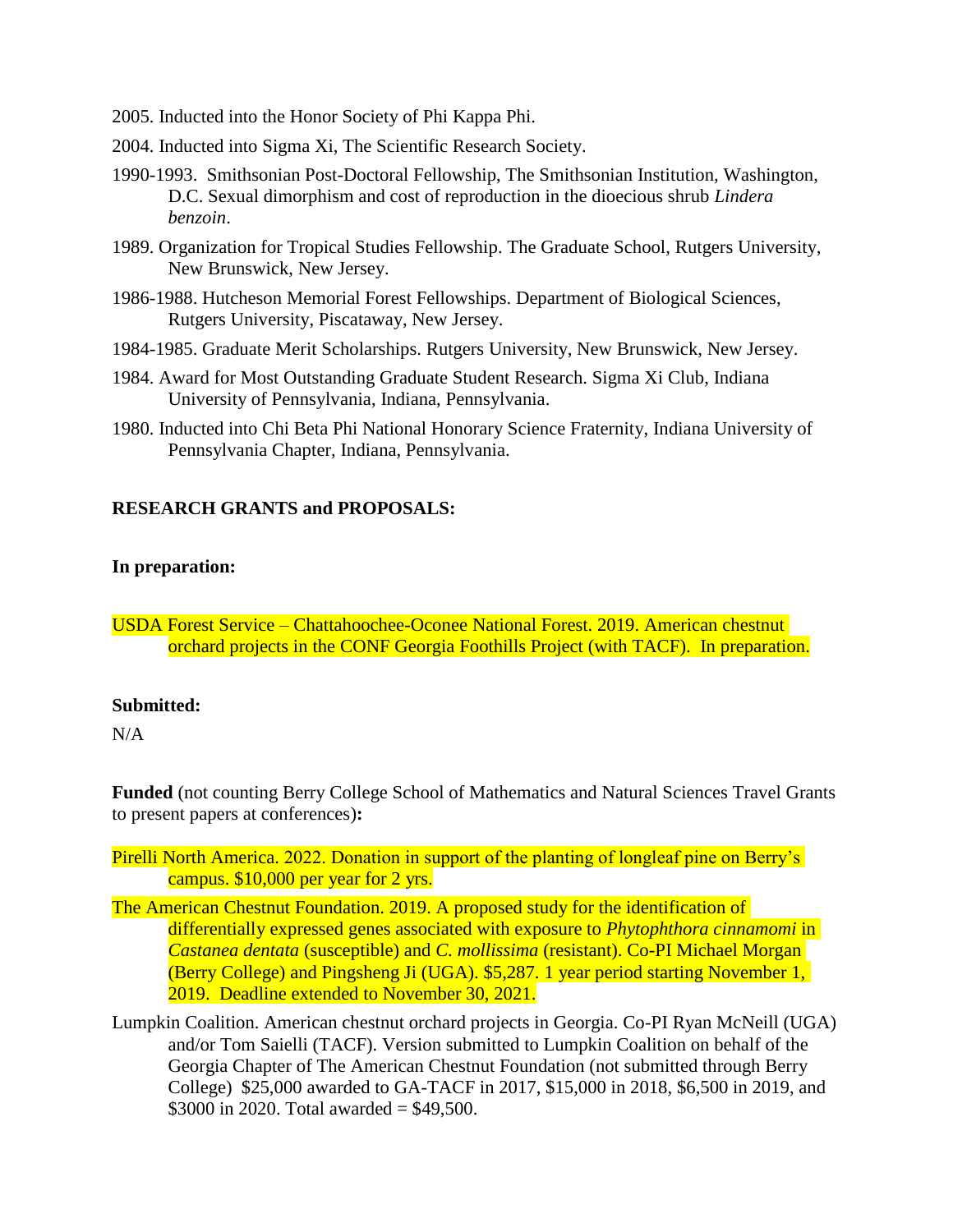- 2005. Inducted into the Honor Society of Phi Kappa Phi.
- 2004. Inducted into Sigma Xi, The Scientific Research Society.
- 1990-1993. Smithsonian Post-Doctoral Fellowship, The Smithsonian Institution, Washington, D.C. Sexual dimorphism and cost of reproduction in the dioecious shrub *Lindera benzoin*.
- 1989. Organization for Tropical Studies Fellowship. The Graduate School, Rutgers University, New Brunswick, New Jersey.
- 1986-1988. Hutcheson Memorial Forest Fellowships. Department of Biological Sciences, Rutgers University, Piscataway, New Jersey.
- 1984-1985. Graduate Merit Scholarships. Rutgers University, New Brunswick, New Jersey.
- 1984. Award for Most Outstanding Graduate Student Research. Sigma Xi Club, Indiana University of Pennsylvania, Indiana, Pennsylvania.
- 1980. Inducted into Chi Beta Phi National Honorary Science Fraternity, Indiana University of Pennsylvania Chapter, Indiana, Pennsylvania.

#### **RESEARCH GRANTS and PROPOSALS:**

#### **In preparation:**

USDA Forest Service – Chattahoochee-Oconee National Forest. 2019. American chestnut orchard projects in the CONF Georgia Foothills Project (with TACF). In preparation.

#### **Submitted:**

N/A

**Funded** (not counting Berry College School of Mathematics and Natural Sciences Travel Grants to present papers at conferences)**:**

Pirelli North America. 2022. Donation in support of the planting of longleaf pine on Berry's campus. \$10,000 per year for 2 yrs.

- The American Chestnut Foundation. 2019. A proposed study for the identification of differentially expressed genes associated with exposure to *Phytophthora cinnamomi* in *Castanea dentata* (susceptible) and *C. mollissima* (resistant). Co-PI Michael Morgan (Berry College) and Pingsheng Ji (UGA). \$5,287. 1 year period starting November 1, 2019. Deadline extended to November 30, 2021.
- Lumpkin Coalition. American chestnut orchard projects in Georgia. Co-PI Ryan McNeill (UGA) and/or Tom Saielli (TACF). Version submitted to Lumpkin Coalition on behalf of the Georgia Chapter of The American Chestnut Foundation (not submitted through Berry College) \$25,000 awarded to GA-TACF in 2017, \$15,000 in 2018, \$6,500 in 2019, and \$3000 in 2020. Total awarded =  $$49,500$ .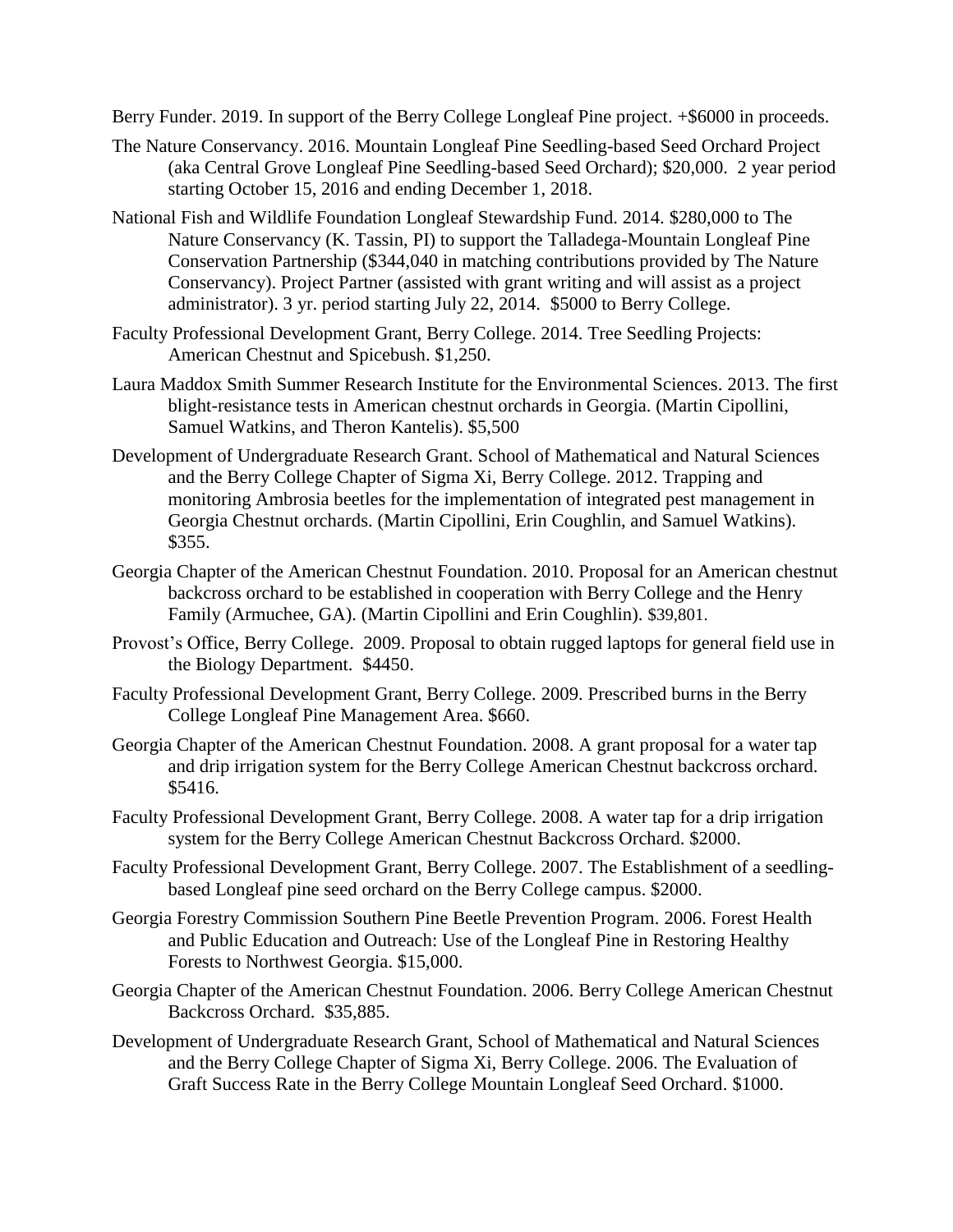Berry Funder. 2019. In support of the Berry College Longleaf Pine project.  $+$ \$6000 in proceeds.

- The Nature Conservancy. 2016. Mountain Longleaf Pine Seedling-based Seed Orchard Project (aka Central Grove Longleaf Pine Seedling-based Seed Orchard); \$20,000. 2 year period starting October 15, 2016 and ending December 1, 2018.
- National Fish and Wildlife Foundation Longleaf Stewardship Fund. 2014. \$280,000 to The Nature Conservancy (K. Tassin, PI) to support the Talladega-Mountain Longleaf Pine Conservation Partnership (\$344,040 in matching contributions provided by The Nature Conservancy). Project Partner (assisted with grant writing and will assist as a project administrator). 3 yr. period starting July 22, 2014. \$5000 to Berry College.
- Faculty Professional Development Grant, Berry College. 2014. Tree Seedling Projects: American Chestnut and Spicebush. \$1,250.
- Laura Maddox Smith Summer Research Institute for the Environmental Sciences. 2013. The first blight-resistance tests in American chestnut orchards in Georgia. (Martin Cipollini, Samuel Watkins, and Theron Kantelis). \$5,500
- Development of Undergraduate Research Grant. School of Mathematical and Natural Sciences and the Berry College Chapter of Sigma Xi, Berry College. 2012. Trapping and monitoring Ambrosia beetles for the implementation of integrated pest management in Georgia Chestnut orchards. (Martin Cipollini, Erin Coughlin, and Samuel Watkins). \$355.
- Georgia Chapter of the American Chestnut Foundation. 2010. Proposal for an American chestnut backcross orchard to be established in cooperation with Berry College and the Henry Family (Armuchee, GA). (Martin Cipollini and Erin Coughlin). \$39,801.
- Provost's Office, Berry College. 2009. Proposal to obtain rugged laptops for general field use in the Biology Department. \$4450.
- Faculty Professional Development Grant, Berry College. 2009. Prescribed burns in the Berry College Longleaf Pine Management Area. \$660.
- Georgia Chapter of the American Chestnut Foundation. 2008. A grant proposal for a water tap and drip irrigation system for the Berry College American Chestnut backcross orchard. \$5416.
- Faculty Professional Development Grant, Berry College. 2008. A water tap for a drip irrigation system for the Berry College American Chestnut Backcross Orchard. \$2000.
- Faculty Professional Development Grant, Berry College. 2007. The Establishment of a seedlingbased Longleaf pine seed orchard on the Berry College campus. \$2000.
- Georgia Forestry Commission Southern Pine Beetle Prevention Program. 2006. Forest Health and Public Education and Outreach: Use of the Longleaf Pine in Restoring Healthy Forests to Northwest Georgia. \$15,000.
- Georgia Chapter of the American Chestnut Foundation. 2006. Berry College American Chestnut Backcross Orchard. \$35,885.
- Development of Undergraduate Research Grant, School of Mathematical and Natural Sciences and the Berry College Chapter of Sigma Xi, Berry College. 2006. The Evaluation of Graft Success Rate in the Berry College Mountain Longleaf Seed Orchard. \$1000.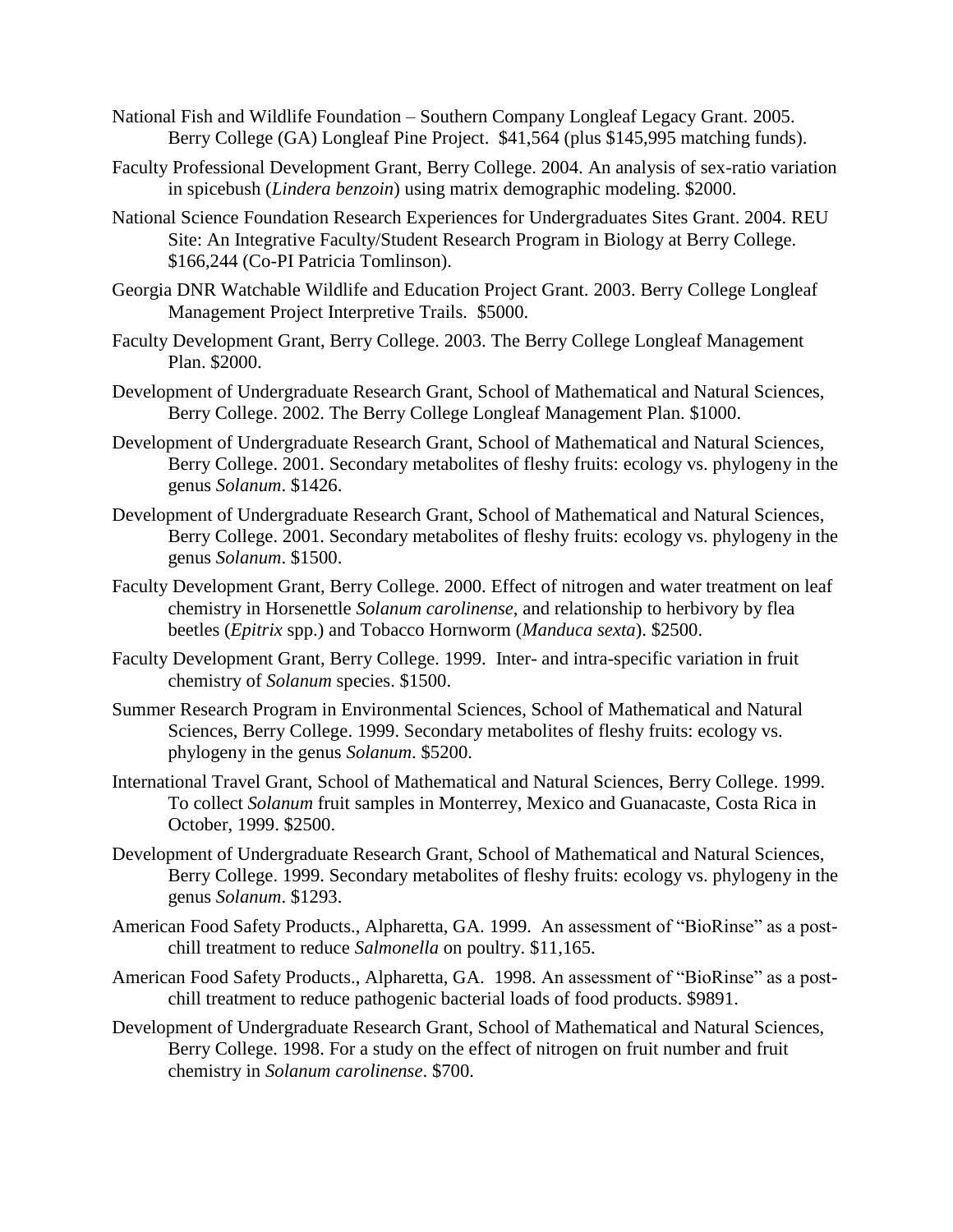- National Fish and Wildlife Foundation Southern Company Longleaf Legacy Grant. 2005. Berry College (GA) Longleaf Pine Project. \$41,564 (plus \$145,995 matching funds).
- Faculty Professional Development Grant, Berry College. 2004. An analysis of sex-ratio variation in spicebush (*Lindera benzoin*) using matrix demographic modeling. \$2000.
- National Science Foundation Research Experiences for Undergraduates Sites Grant. 2004. REU Site: An Integrative Faculty/Student Research Program in Biology at Berry College. \$166,244 (Co-PI Patricia Tomlinson).
- Georgia DNR Watchable Wildlife and Education Project Grant. 2003. Berry College Longleaf Management Project Interpretive Trails. \$5000.
- Faculty Development Grant, Berry College. 2003. The Berry College Longleaf Management Plan. \$2000.
- Development of Undergraduate Research Grant, School of Mathematical and Natural Sciences, Berry College. 2002. The Berry College Longleaf Management Plan. \$1000.
- Development of Undergraduate Research Grant, School of Mathematical and Natural Sciences, Berry College. 2001. Secondary metabolites of fleshy fruits: ecology vs. phylogeny in the genus *Solanum*. \$1426.
- Development of Undergraduate Research Grant, School of Mathematical and Natural Sciences, Berry College. 2001. Secondary metabolites of fleshy fruits: ecology vs. phylogeny in the genus *Solanum*. \$1500.
- Faculty Development Grant, Berry College. 2000. Effect of nitrogen and water treatment on leaf chemistry in Horsenettle *Solanum carolinense*, and relationship to herbivory by flea beetles (*Epitrix* spp.) and Tobacco Hornworm (*Manduca sexta*). \$2500.
- Faculty Development Grant, Berry College. 1999. Inter- and intra-specific variation in fruit chemistry of *Solanum* species. \$1500.
- Summer Research Program in Environmental Sciences, School of Mathematical and Natural Sciences, Berry College. 1999. Secondary metabolites of fleshy fruits: ecology vs. phylogeny in the genus *Solanum*. \$5200.
- International Travel Grant, School of Mathematical and Natural Sciences, Berry College. 1999. To collect *Solanum* fruit samples in Monterrey, Mexico and Guanacaste, Costa Rica in October, 1999. \$2500.
- Development of Undergraduate Research Grant, School of Mathematical and Natural Sciences, Berry College. 1999. Secondary metabolites of fleshy fruits: ecology vs. phylogeny in the genus *Solanum*. \$1293.
- American Food Safety Products., Alpharetta, GA. 1999. An assessment of "BioRinse" as a postchill treatment to reduce *Salmonella* on poultry. \$11,165.
- American Food Safety Products., Alpharetta, GA. 1998. An assessment of "BioRinse" as a postchill treatment to reduce pathogenic bacterial loads of food products. \$9891.
- Development of Undergraduate Research Grant, School of Mathematical and Natural Sciences, Berry College. 1998. For a study on the effect of nitrogen on fruit number and fruit chemistry in *Solanum carolinense*. \$700.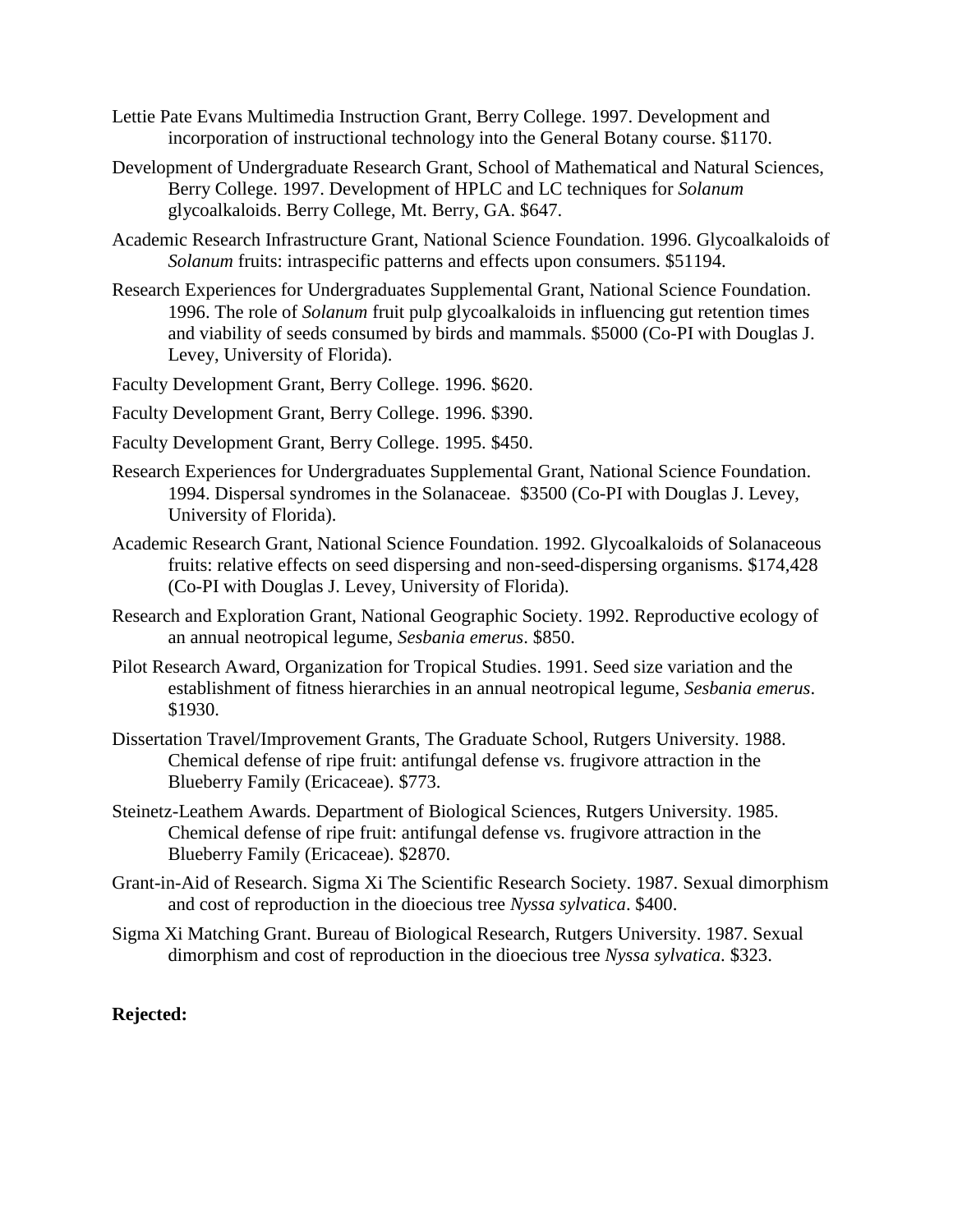- Lettie Pate Evans Multimedia Instruction Grant, Berry College. 1997. Development and incorporation of instructional technology into the General Botany course. \$1170.
- Development of Undergraduate Research Grant, School of Mathematical and Natural Sciences, Berry College. 1997. Development of HPLC and LC techniques for *Solanum* glycoalkaloids. Berry College, Mt. Berry, GA. \$647.
- Academic Research Infrastructure Grant, National Science Foundation. 1996. Glycoalkaloids of *Solanum* fruits: intraspecific patterns and effects upon consumers. \$51194.
- Research Experiences for Undergraduates Supplemental Grant, National Science Foundation. 1996. The role of *Solanum* fruit pulp glycoalkaloids in influencing gut retention times and viability of seeds consumed by birds and mammals. \$5000 (Co-PI with Douglas J. Levey, University of Florida).

Faculty Development Grant, Berry College. 1996. \$620.

- Faculty Development Grant, Berry College. 1996. \$390.
- Faculty Development Grant, Berry College. 1995. \$450.
- Research Experiences for Undergraduates Supplemental Grant, National Science Foundation. 1994. Dispersal syndromes in the Solanaceae. \$3500 (Co-PI with Douglas J. Levey, University of Florida).
- Academic Research Grant, National Science Foundation. 1992. Glycoalkaloids of Solanaceous fruits: relative effects on seed dispersing and non-seed-dispersing organisms. \$174,428 (Co-PI with Douglas J. Levey, University of Florida).
- Research and Exploration Grant, National Geographic Society. 1992. Reproductive ecology of an annual neotropical legume, *Sesbania emerus*. \$850.
- Pilot Research Award, Organization for Tropical Studies. 1991. Seed size variation and the establishment of fitness hierarchies in an annual neotropical legume, *Sesbania emerus*. \$1930.
- Dissertation Travel/Improvement Grants, The Graduate School, Rutgers University. 1988. Chemical defense of ripe fruit: antifungal defense vs. frugivore attraction in the Blueberry Family (Ericaceae). \$773.
- Steinetz-Leathem Awards. Department of Biological Sciences, Rutgers University. 1985. Chemical defense of ripe fruit: antifungal defense vs. frugivore attraction in the Blueberry Family (Ericaceae). \$2870.
- Grant-in-Aid of Research. Sigma Xi The Scientific Research Society. 1987. Sexual dimorphism and cost of reproduction in the dioecious tree *Nyssa sylvatica*. \$400.
- Sigma Xi Matching Grant. Bureau of Biological Research, Rutgers University. 1987. Sexual dimorphism and cost of reproduction in the dioecious tree *Nyssa sylvatica*. \$323.

## **Rejected:**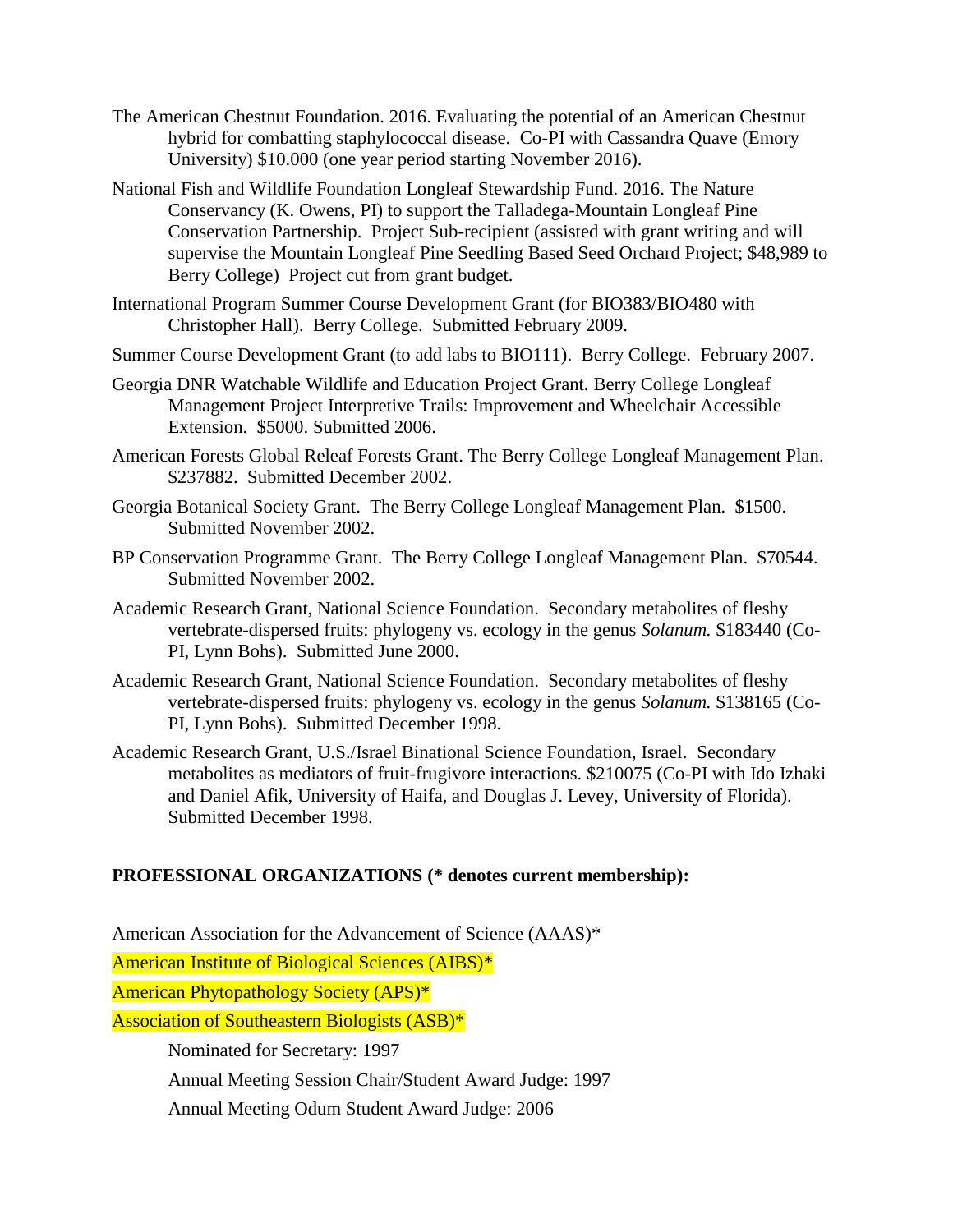- The American Chestnut Foundation. 2016. Evaluating the potential of an American Chestnut hybrid for combatting staphylococcal disease. Co-PI with Cassandra Quave (Emory University) \$10.000 (one year period starting November 2016).
- National Fish and Wildlife Foundation Longleaf Stewardship Fund. 2016. The Nature Conservancy (K. Owens, PI) to support the Talladega-Mountain Longleaf Pine Conservation Partnership. Project Sub-recipient (assisted with grant writing and will supervise the Mountain Longleaf Pine Seedling Based Seed Orchard Project; \$48,989 to Berry College) Project cut from grant budget.
- International Program Summer Course Development Grant (for BIO383/BIO480 with Christopher Hall). Berry College. Submitted February 2009.
- Summer Course Development Grant (to add labs to BIO111). Berry College. February 2007.
- Georgia DNR Watchable Wildlife and Education Project Grant. Berry College Longleaf Management Project Interpretive Trails: Improvement and Wheelchair Accessible Extension. \$5000. Submitted 2006.
- American Forests Global Releaf Forests Grant. The Berry College Longleaf Management Plan. \$237882. Submitted December 2002.
- Georgia Botanical Society Grant. The Berry College Longleaf Management Plan. \$1500. Submitted November 2002.
- BP Conservation Programme Grant. The Berry College Longleaf Management Plan. \$70544. Submitted November 2002.
- Academic Research Grant, National Science Foundation. Secondary metabolites of fleshy vertebrate-dispersed fruits: phylogeny vs. ecology in the genus *Solanum.* \$183440 (Co-PI, Lynn Bohs). Submitted June 2000.
- Academic Research Grant, National Science Foundation. Secondary metabolites of fleshy vertebrate-dispersed fruits: phylogeny vs. ecology in the genus *Solanum.* \$138165 (Co-PI, Lynn Bohs). Submitted December 1998.
- Academic Research Grant, U.S./Israel Binational Science Foundation, Israel. Secondary metabolites as mediators of fruit-frugivore interactions. \$210075 (Co-PI with Ido Izhaki and Daniel Afik, University of Haifa, and Douglas J. Levey, University of Florida). Submitted December 1998.

## **PROFESSIONAL ORGANIZATIONS (\* denotes current membership):**

American Association for the Advancement of Science (AAAS)\*

American Institute of Biological Sciences (AIBS)\*

American Phytopathology Society (APS)\*

Association of Southeastern Biologists (ASB)\*

Nominated for Secretary: 1997

Annual Meeting Session Chair/Student Award Judge: 1997

Annual Meeting Odum Student Award Judge: 2006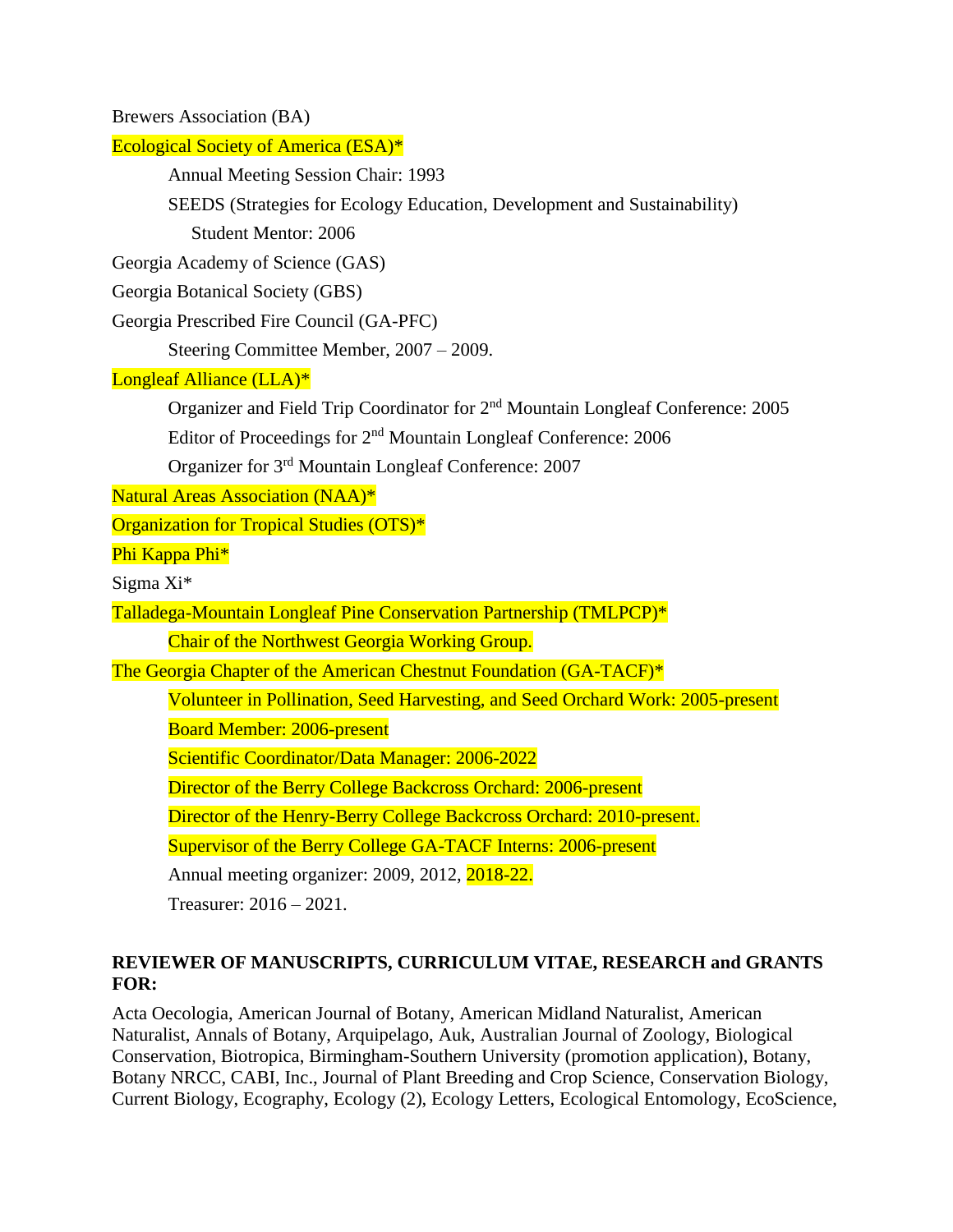| <b>Brewers Association (BA)</b>                                                             |
|---------------------------------------------------------------------------------------------|
| <b>Ecological Society of America (ESA)*</b>                                                 |
| Annual Meeting Session Chair: 1993                                                          |
| SEEDS (Strategies for Ecology Education, Development and Sustainability)                    |
| <b>Student Mentor: 2006</b>                                                                 |
| Georgia Academy of Science (GAS)                                                            |
| Georgia Botanical Society (GBS)                                                             |
| Georgia Prescribed Fire Council (GA-PFC)                                                    |
| Steering Committee Member, 2007 - 2009.                                                     |
| Longleaf Alliance (LLA)*                                                                    |
| Organizer and Field Trip Coordinator for 2 <sup>nd</sup> Mountain Longleaf Conference: 2005 |
| Editor of Proceedings for 2 <sup>nd</sup> Mountain Longleaf Conference: 2006                |
| Organizer for 3 <sup>rd</sup> Mountain Longleaf Conference: 2007                            |
| <b>Natural Areas Association (NAA)*</b>                                                     |
| Organization for Tropical Studies (OTS)*                                                    |
| Phi Kappa Phi*                                                                              |
| Sigma $Xi^*$                                                                                |
| Talladega-Mountain Longleaf Pine Conservation Partnership (TMLPCP)*                         |
| Chair of the Northwest Georgia Working Group.                                               |
| The Georgia Chapter of the American Chestnut Foundation (GA-TACF)*                          |
| Volunteer in Pollination, Seed Harvesting, and Seed Orchard Work: 2005-present              |
| <b>Board Member: 2006-present</b>                                                           |
| Scientific Coordinator/Data Manager: 2006-2022                                              |
| Director of the Berry College Backcross Orchard: 2006-present                               |
| Director of the Henry-Berry College Backcross Orchard: 2010-present.                        |
| Supervisor of the Berry College GA-TACF Interns: 2006-present                               |
| Annual meeting organizer: 2009, 2012, 2018-22.                                              |
| Treasurer: $2016 - 2021$ .                                                                  |

# **REVIEWER OF MANUSCRIPTS, CURRICULUM VITAE, RESEARCH and GRANTS FOR:**

Acta Oecologia, American Journal of Botany, American Midland Naturalist, American Naturalist, Annals of Botany, Arquipelago, Auk, Australian Journal of Zoology, Biological Conservation, Biotropica, Birmingham-Southern University (promotion application), Botany, Botany NRCC, CABI, Inc., Journal of Plant Breeding and Crop Science, Conservation Biology, Current Biology, Ecography, Ecology (2), Ecology Letters, Ecological Entomology, EcoScience,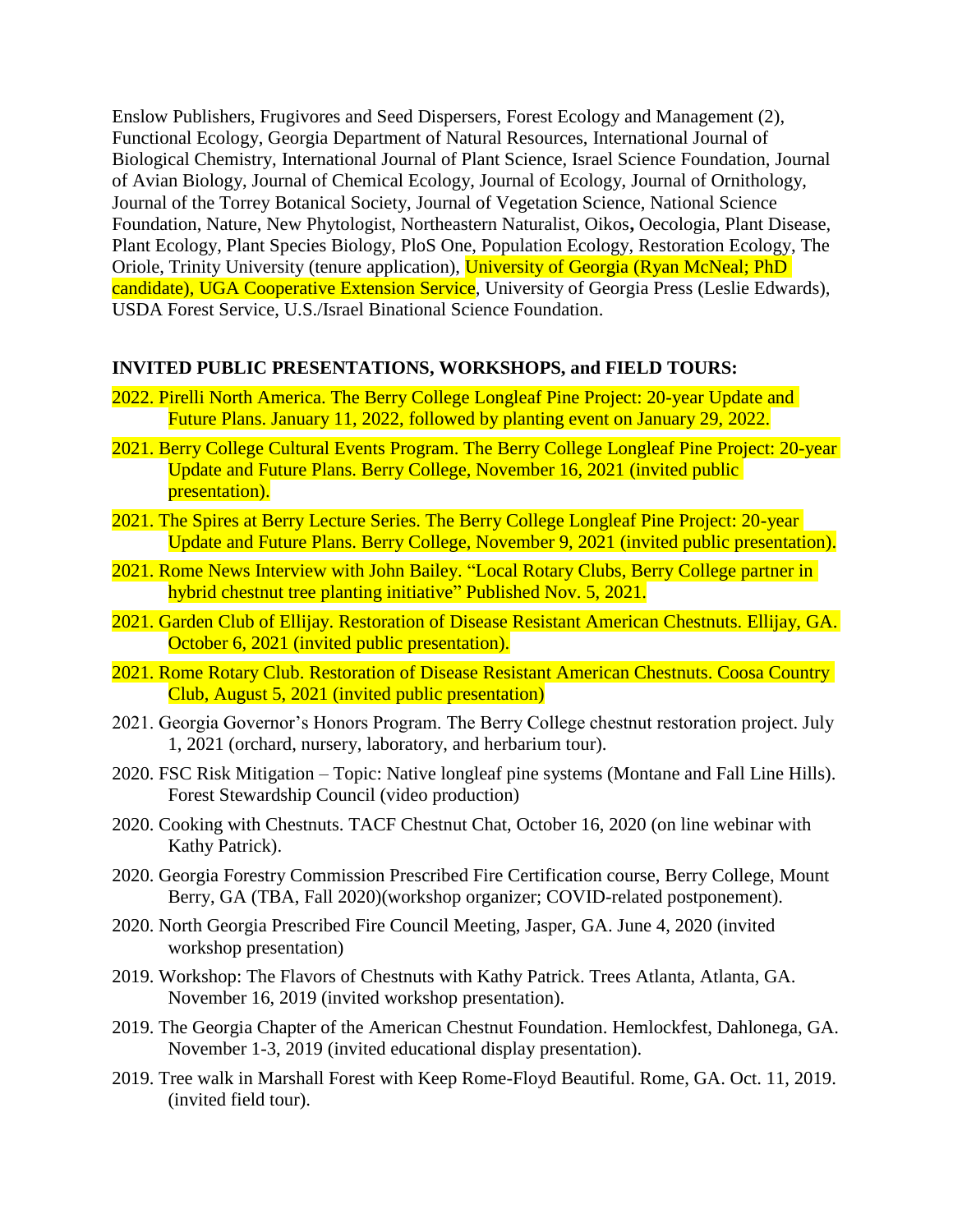Enslow Publishers, Frugivores and Seed Dispersers, Forest Ecology and Management (2), Functional Ecology, Georgia Department of Natural Resources, International Journal of Biological Chemistry, International Journal of Plant Science, Israel Science Foundation, Journal of Avian Biology, Journal of Chemical Ecology, Journal of Ecology, Journal of Ornithology, Journal of the Torrey Botanical Society, Journal of Vegetation Science, National Science Foundation, Nature, New Phytologist, Northeastern Naturalist, Oikos**,** Oecologia, Plant Disease, Plant Ecology, Plant Species Biology, PloS One, Population Ecology, Restoration Ecology, The Oriole, Trinity University (tenure application), University of Georgia (Ryan McNeal; PhD candidate), UGA Cooperative Extension Service, University of Georgia Press (Leslie Edwards), USDA Forest Service, U.S./Israel Binational Science Foundation.

## **INVITED PUBLIC PRESENTATIONS, WORKSHOPS, and FIELD TOURS:**

- 2022. Pirelli North America. The Berry College Longleaf Pine Project: 20-year Update and Future Plans. January 11, 2022, followed by planting event on January 29, 2022.
- 2021. Berry College Cultural Events Program. The Berry College Longleaf Pine Project: 20-year Update and Future Plans. Berry College, November 16, 2021 (invited public presentation).
- 2021. The Spires at Berry Lecture Series. The Berry College Longleaf Pine Project: 20-year Update and Future Plans. Berry College, November 9, 2021 (invited public presentation).
- 2021. Rome News Interview with John Bailey. "Local Rotary Clubs, Berry College partner in hybrid chestnut tree planting initiative" Published Nov. 5, 2021.
- 2021. Garden Club of Ellijay. Restoration of Disease Resistant American Chestnuts. Ellijay, GA. October 6, 2021 (invited public presentation).
- 2021. Rome Rotary Club. Restoration of Disease Resistant American Chestnuts. Coosa Country Club, August 5, 2021 (invited public presentation)
- 2021. Georgia Governor's Honors Program. The Berry College chestnut restoration project. July 1, 2021 (orchard, nursery, laboratory, and herbarium tour).
- 2020. FSC Risk Mitigation Topic: Native longleaf pine systems (Montane and Fall Line Hills). Forest Stewardship Council (video production)
- 2020. Cooking with Chestnuts. TACF Chestnut Chat, October 16, 2020 (on line webinar with Kathy Patrick).
- 2020. Georgia Forestry Commission Prescribed Fire Certification course, Berry College, Mount Berry, GA (TBA, Fall 2020)(workshop organizer; COVID-related postponement).
- 2020. North Georgia Prescribed Fire Council Meeting, Jasper, GA. June 4, 2020 (invited workshop presentation)
- 2019. Workshop: The Flavors of Chestnuts with Kathy Patrick. Trees Atlanta, Atlanta, GA. November 16, 2019 (invited workshop presentation).
- 2019. The Georgia Chapter of the American Chestnut Foundation. Hemlockfest, Dahlonega, GA. November 1-3, 2019 (invited educational display presentation).
- 2019. Tree walk in Marshall Forest with Keep Rome-Floyd Beautiful. Rome, GA. Oct. 11, 2019. (invited field tour).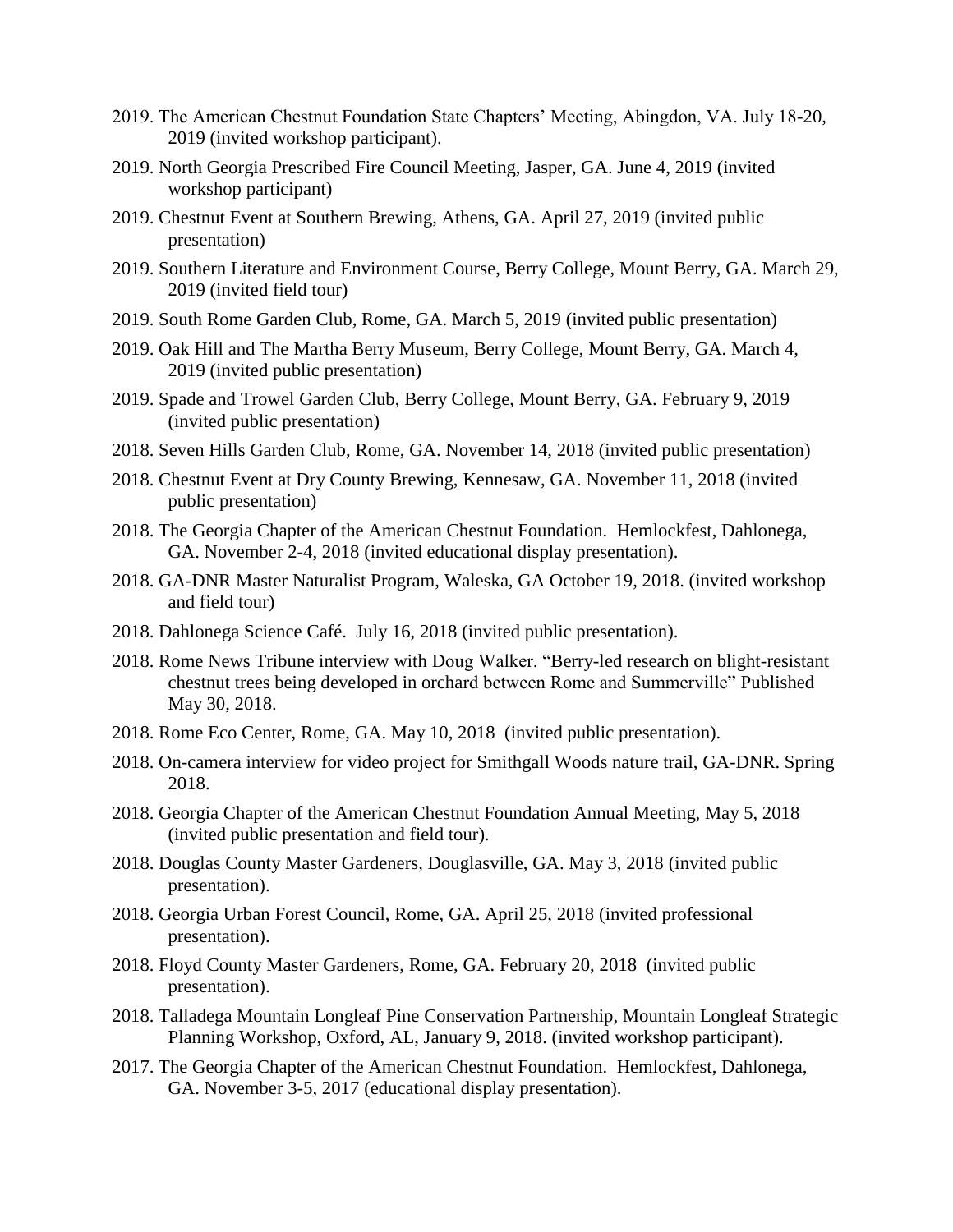- 2019. The American Chestnut Foundation State Chapters' Meeting, Abingdon, VA. July 18-20, 2019 (invited workshop participant).
- 2019. North Georgia Prescribed Fire Council Meeting, Jasper, GA. June 4, 2019 (invited workshop participant)
- 2019. Chestnut Event at Southern Brewing, Athens, GA. April 27, 2019 (invited public presentation)
- 2019. Southern Literature and Environment Course, Berry College, Mount Berry, GA. March 29, 2019 (invited field tour)
- 2019. South Rome Garden Club, Rome, GA. March 5, 2019 (invited public presentation)
- 2019. Oak Hill and The Martha Berry Museum, Berry College, Mount Berry, GA. March 4, 2019 (invited public presentation)
- 2019. Spade and Trowel Garden Club, Berry College, Mount Berry, GA. February 9, 2019 (invited public presentation)
- 2018. Seven Hills Garden Club, Rome, GA. November 14, 2018 (invited public presentation)
- 2018. Chestnut Event at Dry County Brewing, Kennesaw, GA. November 11, 2018 (invited public presentation)
- 2018. The Georgia Chapter of the American Chestnut Foundation. Hemlockfest, Dahlonega, GA. November 2-4, 2018 (invited educational display presentation).
- 2018. GA-DNR Master Naturalist Program, Waleska, GA October 19, 2018. (invited workshop and field tour)
- 2018. Dahlonega Science Café. July 16, 2018 (invited public presentation).
- 2018. Rome News Tribune interview with Doug Walker. "Berry-led research on blight-resistant chestnut trees being developed in orchard between Rome and Summerville" Published May 30, 2018.
- 2018. Rome Eco Center, Rome, GA. May 10, 2018 (invited public presentation).
- 2018. On-camera interview for video project for Smithgall Woods nature trail, GA-DNR. Spring 2018.
- 2018. Georgia Chapter of the American Chestnut Foundation Annual Meeting, May 5, 2018 (invited public presentation and field tour).
- 2018. Douglas County Master Gardeners, Douglasville, GA. May 3, 2018 (invited public presentation).
- 2018. Georgia Urban Forest Council, Rome, GA. April 25, 2018 (invited professional presentation).
- 2018. Floyd County Master Gardeners, Rome, GA. February 20, 2018 (invited public presentation).
- 2018. Talladega Mountain Longleaf Pine Conservation Partnership, Mountain Longleaf Strategic Planning Workshop, Oxford, AL, January 9, 2018. (invited workshop participant).
- 2017. The Georgia Chapter of the American Chestnut Foundation. Hemlockfest, Dahlonega, GA. November 3-5, 2017 (educational display presentation).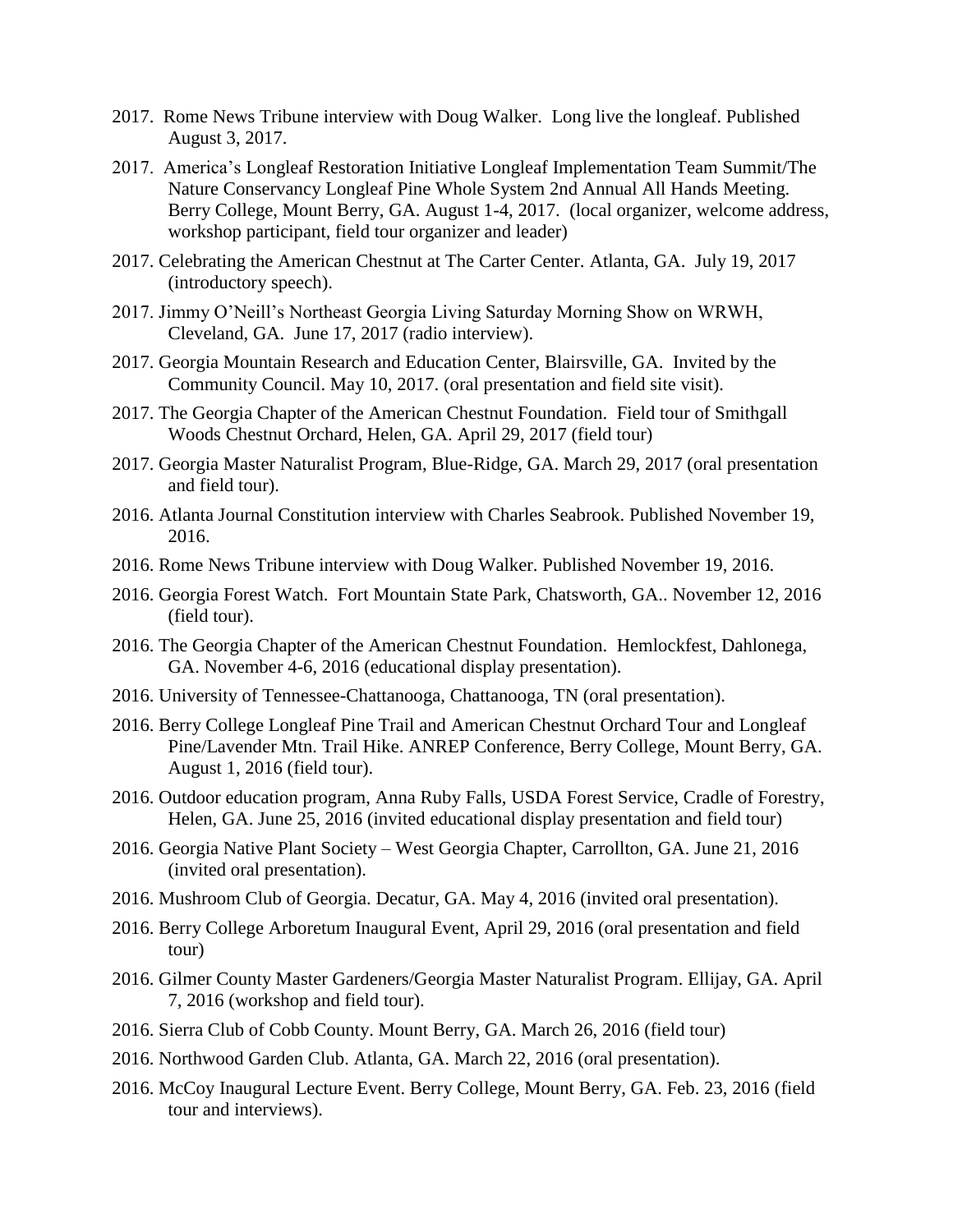- 2017. Rome News Tribune interview with Doug Walker. Long live the longleaf. Published August 3, 2017.
- 2017. America's Longleaf Restoration Initiative Longleaf Implementation Team Summit/The Nature Conservancy Longleaf Pine Whole System 2nd Annual All Hands Meeting. Berry College, Mount Berry, GA. August 1-4, 2017. (local organizer, welcome address, workshop participant, field tour organizer and leader)
- 2017. Celebrating the American Chestnut at The Carter Center. Atlanta, GA. July 19, 2017 (introductory speech).
- 2017. Jimmy O'Neill's Northeast Georgia Living Saturday Morning Show on WRWH, Cleveland, GA. June 17, 2017 (radio interview).
- 2017. Georgia Mountain Research and Education Center, Blairsville, GA. Invited by the Community Council. May 10, 2017. (oral presentation and field site visit).
- 2017. The Georgia Chapter of the American Chestnut Foundation. Field tour of Smithgall Woods Chestnut Orchard, Helen, GA. April 29, 2017 (field tour)
- 2017. Georgia Master Naturalist Program, Blue-Ridge, GA. March 29, 2017 (oral presentation and field tour).
- 2016. Atlanta Journal Constitution interview with Charles Seabrook. Published November 19, 2016.
- 2016. Rome News Tribune interview with Doug Walker. Published November 19, 2016.
- 2016. Georgia Forest Watch. Fort Mountain State Park, Chatsworth, GA.. November 12, 2016 (field tour).
- 2016. The Georgia Chapter of the American Chestnut Foundation. Hemlockfest, Dahlonega, GA. November 4-6, 2016 (educational display presentation).
- 2016. University of Tennessee-Chattanooga, Chattanooga, TN (oral presentation).
- 2016. Berry College Longleaf Pine Trail and American Chestnut Orchard Tour and Longleaf Pine/Lavender Mtn. Trail Hike. ANREP Conference, Berry College, Mount Berry, GA. August 1, 2016 (field tour).
- 2016. Outdoor education program, Anna Ruby Falls, USDA Forest Service, Cradle of Forestry, Helen, GA. June 25, 2016 (invited educational display presentation and field tour)
- 2016. Georgia Native Plant Society West Georgia Chapter, Carrollton, GA. June 21, 2016 (invited oral presentation).
- 2016. Mushroom Club of Georgia. Decatur, GA. May 4, 2016 (invited oral presentation).
- 2016. Berry College Arboretum Inaugural Event, April 29, 2016 (oral presentation and field tour)
- 2016. Gilmer County Master Gardeners/Georgia Master Naturalist Program. Ellijay, GA. April 7, 2016 (workshop and field tour).
- 2016. Sierra Club of Cobb County. Mount Berry, GA. March 26, 2016 (field tour)
- 2016. Northwood Garden Club. Atlanta, GA. March 22, 2016 (oral presentation).
- 2016. McCoy Inaugural Lecture Event. Berry College, Mount Berry, GA. Feb. 23, 2016 (field tour and interviews).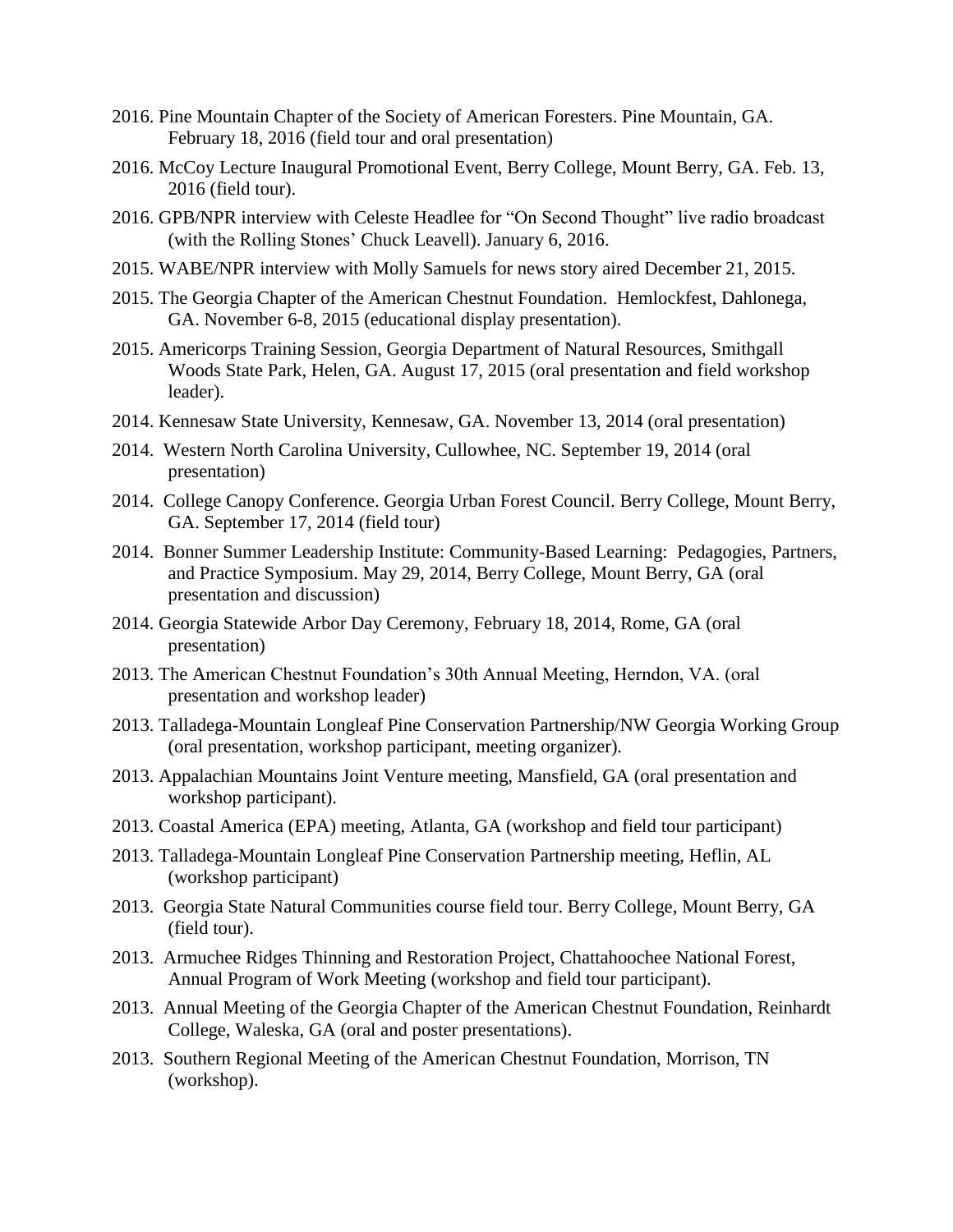- 2016. Pine Mountain Chapter of the Society of American Foresters. Pine Mountain, GA. February 18, 2016 (field tour and oral presentation)
- 2016. McCoy Lecture Inaugural Promotional Event, Berry College, Mount Berry, GA. Feb. 13, 2016 (field tour).
- 2016. GPB/NPR interview with Celeste Headlee for "On Second Thought" live radio broadcast (with the Rolling Stones' Chuck Leavell). January 6, 2016.
- 2015. WABE/NPR interview with Molly Samuels for news story aired December 21, 2015.
- 2015. The Georgia Chapter of the American Chestnut Foundation. Hemlockfest, Dahlonega, GA. November 6-8, 2015 (educational display presentation).
- 2015. Americorps Training Session, Georgia Department of Natural Resources, Smithgall Woods State Park, Helen, GA. August 17, 2015 (oral presentation and field workshop leader).
- 2014. Kennesaw State University, Kennesaw, GA. November 13, 2014 (oral presentation)
- 2014. Western North Carolina University, Cullowhee, NC. September 19, 2014 (oral presentation)
- 2014. College Canopy Conference. Georgia Urban Forest Council. Berry College, Mount Berry, GA. September 17, 2014 (field tour)
- 2014. Bonner Summer Leadership Institute: Community-Based Learning: Pedagogies, Partners, and Practice Symposium. May 29, 2014, Berry College, Mount Berry, GA (oral presentation and discussion)
- 2014. Georgia Statewide Arbor Day Ceremony, February 18, 2014, Rome, GA (oral presentation)
- 2013. The American Chestnut Foundation's 30th Annual Meeting, Herndon, VA. (oral presentation and workshop leader)
- 2013. Talladega-Mountain Longleaf Pine Conservation Partnership/NW Georgia Working Group (oral presentation, workshop participant, meeting organizer).
- 2013. Appalachian Mountains Joint Venture meeting, Mansfield, GA (oral presentation and workshop participant).
- 2013. Coastal America (EPA) meeting, Atlanta, GA (workshop and field tour participant)
- 2013. Talladega-Mountain Longleaf Pine Conservation Partnership meeting, Heflin, AL (workshop participant)
- 2013. Georgia State Natural Communities course field tour. Berry College, Mount Berry, GA (field tour).
- 2013. Armuchee Ridges Thinning and Restoration Project, Chattahoochee National Forest, Annual Program of Work Meeting (workshop and field tour participant).
- 2013. Annual Meeting of the Georgia Chapter of the American Chestnut Foundation, Reinhardt College, Waleska, GA (oral and poster presentations).
- 2013. Southern Regional Meeting of the American Chestnut Foundation, Morrison, TN (workshop).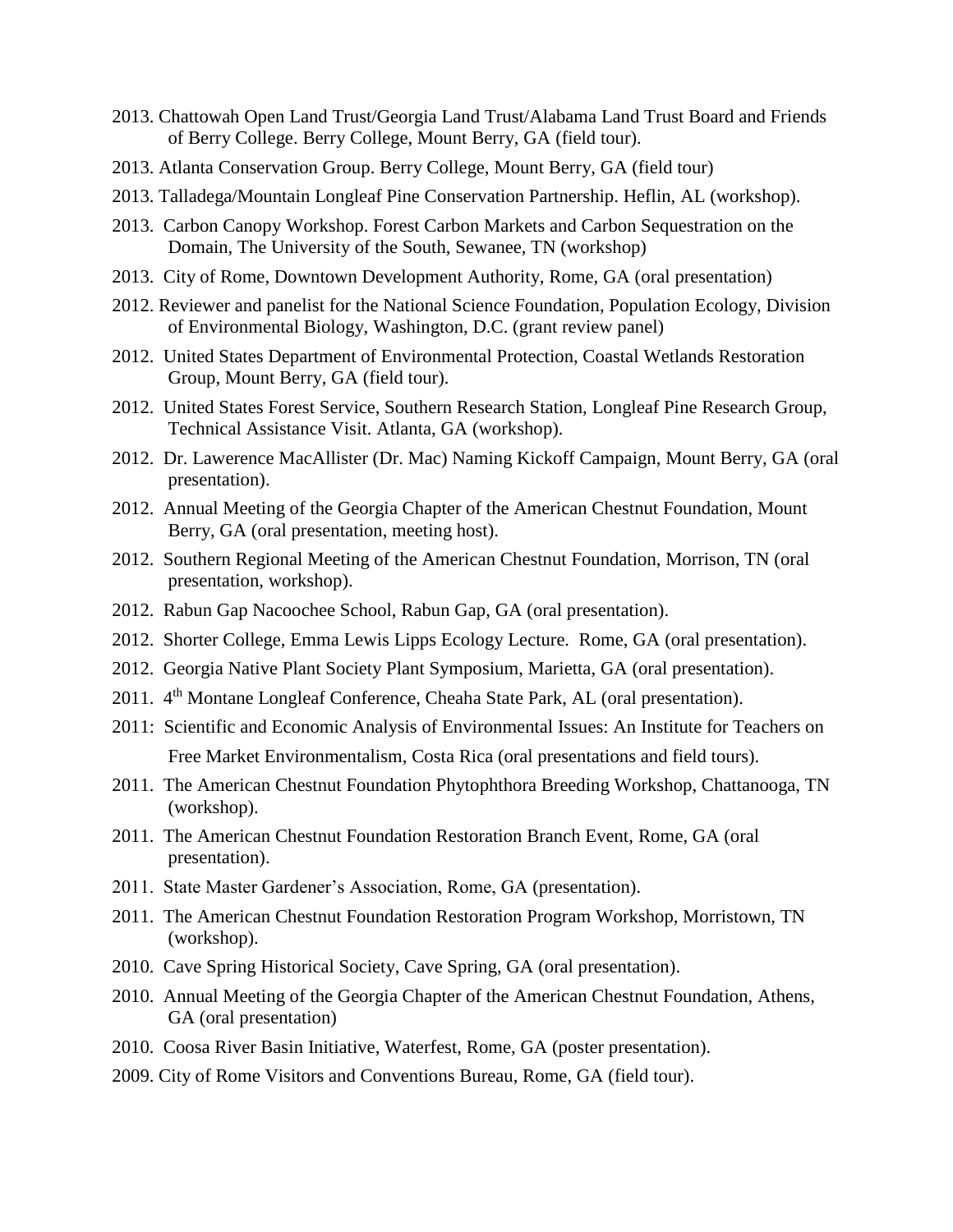- 2013. Chattowah Open Land Trust/Georgia Land Trust/Alabama Land Trust Board and Friends of Berry College. Berry College, Mount Berry, GA (field tour).
- 2013. Atlanta Conservation Group. Berry College, Mount Berry, GA (field tour)
- 2013. Talladega/Mountain Longleaf Pine Conservation Partnership. Heflin, AL (workshop).
- 2013. Carbon Canopy Workshop. Forest Carbon Markets and Carbon Sequestration on the Domain, The University of the South, Sewanee, TN (workshop)
- 2013. City of Rome, Downtown Development Authority, Rome, GA (oral presentation)
- 2012. Reviewer and panelist for the National Science Foundation, Population Ecology, Division of Environmental Biology, Washington, D.C. (grant review panel)
- 2012. United States Department of Environmental Protection, Coastal Wetlands Restoration Group, Mount Berry, GA (field tour).
- 2012. United States Forest Service, Southern Research Station, Longleaf Pine Research Group, Technical Assistance Visit. Atlanta, GA (workshop).
- 2012. Dr. Lawerence MacAllister (Dr. Mac) Naming Kickoff Campaign, Mount Berry, GA (oral presentation).
- 2012. Annual Meeting of the Georgia Chapter of the American Chestnut Foundation, Mount Berry, GA (oral presentation, meeting host).
- 2012. Southern Regional Meeting of the American Chestnut Foundation, Morrison, TN (oral presentation, workshop).
- 2012. Rabun Gap Nacoochee School, Rabun Gap, GA (oral presentation).
- 2012. Shorter College, Emma Lewis Lipps Ecology Lecture. Rome, GA (oral presentation).
- 2012. Georgia Native Plant Society Plant Symposium, Marietta, GA (oral presentation).
- 2011. 4<sup>th</sup> Montane Longleaf Conference, Cheaha State Park, AL (oral presentation).
- 2011: Scientific and Economic Analysis of Environmental Issues: An Institute for Teachers on Free Market Environmentalism, Costa Rica (oral presentations and field tours).
- 2011. The American Chestnut Foundation Phytophthora Breeding Workshop, Chattanooga, TN (workshop).
- 2011. The American Chestnut Foundation Restoration Branch Event, Rome, GA (oral presentation).
- 2011. State Master Gardener's Association, Rome, GA (presentation).
- 2011. The American Chestnut Foundation Restoration Program Workshop, Morristown, TN (workshop).
- 2010. Cave Spring Historical Society, Cave Spring, GA (oral presentation).
- 2010. Annual Meeting of the Georgia Chapter of the American Chestnut Foundation, Athens, GA (oral presentation)
- 2010. Coosa River Basin Initiative, Waterfest, Rome, GA (poster presentation).
- 2009. City of Rome Visitors and Conventions Bureau, Rome, GA (field tour).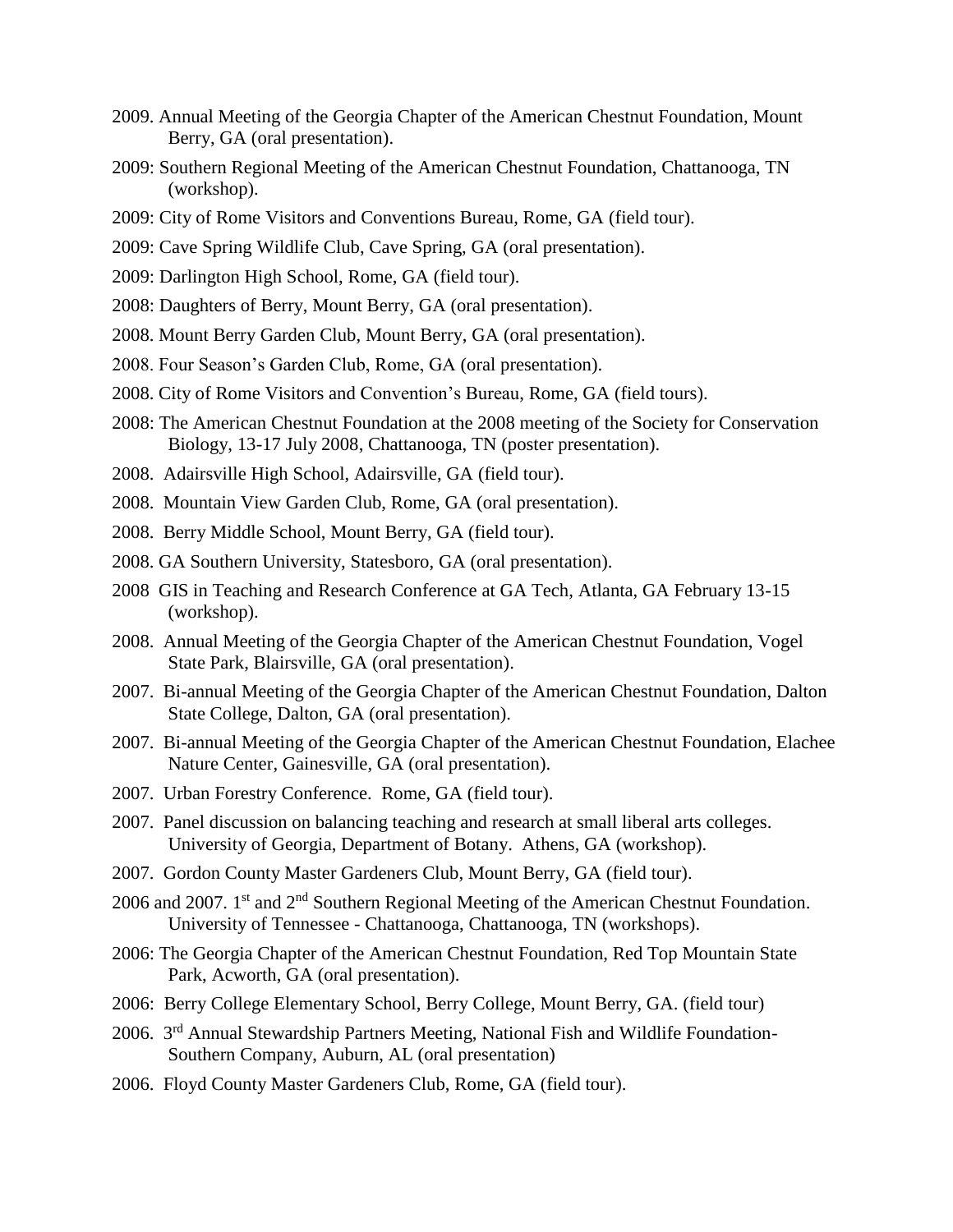- 2009. Annual Meeting of the Georgia Chapter of the American Chestnut Foundation, Mount Berry, GA (oral presentation).
- 2009: Southern Regional Meeting of the American Chestnut Foundation, Chattanooga, TN (workshop).
- 2009: City of Rome Visitors and Conventions Bureau, Rome, GA (field tour).
- 2009: Cave Spring Wildlife Club, Cave Spring, GA (oral presentation).
- 2009: Darlington High School, Rome, GA (field tour).
- 2008: Daughters of Berry, Mount Berry, GA (oral presentation).
- 2008. Mount Berry Garden Club, Mount Berry, GA (oral presentation).
- 2008. Four Season's Garden Club, Rome, GA (oral presentation).
- 2008. City of Rome Visitors and Convention's Bureau, Rome, GA (field tours).
- 2008: The American Chestnut Foundation at the 2008 meeting of the Society for Conservation Biology, 13-17 July 2008, Chattanooga, TN (poster presentation).
- 2008. Adairsville High School, Adairsville, GA (field tour).
- 2008. Mountain View Garden Club, Rome, GA (oral presentation).
- 2008. Berry Middle School, Mount Berry, GA (field tour).
- 2008. GA Southern University, Statesboro, GA (oral presentation).
- 2008 GIS in Teaching and Research Conference at GA Tech, Atlanta, GA February 13-15 (workshop).
- 2008. Annual Meeting of the Georgia Chapter of the American Chestnut Foundation, Vogel State Park, Blairsville, GA (oral presentation).
- 2007. Bi-annual Meeting of the Georgia Chapter of the American Chestnut Foundation, Dalton State College, Dalton, GA (oral presentation).
- 2007. Bi-annual Meeting of the Georgia Chapter of the American Chestnut Foundation, Elachee Nature Center, Gainesville, GA (oral presentation).
- 2007. Urban Forestry Conference. Rome, GA (field tour).
- 2007. Panel discussion on balancing teaching and research at small liberal arts colleges. University of Georgia, Department of Botany. Athens, GA (workshop).
- 2007. Gordon County Master Gardeners Club, Mount Berry, GA (field tour).
- 2006 and 2007. 1<sup>st</sup> and 2<sup>nd</sup> Southern Regional Meeting of the American Chestnut Foundation. University of Tennessee - Chattanooga, Chattanooga, TN (workshops).
- 2006: The Georgia Chapter of the American Chestnut Foundation, Red Top Mountain State Park, Acworth, GA (oral presentation).
- 2006: Berry College Elementary School, Berry College, Mount Berry, GA. (field tour)
- 2006. 3rd Annual Stewardship Partners Meeting, National Fish and Wildlife Foundation-Southern Company, Auburn, AL (oral presentation)
- 2006. Floyd County Master Gardeners Club, Rome, GA (field tour).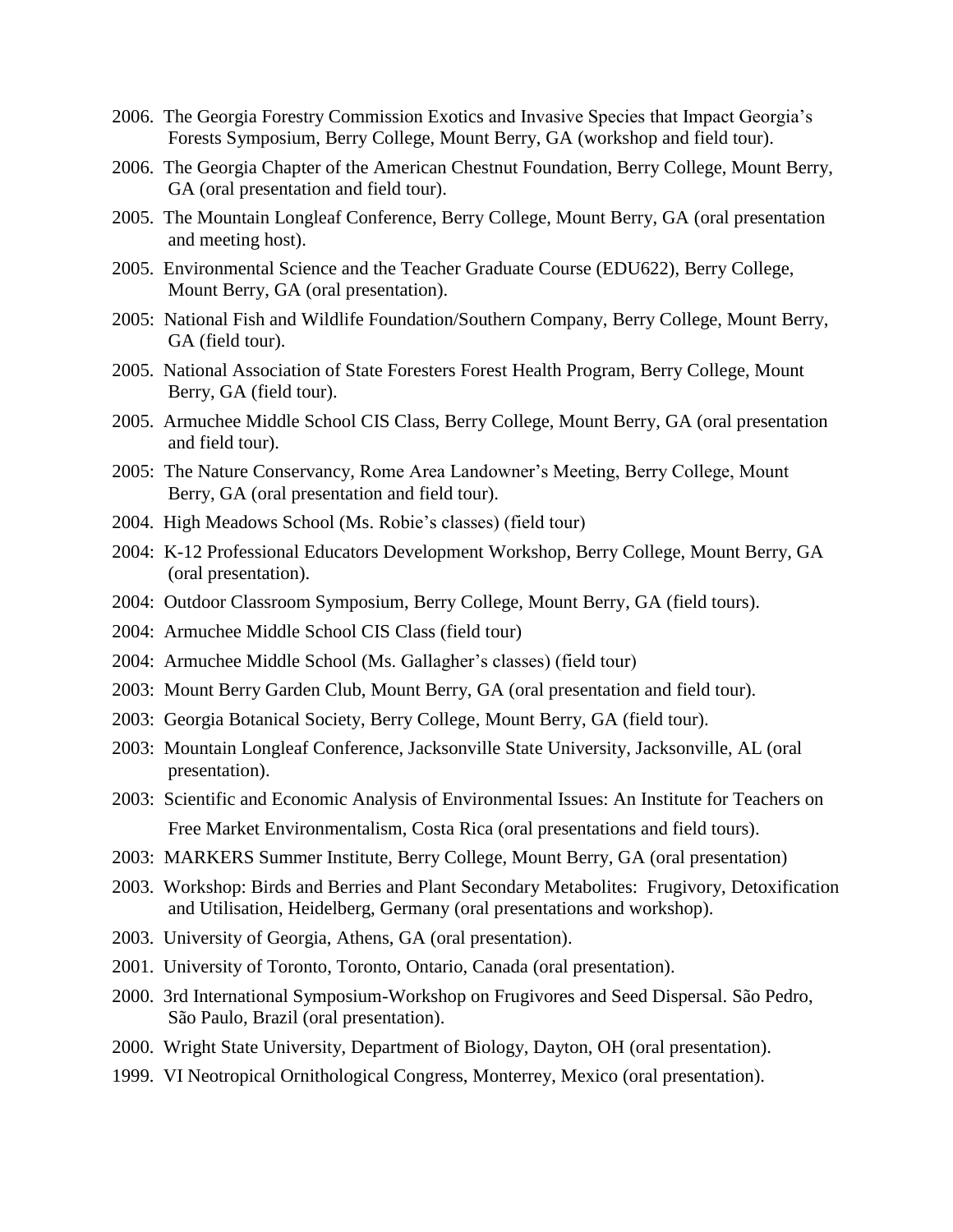- 2006. The Georgia Forestry Commission Exotics and Invasive Species that Impact Georgia's Forests Symposium, Berry College, Mount Berry, GA (workshop and field tour).
- 2006. The Georgia Chapter of the American Chestnut Foundation, Berry College, Mount Berry, GA (oral presentation and field tour).
- 2005. The Mountain Longleaf Conference, Berry College, Mount Berry, GA (oral presentation and meeting host).
- 2005. Environmental Science and the Teacher Graduate Course (EDU622), Berry College, Mount Berry, GA (oral presentation).
- 2005: National Fish and Wildlife Foundation/Southern Company, Berry College, Mount Berry, GA (field tour).
- 2005. National Association of State Foresters Forest Health Program, Berry College, Mount Berry, GA (field tour).
- 2005. Armuchee Middle School CIS Class, Berry College, Mount Berry, GA (oral presentation and field tour).
- 2005: The Nature Conservancy, Rome Area Landowner's Meeting, Berry College, Mount Berry, GA (oral presentation and field tour).
- 2004. High Meadows School (Ms. Robie's classes) (field tour)
- 2004: K-12 Professional Educators Development Workshop, Berry College, Mount Berry, GA (oral presentation).
- 2004: Outdoor Classroom Symposium, Berry College, Mount Berry, GA (field tours).
- 2004: Armuchee Middle School CIS Class (field tour)
- 2004: Armuchee Middle School (Ms. Gallagher's classes) (field tour)
- 2003: Mount Berry Garden Club, Mount Berry, GA (oral presentation and field tour).
- 2003: Georgia Botanical Society, Berry College, Mount Berry, GA (field tour).
- 2003: Mountain Longleaf Conference, Jacksonville State University, Jacksonville, AL (oral presentation).
- 2003: Scientific and Economic Analysis of Environmental Issues: An Institute for Teachers on Free Market Environmentalism, Costa Rica (oral presentations and field tours).
- 2003: MARKERS Summer Institute, Berry College, Mount Berry, GA (oral presentation)
- 2003. Workshop: Birds and Berries and Plant Secondary Metabolites: Frugivory, Detoxification and Utilisation, Heidelberg, Germany (oral presentations and workshop).
- 2003. University of Georgia, Athens, GA (oral presentation).
- 2001. University of Toronto, Toronto, Ontario, Canada (oral presentation).
- 2000. 3rd International Symposium-Workshop on Frugivores and Seed Dispersal. São Pedro, São Paulo, Brazil (oral presentation).
- 2000. Wright State University, Department of Biology, Dayton, OH (oral presentation).
- 1999. VI Neotropical Ornithological Congress, Monterrey, Mexico (oral presentation).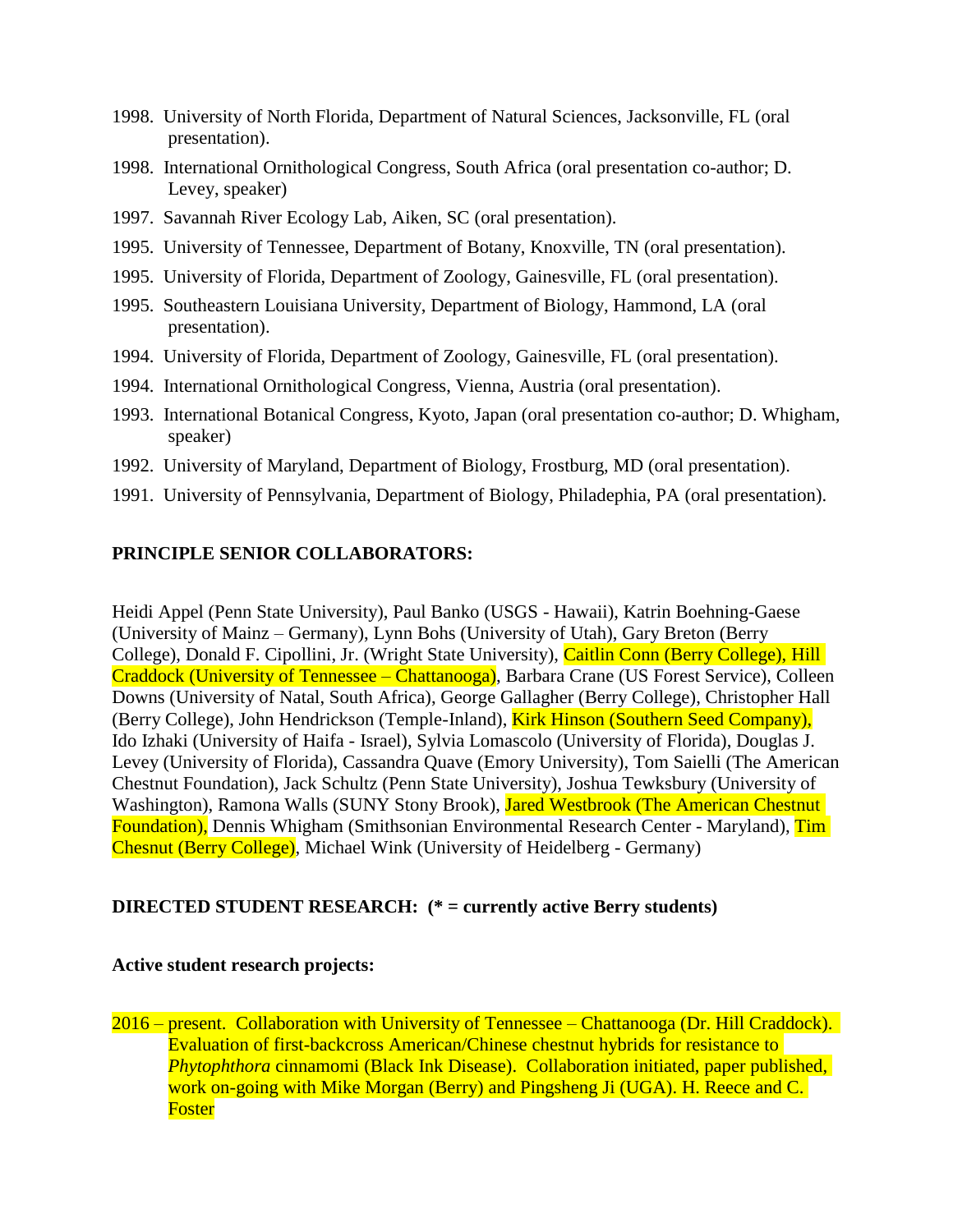- 1998. University of North Florida, Department of Natural Sciences, Jacksonville, FL (oral presentation).
- 1998. International Ornithological Congress, South Africa (oral presentation co-author; D. Levey, speaker)
- 1997. Savannah River Ecology Lab, Aiken, SC (oral presentation).
- 1995. University of Tennessee, Department of Botany, Knoxville, TN (oral presentation).
- 1995. University of Florida, Department of Zoology, Gainesville, FL (oral presentation).
- 1995. Southeastern Louisiana University, Department of Biology, Hammond, LA (oral presentation).
- 1994. University of Florida, Department of Zoology, Gainesville, FL (oral presentation).
- 1994. International Ornithological Congress, Vienna, Austria (oral presentation).
- 1993. International Botanical Congress, Kyoto, Japan (oral presentation co-author; D. Whigham, speaker)
- 1992. University of Maryland, Department of Biology, Frostburg, MD (oral presentation).
- 1991. University of Pennsylvania, Department of Biology, Philadephia, PA (oral presentation).

# **PRINCIPLE SENIOR COLLABORATORS:**

Heidi Appel (Penn State University), Paul Banko (USGS - Hawaii), Katrin Boehning-Gaese (University of Mainz – Germany), Lynn Bohs (University of Utah), Gary Breton (Berry College), Donald F. Cipollini, Jr. (Wright State University), Caitlin Conn (Berry College), Hill Craddock (University of Tennessee – Chattanooga), Barbara Crane (US Forest Service), Colleen Downs (University of Natal, South Africa), George Gallagher (Berry College), Christopher Hall (Berry College), John Hendrickson (Temple-Inland), Kirk Hinson (Southern Seed Company), Ido Izhaki (University of Haifa - Israel), Sylvia Lomascolo (University of Florida), Douglas J. Levey (University of Florida), Cassandra Quave (Emory University), Tom Saielli (The American Chestnut Foundation), Jack Schultz (Penn State University), Joshua Tewksbury (University of Washington), Ramona Walls (SUNY Stony Brook), Jared Westbrook (The American Chestnut Foundation), Dennis Whigham (Smithsonian Environmental Research Center - Maryland), Tim Chesnut (Berry College), Michael Wink (University of Heidelberg - Germany)

# **DIRECTED STUDENT RESEARCH: (\* = currently active Berry students)**

# **Active student research projects:**

2016 – present. Collaboration with University of Tennessee – Chattanooga (Dr. Hill Craddock). Evaluation of first-backcross American/Chinese chestnut hybrids for resistance to *Phytophthora* cinnamomi (Black Ink Disease). Collaboration initiated, paper published, work on-going with Mike Morgan (Berry) and Pingsheng Ji (UGA). H. Reece and C. Foster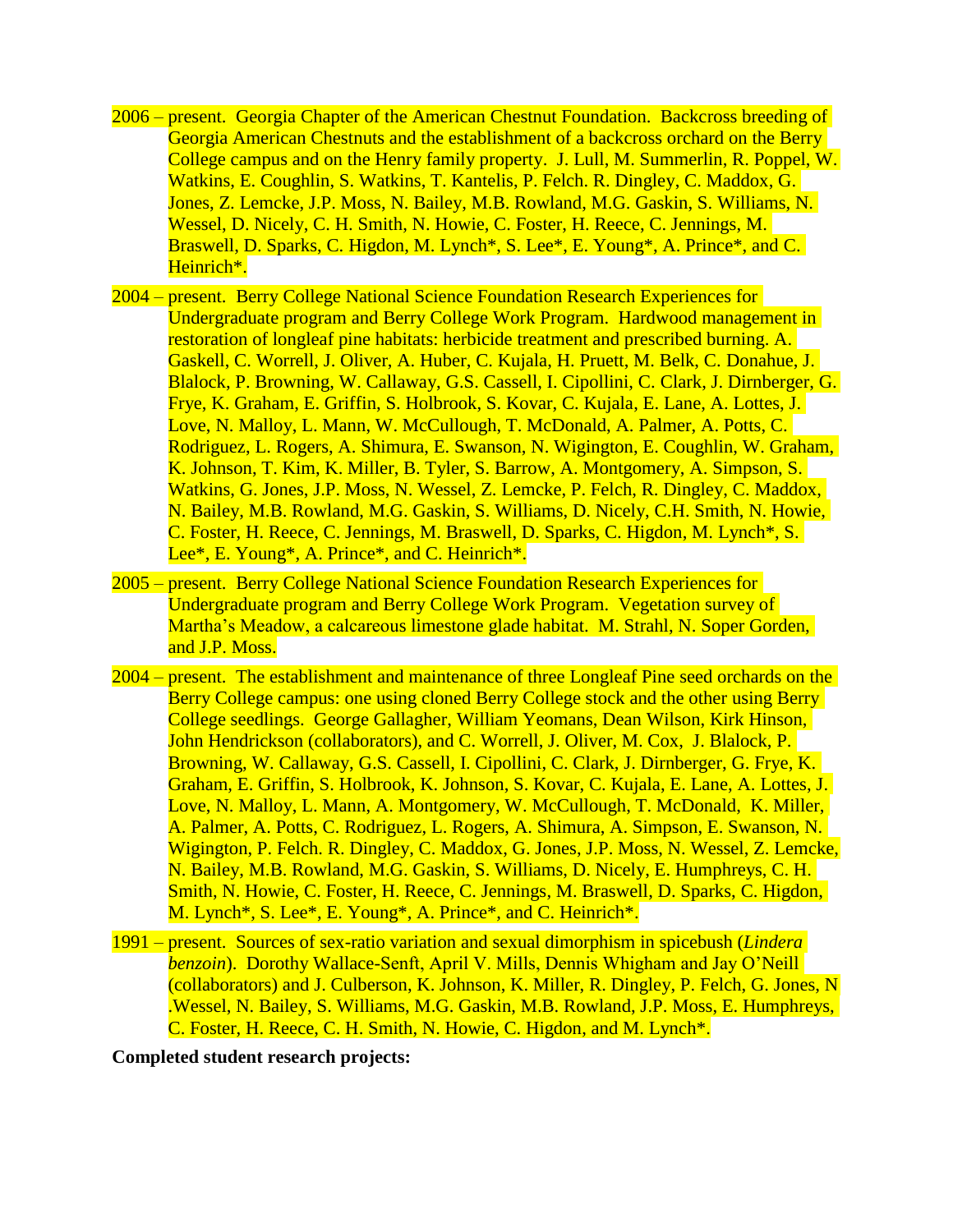- 2006 present. Georgia Chapter of the American Chestnut Foundation. Backcross breeding of Georgia American Chestnuts and the establishment of a backcross orchard on the Berry College campus and on the Henry family property. J. Lull, M. Summerlin, R. Poppel, W. Watkins, E. Coughlin, S. Watkins, T. Kantelis, P. Felch. R. Dingley, C. Maddox, G. Jones, Z. Lemcke, J.P. Moss, N. Bailey, M.B. Rowland, M.G. Gaskin, S. Williams, N. Wessel, D. Nicely, C. H. Smith, N. Howie, C. Foster, H. Reece, C. Jennings, M. Braswell, D. Sparks, C. Higdon, M. Lynch\*, S. Lee\*, E. Young\*, A. Prince\*, and C. Heinrich\*.
- 2004 present. Berry College National Science Foundation Research Experiences for Undergraduate program and Berry College Work Program. Hardwood management in restoration of longleaf pine habitats: herbicide treatment and prescribed burning. A. Gaskell, C. Worrell, J. Oliver, A. Huber, C. Kujala, H. Pruett, M. Belk, C. Donahue, J. Blalock, P. Browning, W. Callaway, G.S. Cassell, I. Cipollini, C. Clark, J. Dirnberger, G. Frye, K. Graham, E. Griffin, S. Holbrook, S. Kovar, C. Kujala, E. Lane, A. Lottes, J. Love, N. Malloy, L. Mann, W. McCullough, T. McDonald, A. Palmer, A. Potts, C. Rodriguez, L. Rogers, A. Shimura, E. Swanson, N. Wigington, E. Coughlin, W. Graham, K. Johnson, T. Kim, K. Miller, B. Tyler, S. Barrow, A. Montgomery, A. Simpson, S. Watkins, G. Jones, J.P. Moss, N. Wessel, Z. Lemcke, P. Felch, R. Dingley, C. Maddox, N. Bailey, M.B. Rowland, M.G. Gaskin, S. Williams, D. Nicely, C.H. Smith, N. Howie, C. Foster, H. Reece, C. Jennings, M. Braswell, D. Sparks, C. Higdon, M. Lynch\*, S. Lee\*, E. Young\*, A. Prince\*, and C. Heinrich\*.
- 2005 present. Berry College National Science Foundation Research Experiences for Undergraduate program and Berry College Work Program. Vegetation survey of Martha's Meadow, a calcareous limestone glade habitat. M. Strahl, N. Soper Gorden, and J.P. Moss.
- 2004 present. The establishment and maintenance of three Longleaf Pine seed orchards on the Berry College campus: one using cloned Berry College stock and the other using Berry College seedlings. George Gallagher, William Yeomans, Dean Wilson, Kirk Hinson, John Hendrickson (collaborators), and C. Worrell, J. Oliver, M. Cox, J. Blalock, P. Browning, W. Callaway, G.S. Cassell, I. Cipollini, C. Clark, J. Dirnberger, G. Frye, K. Graham, E. Griffin, S. Holbrook, K. Johnson, S. Kovar, C. Kujala, E. Lane, A. Lottes, J. Love, N. Malloy, L. Mann, A. Montgomery, W. McCullough, T. McDonald, K. Miller, A. Palmer, A. Potts, C. Rodriguez, L. Rogers, A. Shimura, A. Simpson, E. Swanson, N. Wigington, P. Felch. R. Dingley, C. Maddox, G. Jones, J.P. Moss, N. Wessel, Z. Lemcke, N. Bailey, M.B. Rowland, M.G. Gaskin, S. Williams, D. Nicely, E. Humphreys, C. H. Smith, N. Howie, C. Foster, H. Reece, C. Jennings, M. Braswell, D. Sparks, C. Higdon, M. Lynch<sup>\*</sup>, S. Lee<sup>\*</sup>, E. Young<sup>\*</sup>, A. Prince<sup>\*</sup>, and C. Heinrich<sup>\*</sup>.
- 1991 present. Sources of sex-ratio variation and sexual dimorphism in spicebush (*Lindera benzoin*). Dorothy Wallace-Senft, April V. Mills, Dennis Whigham and Jay O'Neill (collaborators) and J. Culberson, K. Johnson, K. Miller, R. Dingley, P. Felch, G. Jones, N .Wessel, N. Bailey, S. Williams, M.G. Gaskin, M.B. Rowland, J.P. Moss, E. Humphreys, C. Foster, H. Reece, C. H. Smith, N. Howie, C. Higdon, and M. Lynch\*.

#### **Completed student research projects:**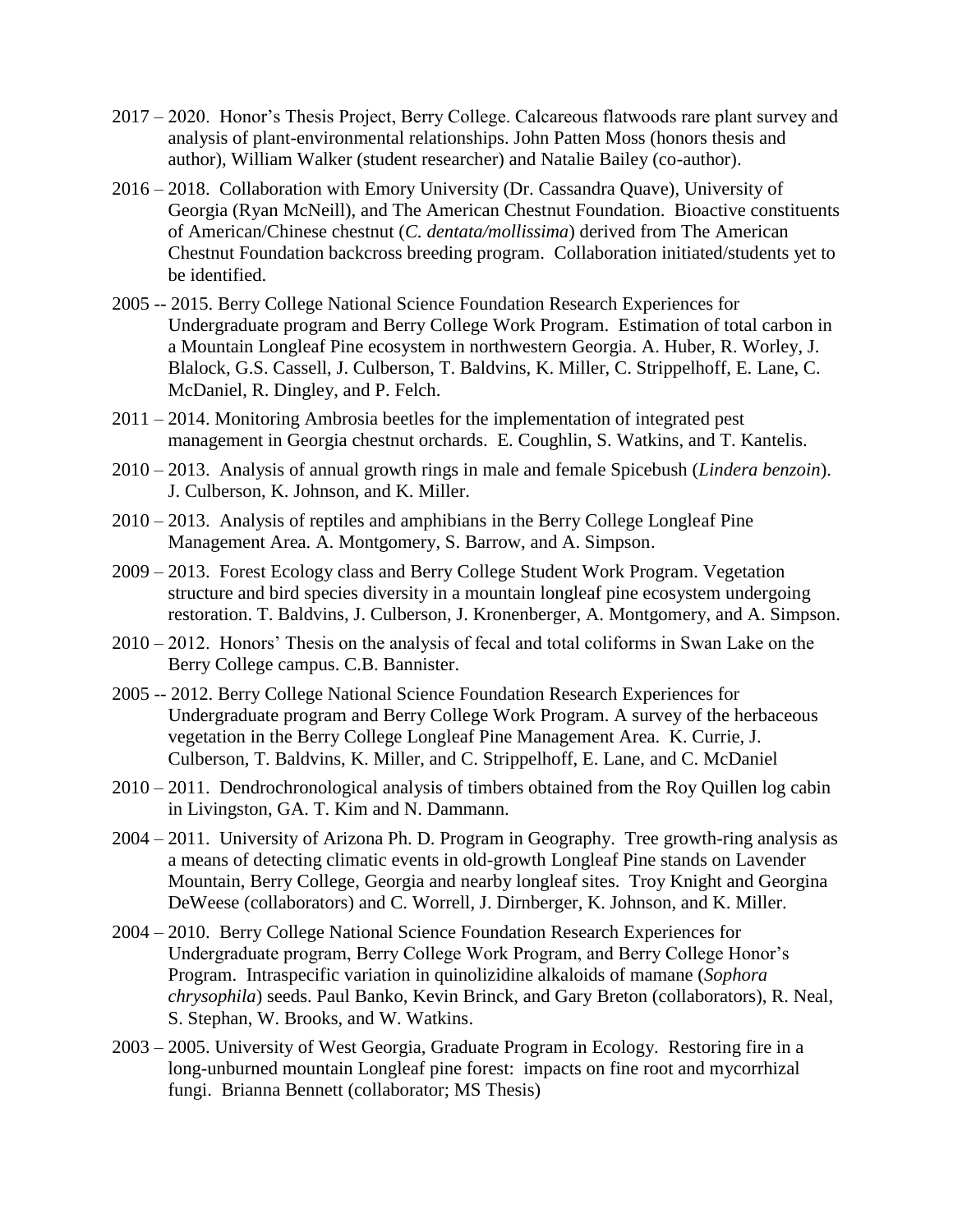- 2017 2020. Honor's Thesis Project, Berry College. Calcareous flatwoods rare plant survey and analysis of plant-environmental relationships. John Patten Moss (honors thesis and author), William Walker (student researcher) and Natalie Bailey (co-author).
- 2016 2018. Collaboration with Emory University (Dr. Cassandra Quave), University of Georgia (Ryan McNeill), and The American Chestnut Foundation. Bioactive constituents of American/Chinese chestnut (*C. dentata/mollissima*) derived from The American Chestnut Foundation backcross breeding program. Collaboration initiated/students yet to be identified.
- 2005 -- 2015. Berry College National Science Foundation Research Experiences for Undergraduate program and Berry College Work Program. Estimation of total carbon in a Mountain Longleaf Pine ecosystem in northwestern Georgia. A. Huber, R. Worley, J. Blalock, G.S. Cassell, J. Culberson, T. Baldvins, K. Miller, C. Strippelhoff, E. Lane, C. McDaniel, R. Dingley, and P. Felch.
- 2011 2014. Monitoring Ambrosia beetles for the implementation of integrated pest management in Georgia chestnut orchards. E. Coughlin, S. Watkins, and T. Kantelis.
- 2010 2013. Analysis of annual growth rings in male and female Spicebush (*Lindera benzoin*). J. Culberson, K. Johnson, and K. Miller.
- 2010 2013. Analysis of reptiles and amphibians in the Berry College Longleaf Pine Management Area. A. Montgomery, S. Barrow, and A. Simpson.
- 2009 2013. Forest Ecology class and Berry College Student Work Program. Vegetation structure and bird species diversity in a mountain longleaf pine ecosystem undergoing restoration. T. Baldvins, J. Culberson, J. Kronenberger, A. Montgomery, and A. Simpson.
- 2010 2012. Honors' Thesis on the analysis of fecal and total coliforms in Swan Lake on the Berry College campus. C.B. Bannister.
- 2005 -- 2012. Berry College National Science Foundation Research Experiences for Undergraduate program and Berry College Work Program. A survey of the herbaceous vegetation in the Berry College Longleaf Pine Management Area. K. Currie, J. Culberson, T. Baldvins, K. Miller, and C. Strippelhoff, E. Lane, and C. McDaniel
- 2010 2011. Dendrochronological analysis of timbers obtained from the Roy Quillen log cabin in Livingston, GA. T. Kim and N. Dammann.
- 2004 2011. University of Arizona Ph. D. Program in Geography. Tree growth-ring analysis as a means of detecting climatic events in old-growth Longleaf Pine stands on Lavender Mountain, Berry College, Georgia and nearby longleaf sites. Troy Knight and Georgina DeWeese (collaborators) and C. Worrell, J. Dirnberger, K. Johnson, and K. Miller.
- 2004 2010. Berry College National Science Foundation Research Experiences for Undergraduate program, Berry College Work Program, and Berry College Honor's Program. Intraspecific variation in quinolizidine alkaloids of mamane (*Sophora chrysophila*) seeds. Paul Banko, Kevin Brinck, and Gary Breton (collaborators), R. Neal, S. Stephan, W. Brooks, and W. Watkins.
- 2003 2005. University of West Georgia, Graduate Program in Ecology. Restoring fire in a long-unburned mountain Longleaf pine forest: impacts on fine root and mycorrhizal fungi. Brianna Bennett (collaborator; MS Thesis)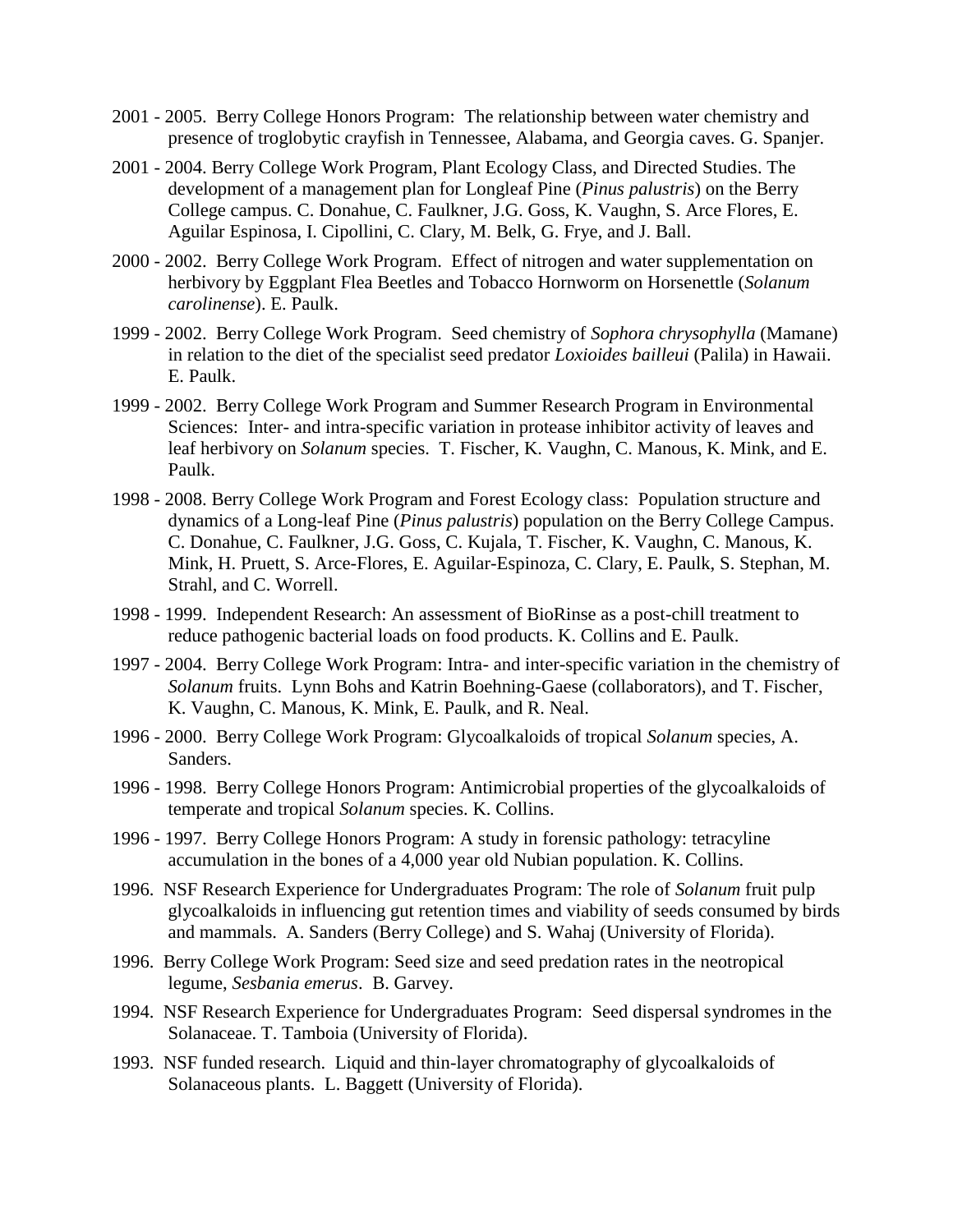- 2001 2005. Berry College Honors Program: The relationship between water chemistry and presence of troglobytic crayfish in Tennessee, Alabama, and Georgia caves. G. Spanjer.
- 2001 2004. Berry College Work Program, Plant Ecology Class, and Directed Studies. The development of a management plan for Longleaf Pine (*Pinus palustris*) on the Berry College campus. C. Donahue, C. Faulkner, J.G. Goss, K. Vaughn, S. Arce Flores, E. Aguilar Espinosa, I. Cipollini, C. Clary, M. Belk, G. Frye, and J. Ball.
- 2000 2002. Berry College Work Program. Effect of nitrogen and water supplementation on herbivory by Eggplant Flea Beetles and Tobacco Hornworm on Horsenettle (*Solanum carolinense*). E. Paulk.
- 1999 2002. Berry College Work Program. Seed chemistry of *Sophora chrysophylla* (Mamane) in relation to the diet of the specialist seed predator *Loxioides bailleui* (Palila) in Hawaii. E. Paulk.
- 1999 2002. Berry College Work Program and Summer Research Program in Environmental Sciences: Inter- and intra-specific variation in protease inhibitor activity of leaves and leaf herbivory on *Solanum* species. T. Fischer, K. Vaughn, C. Manous, K. Mink, and E. Paulk.
- 1998 2008. Berry College Work Program and Forest Ecology class: Population structure and dynamics of a Long-leaf Pine (*Pinus palustris*) population on the Berry College Campus. C. Donahue, C. Faulkner, J.G. Goss, C. Kujala, T. Fischer, K. Vaughn, C. Manous, K. Mink, H. Pruett, S. Arce-Flores, E. Aguilar-Espinoza, C. Clary, E. Paulk, S. Stephan, M. Strahl, and C. Worrell.
- 1998 1999. Independent Research: An assessment of BioRinse as a post-chill treatment to reduce pathogenic bacterial loads on food products. K. Collins and E. Paulk.
- 1997 2004. Berry College Work Program: Intra- and inter-specific variation in the chemistry of *Solanum* fruits. Lynn Bohs and Katrin Boehning-Gaese (collaborators), and T. Fischer, K. Vaughn, C. Manous, K. Mink, E. Paulk, and R. Neal.
- 1996 2000. Berry College Work Program: Glycoalkaloids of tropical *Solanum* species, A. Sanders.
- 1996 1998. Berry College Honors Program: Antimicrobial properties of the glycoalkaloids of temperate and tropical *Solanum* species. K. Collins.
- 1996 1997. Berry College Honors Program: A study in forensic pathology: tetracyline accumulation in the bones of a 4,000 year old Nubian population. K. Collins.
- 1996. NSF Research Experience for Undergraduates Program: The role of *Solanum* fruit pulp glycoalkaloids in influencing gut retention times and viability of seeds consumed by birds and mammals. A. Sanders (Berry College) and S. Wahaj (University of Florida).
- 1996. Berry College Work Program: Seed size and seed predation rates in the neotropical legume, *Sesbania emerus*. B. Garvey.
- 1994. NSF Research Experience for Undergraduates Program: Seed dispersal syndromes in the Solanaceae. T. Tamboia (University of Florida).
- 1993. NSF funded research. Liquid and thin-layer chromatography of glycoalkaloids of Solanaceous plants. L. Baggett (University of Florida).